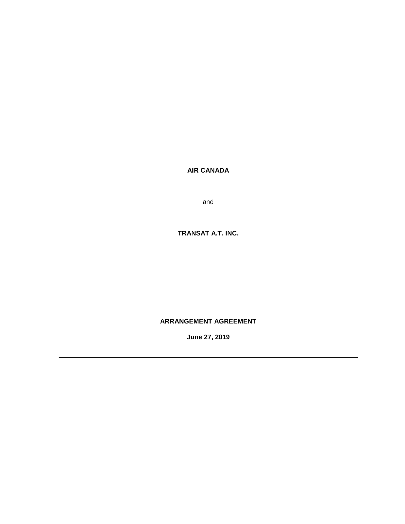**AIR CANADA**

and

**TRANSAT A.T. INC.**

# **ARRANGEMENT AGREEMENT**

**June 27, 2019**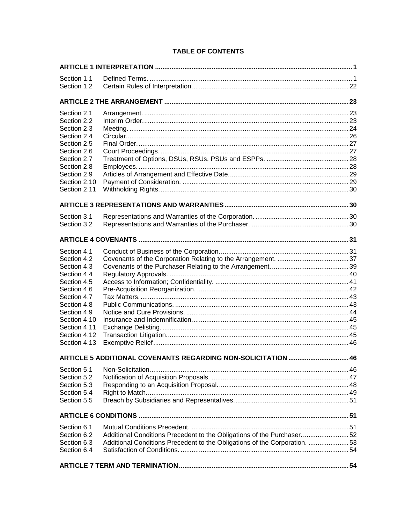# **TABLE OF CONTENTS**

| Section 1.1                |                                                                            |     |
|----------------------------|----------------------------------------------------------------------------|-----|
| Section 1.2                |                                                                            |     |
|                            |                                                                            |     |
| Section 2.1                |                                                                            |     |
| Section 2.2                |                                                                            |     |
| Section 2.3                |                                                                            |     |
| Section 2.4                |                                                                            |     |
| Section 2.5                |                                                                            |     |
| Section 2.6                |                                                                            |     |
| Section 2.7                |                                                                            |     |
| Section 2.8<br>Section 2.9 |                                                                            |     |
| Section 2.10               |                                                                            |     |
| Section 2.11               |                                                                            |     |
|                            |                                                                            |     |
| Section 3.1                |                                                                            |     |
| Section 3.2                |                                                                            |     |
|                            |                                                                            |     |
| Section 4.1                |                                                                            |     |
| Section 4.2                |                                                                            |     |
| Section 4.3                |                                                                            |     |
| Section 4.4                |                                                                            |     |
| Section 4.5                |                                                                            |     |
| Section 4.6                |                                                                            |     |
| Section 4.7                |                                                                            |     |
| Section 4.8<br>Section 4.9 |                                                                            |     |
| Section 4.10               |                                                                            |     |
| Section 4.11               |                                                                            |     |
| Section 4.12               |                                                                            |     |
| Section 4.13               |                                                                            |     |
|                            | <b>ARTICLE 5 ADDITIONAL COVENANTS REGARDING NON-SOLICITATION.</b>          | .46 |
| Section 5.1                |                                                                            |     |
| Section 5.2                |                                                                            |     |
| Section 5.3                |                                                                            |     |
| Section 5.4                |                                                                            |     |
| Section 5.5                |                                                                            |     |
|                            |                                                                            |     |
| Section 6.1                |                                                                            |     |
| Section 6.2                | Additional Conditions Precedent to the Obligations of the Purchaser52      |     |
| Section 6.3                | Additional Conditions Precedent to the Obligations of the Corporation.  53 |     |
| Section 6.4                |                                                                            |     |
|                            |                                                                            |     |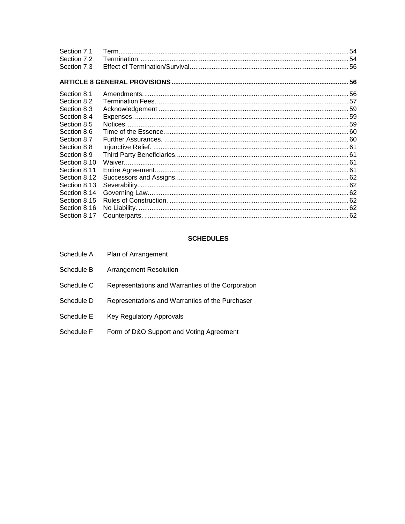| Section 7.1  |  |
|--------------|--|
| Section 7.2  |  |
| Section 7.3  |  |
|              |  |
| Section 8.1  |  |
| Section 8.2  |  |
| Section 8.3  |  |
| Section 8.4  |  |
| Section 8.5  |  |
| Section 8.6  |  |
| Section 8.7  |  |
| Section 8.8  |  |
| Section 8.9  |  |
| Section 8.10 |  |
| Section 8.11 |  |
| Section 8.12 |  |
| Section 8.13 |  |
| Section 8.14 |  |
| Section 8.15 |  |
| Section 8.16 |  |
| Section 8.17 |  |

# **SCHEDULES**

| Schedule A | Plan of Arrangement                               |
|------------|---------------------------------------------------|
| Schedule B | <b>Arrangement Resolution</b>                     |
| Schedule C | Representations and Warranties of the Corporation |
| Schedule D | Representations and Warranties of the Purchaser   |
| Schedule E | Key Regulatory Approvals                          |
| Schedule F | Form of D&O Support and Voting Agreement          |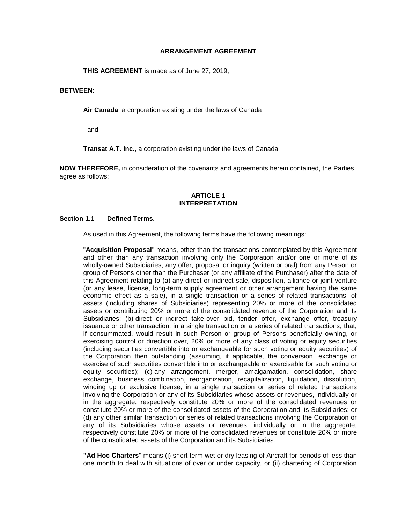## **ARRANGEMENT AGREEMENT**

**THIS AGREEMENT** is made as of June 27, 2019,

## **BETWEEN:**

**Air Canada**, a corporation existing under the laws of Canada

- and -

**Transat A.T. Inc.**, a corporation existing under the laws of Canada

**NOW THEREFORE,** in consideration of the covenants and agreements herein contained, the Parties agree as follows:

## **ARTICLE 1 INTERPRETATION**

## <span id="page-3-1"></span><span id="page-3-0"></span>**Section 1.1 Defined Terms.**

As used in this Agreement, the following terms have the following meanings:

"**Acquisition Proposal**" means, other than the transactions contemplated by this Agreement and other than any transaction involving only the Corporation and/or one or more of its wholly-owned Subsidiaries, any offer, proposal or inquiry (written or oral) from any Person or group of Persons other than the Purchaser (or any affiliate of the Purchaser) after the date of this Agreement relating to (a) any direct or indirect sale, disposition, alliance or joint venture (or any lease, license, long-term supply agreement or other arrangement having the same economic effect as a sale), in a single transaction or a series of related transactions, of assets (including shares of Subsidiaries) representing 20% or more of the consolidated assets or contributing 20% or more of the consolidated revenue of the Corporation and its Subsidiaries; (b) direct or indirect take-over bid, tender offer, exchange offer, treasury issuance or other transaction, in a single transaction or a series of related transactions, that, if consummated, would result in such Person or group of Persons beneficially owning, or exercising control or direction over, 20% or more of any class of voting or equity securities (including securities convertible into or exchangeable for such voting or equity securities) of the Corporation then outstanding (assuming, if applicable, the conversion, exchange or exercise of such securities convertible into or exchangeable or exercisable for such voting or equity securities); (c) any arrangement, merger, amalgamation, consolidation, share exchange, business combination, reorganization, recapitalization, liquidation, dissolution, winding up or exclusive license, in a single transaction or series of related transactions involving the Corporation or any of its Subsidiaries whose assets or revenues, individually or in the aggregate, respectively constitute 20% or more of the consolidated revenues or constitute 20% or more of the consolidated assets of the Corporation and its Subsidiaries; or (d) any other similar transaction or series of related transactions involving the Corporation or any of its Subsidiaries whose assets or revenues, individually or in the aggregate, respectively constitute 20% or more of the consolidated revenues or constitute 20% or more of the consolidated assets of the Corporation and its Subsidiaries.

**"Ad Hoc Charters**" means (i) short term wet or dry leasing of Aircraft for periods of less than one month to deal with situations of over or under capacity, or (ii) chartering of Corporation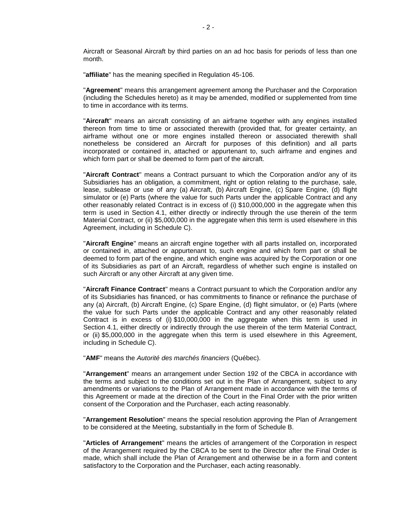Aircraft or Seasonal Aircraft by third parties on an ad hoc basis for periods of less than one month.

"**affiliate**" has the meaning specified in Regulation 45-106.

"**Agreement**" means this arrangement agreement among the Purchaser and the Corporation (including the Schedules hereto) as it may be amended, modified or supplemented from time to time in accordance with its terms.

"**Aircraft**" means an aircraft consisting of an airframe together with any engines installed thereon from time to time or associated therewith (provided that, for greater certainty, an airframe without one or more engines installed thereon or associated therewith shall nonetheless be considered an Aircraft for purposes of this definition) and all parts incorporated or contained in, attached or appurtenant to, such airframe and engines and which form part or shall be deemed to form part of the aircraft.

"**Aircraft Contract**" means a Contract pursuant to which the Corporation and/or any of its Subsidiaries has an obligation, a commitment, right or option relating to the purchase, sale, lease, sublease or use of any (a) Aircraft, (b) Aircraft Engine, (c) Spare Engine, (d) flight simulator or (e) Parts (where the value for such Parts under the applicable Contract and any other reasonably related Contract is in excess of (i) \$10,000,000 in the aggregate when this term is used in [Section](#page-33-1) 4.1, either directly or indirectly through the use therein of the term Material Contract, or (ii) \$5,000,000 in the aggregate when this term is used elsewhere in this Agreement, including in [Schedule](#page-79-0) C).

"**Aircraft Engine**" means an aircraft engine together with all parts installed on, incorporated or contained in, attached or appurtenant to, such engine and which form part or shall be deemed to form part of the engine, and which engine was acquired by the Corporation or one of its Subsidiaries as part of an Aircraft, regardless of whether such engine is installed on such Aircraft or any other Aircraft at any given time.

"**Aircraft Finance Contract**" means a Contract pursuant to which the Corporation and/or any of its Subsidiaries has financed, or has commitments to finance or refinance the purchase of any (a) Aircraft, (b) Aircraft Engine, (c) Spare Engine, (d) flight simulator, or (e) Parts (where the value for such Parts under the applicable Contract and any other reasonably related Contract is in excess of (i) \$10,000,000 in the aggregate when this term is used in [Section](#page-33-1) 4.1, either directly or indirectly through the use therein of the term Material Contract, or (ii) \$5,000,000 in the aggregate when this term is used elsewhere in this Agreement, including in [Schedule](#page-79-0) C).

"**AMF**" means the *Autorité des marchés financiers* (Québec).

"**Arrangement**" means an arrangement under Section 192 of the CBCA in accordance with the terms and subject to the conditions set out in the Plan of Arrangement, subject to any amendments or variations to the Plan of Arrangement made in accordance with the terms of this Agreement or made at the direction of the Court in the Final Order with the prior written consent of the Corporation and the Purchaser, each acting reasonably.

"**Arrangement Resolution**" means the special resolution approving the Plan of Arrangement to be considered at the Meeting, substantially in the form of [Schedule](#page-78-0) B.

"**Articles of Arrangement**" means the articles of arrangement of the Corporation in respect of the Arrangement required by the CBCA to be sent to the Director after the Final Order is made, which shall include the Plan of Arrangement and otherwise be in a form and content satisfactory to the Corporation and the Purchaser, each acting reasonably.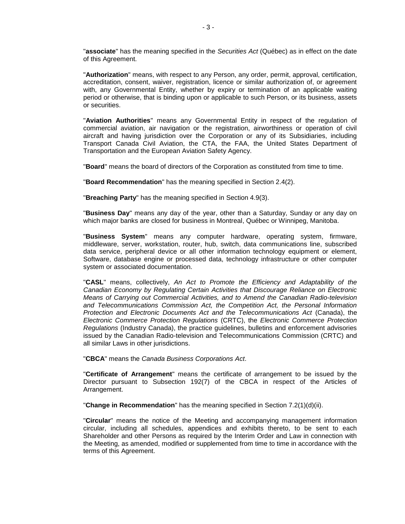"**associate**" has the meaning specified in the *Securities Act* (Québec) as in effect on the date of this Agreement.

"**Authorization**" means, with respect to any Person, any order, permit, approval, certification, accreditation, consent, waiver, registration, licence or similar authorization of, or agreement with, any Governmental Entity, whether by expiry or termination of an applicable waiting period or otherwise, that is binding upon or applicable to such Person, or its business, assets or securities.

"**Aviation Authorities**" means any Governmental Entity in respect of the regulation of commercial aviation, air navigation or the registration, airworthiness or operation of civil aircraft and having jurisdiction over the Corporation or any of its Subsidiaries, including Transport Canada Civil Aviation, the CTA, the FAA, the United States Department of Transportation and the European Aviation Safety Agency.

"**Board**" means the board of directors of the Corporation as constituted from time to time.

"**Board Recommendation**" has the meaning specified in [Section](#page-28-1) 2.4(2).

"**Breaching Party**" has the meaning specified in [Section](#page-46-1) 4.9(3).

"**Business Day**" means any day of the year, other than a Saturday, Sunday or any day on which major banks are closed for business in Montreal, Québec or Winnipeg, Manitoba.

"**Business System**" means any computer hardware, operating system, firmware, middleware, server, workstation, router, hub, switch, data communications line, subscribed data service, peripheral device or all other information technology equipment or element, Software, database engine or processed data, technology infrastructure or other computer system or associated documentation.

"**CASL**" means, collectively, *An Act to Promote the Efficiency and Adaptability of the Canadian Economy by Regulating Certain Activities that Discourage Reliance on Electronic Means of Carrying out Commercial Activities, and to Amend the Canadian Radio-television and Telecommunications Commission Act, the Competition Act, the Personal Information Protection and Electronic Documents Act and the Telecommunications Act* (Canada), the *Electronic Commerce Protection Regulations* (CRTC), the *Electronic Commerce Protection Regulations* (Industry Canada), the practice guidelines, bulletins and enforcement advisories issued by the Canadian Radio-television and Telecommunications Commission (CRTC) and all similar Laws in other jurisdictions.

"**CBCA**" means the *Canada Business Corporations Act*.

"**Certificate of Arrangement**" means the certificate of arrangement to be issued by the Director pursuant to Subsection 192(7) of the CBCA in respect of the Articles of Arrangement.

"**Change in Recommendation**" has the meaning specified in Section [7.2\(1\)\(d\)\(ii\).](#page-58-3)

"**Circular**" means the notice of the Meeting and accompanying management information circular, including all schedules, appendices and exhibits thereto, to be sent to each Shareholder and other Persons as required by the Interim Order and Law in connection with the Meeting, as amended, modified or supplemented from time to time in accordance with the terms of this Agreement.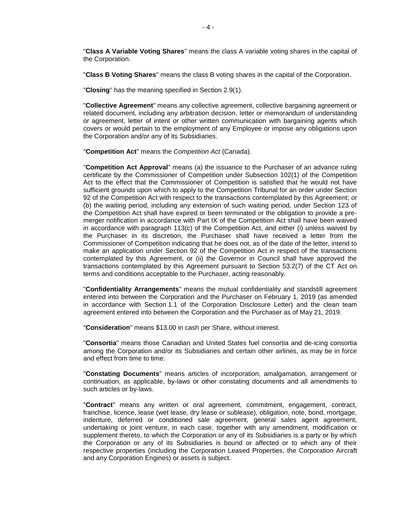"**Class A Variable Voting Shares**" means the class A variable voting shares in the capital of the Corporation.

"**Class B Voting Shares**" means the class B voting shares in the capital of the Corporation.

"**Closing**" has the meaning specified in [Section](#page-31-2) 2.9(1).

"**Collective Agreement**" means any collective agreement, collective bargaining agreement or related document, including any arbitration decision, letter or memorandum of understanding or agreement, letter of intent or other written communication with bargaining agents which covers or would pertain to the employment of any Employee or impose any obligations upon the Corporation and/or any of its Subsidiaries.

"**Competition Act**" means the *Competition Act* (Canada).

"**Competition Act Approval**" means (a) the issuance to the Purchaser of an advance ruling certificate by the Commissioner of Competition under Subsection 102(1) of the Competition Act to the effect that the Commissioner of Competition is satisfied that he would not have sufficient grounds upon which to apply to the Competition Tribunal for an order under Section 92 of the Competition Act with respect to the transactions contemplated by this Agreement; or (b) the waiting period, including any extension of such waiting period, under Section 123 of the Competition Act shall have expired or been terminated or the obligation to provide a premerger notification in accordance with Part IX of the Competition Act shall have been waived in accordance with paragraph 113(c) of the Competition Act, and either (i) unless waived by the Purchaser in its discretion, the Purchaser shall have received a letter from the Commissioner of Competition indicating that he does not, as of the date of the letter, intend to make an application under Section 92 of the Competition Act in respect of the transactions contemplated by this Agreement, or (ii) the Governor in Council shall have approved the transactions contemplated by this Agreement pursuant to Section 53.2(7) of the CT Act on terms and conditions acceptable to the Purchaser, acting reasonably.

"**Confidentiality Arrangements**" means the mutual confidentiality and standstill agreement entered into between the Corporation and the Purchaser on February 1, 2019 (as amended in accordance with [Section](#page-3-1) 1.1 of the Corporation Disclosure Letter) and the clean team agreement entered into between the Corporation and the Purchaser as of May 21, 2019.

"**Consideration**" means \$13.00 in cash per Share, without interest.

"**Consortia**" means those Canadian and United States fuel consortia and de-icing consortia among the Corporation and/or its Subsidiaries and certain other airlines, as may be in force and effect from time to time.

"**Constating Documents**" means articles of incorporation, amalgamation, arrangement or continuation, as applicable, by-laws or other constating documents and all amendments to such articles or by-laws.

"**Contract**" means any written or oral agreement, commitment, engagement, contract, franchise, licence, lease (wet lease, dry lease or sublease), obligation, note, bond, mortgage, indenture, deferred or conditioned sale agreement, general sales agent agreement, undertaking or joint venture, in each case, together with any amendment, modification or supplement thereto, to which the Corporation or any of its Subsidiaries is a party or by which the Corporation or any of its Subsidiaries is bound or affected or to which any of their respective properties (including the Corporation Leased Properties, the Corporation Aircraft and any Corporation Engines) or assets is subject.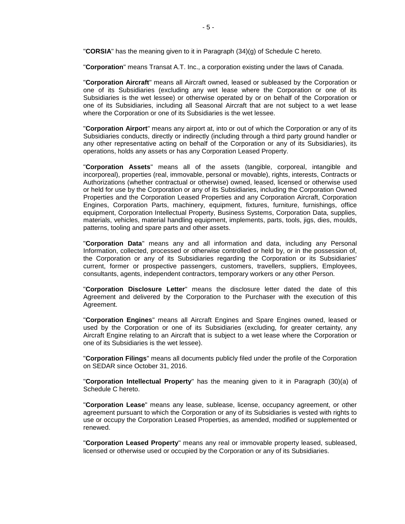"**CORSIA**" has the meaning given to it in Paragraph [\(34\)\(g\)](#page-92-0) of [Schedule](#page-79-0) C hereto.

"**Corporation**" means Transat A.T. Inc., a corporation existing under the laws of Canada.

"**Corporation Aircraft**" means all Aircraft owned, leased or subleased by the Corporation or one of its Subsidiaries (excluding any wet lease where the Corporation or one of its Subsidiaries is the wet lessee) or otherwise operated by or on behalf of the Corporation or one of its Subsidiaries, including all Seasonal Aircraft that are not subject to a wet lease where the Corporation or one of its Subsidiaries is the wet lessee.

"**Corporation Airport**" means any airport at, into or out of which the Corporation or any of its Subsidiaries conducts, directly or indirectly (including through a third party ground handler or any other representative acting on behalf of the Corporation or any of its Subsidiaries), its operations, holds any assets or has any Corporation Leased Property.

"**Corporation Assets**" means all of the assets (tangible, corporeal, intangible and incorporeal), properties (real, immovable, personal or movable), rights, interests, Contracts or Authorizations (whether contractual or otherwise) owned, leased, licensed or otherwise used or held for use by the Corporation or any of its Subsidiaries, including the Corporation Owned Properties and the Corporation Leased Properties and any Corporation Aircraft, Corporation Engines, Corporation Parts, machinery, equipment, fixtures, furniture, furnishings, office equipment, Corporation Intellectual Property, Business Systems, Corporation Data, supplies, materials, vehicles, material handling equipment, implements, parts, tools, jigs, dies, moulds, patterns, tooling and spare parts and other assets.

"**Corporation Data**" means any and all information and data, including any Personal Information, collected, processed or otherwise controlled or held by, or in the possession of, the Corporation or any of its Subsidiaries regarding the Corporation or its Subsidiaries' current, former or prospective passengers, customers, travellers, suppliers, Employees, consultants, agents, independent contractors, temporary workers or any other Person.

"**Corporation Disclosure Letter**" means the disclosure letter dated the date of this Agreement and delivered by the Corporation to the Purchaser with the execution of this Agreement.

"**Corporation Engines**" means all Aircraft Engines and Spare Engines owned, leased or used by the Corporation or one of its Subsidiaries (excluding, for greater certainty, any Aircraft Engine relating to an Aircraft that is subject to a wet lease where the Corporation or one of its Subsidiaries is the wet lessee).

"**Corporation Filings**" means all documents publicly filed under the profile of the Corporation on SEDAR since October 31, 2016.

"**Corporation Intellectual Property**" has the meaning given to it in Paragraph [\(30\)\(a\)](#page-89-0) of [Schedule](#page-79-0) C hereto.

"**Corporation Lease**" means any lease, sublease, license, occupancy agreement, or other agreement pursuant to which the Corporation or any of its Subsidiaries is vested with rights to use or occupy the Corporation Leased Properties, as amended, modified or supplemented or renewed.

"**Corporation Leased Property**" means any real or immovable property leased, subleased, licensed or otherwise used or occupied by the Corporation or any of its Subsidiaries.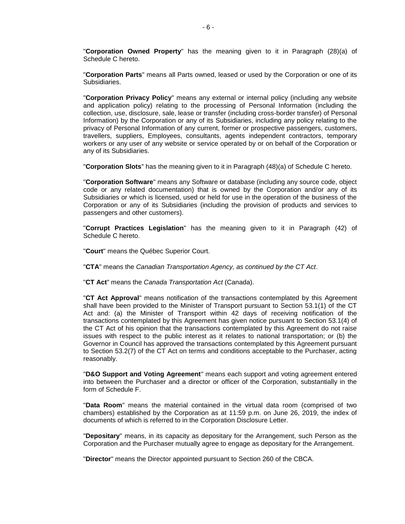"**Corporation Owned Property**" has the meaning given to it in Paragraph [\(28\)\(a\)](#page-87-0) of [Schedule](#page-79-0) C hereto.

"**Corporation Parts**" means all Parts owned, leased or used by the Corporation or one of its Subsidiaries.

"**Corporation Privacy Policy**" means any external or internal policy (including any website and application policy) relating to the processing of Personal Information (including the collection, use, disclosure, sale, lease or transfer (including cross-border transfer) of Personal Information) by the Corporation or any of its Subsidiaries, including any policy relating to the privacy of Personal Information of any current, former or prospective passengers, customers, travellers, suppliers, Employees, consultants, agents independent contractors, temporary workers or any user of any website or service operated by or on behalf of the Corporation or any of its Subsidiaries.

"**Corporation Slots**" has the meaning given to it in Paragraph [\(48\)\(a\)](#page-104-0) of [Schedule](#page-79-0) C hereto.

"**Corporation Software**" means any Software or database (including any source code, object code or any related documentation) that is owned by the Corporation and/or any of its Subsidiaries or which is licensed, used or held for use in the operation of the business of the Corporation or any of its Subsidiaries (including the provision of products and services to passengers and other customers).

"**Corrupt Practices Legislation**" has the meaning given to it in Paragraph [\(42\)](#page-100-0) of [Schedule](#page-79-0) C hereto.

"**Court**" means the Québec Superior Court.

"**CTA**" means the *Canadian Transportation Agency, as continued by the CT Act*.

"**CT Act**" means the *Canada Transportation Act* (Canada).

"**CT Act Approval**" means notification of the transactions contemplated by this Agreement shall have been provided to the Minister of Transport pursuant to Section 53.1(1) of the CT Act and: (a) the Minister of Transport within 42 days of receiving notification of the transactions contemplated by this Agreement has given notice pursuant to Section 53.1(4) of the CT Act of his opinion that the transactions contemplated by this Agreement do not raise issues with respect to the public interest as it relates to national transportation; or (b) the Governor in Council has approved the transactions contemplated by this Agreement pursuant to Section 53.2(7) of the CT Act on terms and conditions acceptable to the Purchaser, acting reasonably.

"**D&O Support and Voting Agreement**" means each support and voting agreement entered into between the Purchaser and a director or officer of the Corporation, substantially in the form of Schedule F.

"**Data Room**" means the material contained in the virtual data room (comprised of two chambers) established by the Corporation as at 11:59 p.m. on June 26, 2019, the index of documents of which is referred to in the Corporation Disclosure Letter.

"**Depositary**" means, in its capacity as depositary for the Arrangement, such Person as the Corporation and the Purchaser mutually agree to engage as depositary for the Arrangement.

"**Director**" means the Director appointed pursuant to Section 260 of the CBCA.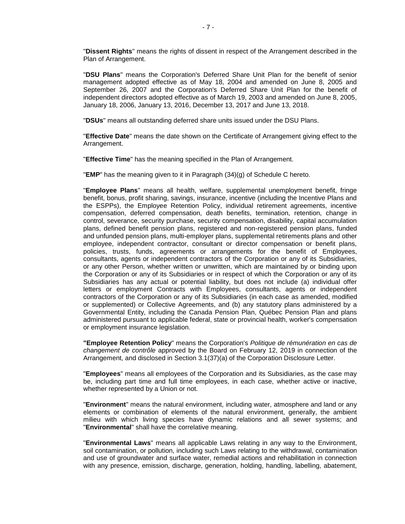"**Dissent Rights**" means the rights of dissent in respect of the Arrangement described in the Plan of Arrangement.

"**DSU Plans**" means the Corporation's Deferred Share Unit Plan for the benefit of senior management adopted effective as of May 18, 2004 and amended on June 8, 2005 and September 26, 2007 and the Corporation's Deferred Share Unit Plan for the benefit of independent directors adopted effective as of March 19, 2003 and amended on June 8, 2005, January 18, 2006, January 13, 2016, December 13, 2017 and June 13, 2018.

"**DSUs**" means all outstanding deferred share units issued under the DSU Plans.

"**Effective Date**" means the date shown on the Certificate of Arrangement giving effect to the Arrangement.

"**Effective Time**" has the meaning specified in the Plan of Arrangement.

"**EMP**" has the meaning given to it in Paragraph [\(34\)\(g\)](#page-92-0) of [Schedule](#page-79-0) C hereto.

"**Employee Plans**" means all health, welfare, supplemental unemployment benefit, fringe benefit, bonus, profit sharing, savings, insurance, incentive (including the Incentive Plans and the ESPPs), the Employee Retention Policy, individual retirement agreements, incentive compensation, deferred compensation, death benefits, termination, retention, change in control, severance, security purchase, security compensation, disability, capital accumulation plans, defined benefit pension plans, registered and non-registered pension plans, funded and unfunded pension plans, multi-employer plans, supplemental retirements plans and other employee, independent contractor, consultant or director compensation or benefit plans, policies, trusts, funds, agreements or arrangements for the benefit of Employees, consultants, agents or independent contractors of the Corporation or any of its Subsidiaries, or any other Person, whether written or unwritten, which are maintained by or binding upon the Corporation or any of its Subsidiaries or in respect of which the Corporation or any of its Subsidiaries has any actual or potential liability, but does not include (a) individual offer letters or employment Contracts with Employees, consultants, agents or independent contractors of the Corporation or any of its Subsidiaries (in each case as amended, modified or supplemented) or Collective Agreements, and (b) any statutory plans administered by a Governmental Entity, including the Canada Pension Plan, Québec Pension Plan and plans administered pursuant to applicable federal, state or provincial health, worker's compensation or employment insurance legislation.

**"Employee Retention Policy**" means the Corporation's *Politique de rémunération en cas de changement de contrôle* approved by the Board on February 12, 2019 in connection of the Arrangement, and disclosed in [Section](#page-32-2) 3.[1\(37\)](#page-32-2)[\(a\)](#page-95-0) of the Corporation Disclosure Letter.

"**Employees**" means all employees of the Corporation and its Subsidiaries, as the case may be, including part time and full time employees, in each case, whether active or inactive, whether represented by a Union or not.

"**Environment**" means the natural environment, including water, atmosphere and land or any elements or combination of elements of the natural environment, generally, the ambient milieu with which living species have dynamic relations and all sewer systems; and "**Environmental**" shall have the correlative meaning.

"**Environmental Laws**" means all applicable Laws relating in any way to the Environment, soil contamination, or pollution, including such Laws relating to the withdrawal, contamination and use of groundwater and surface water, remedial actions and rehabilitation in connection with any presence, emission, discharge, generation, holding, handling, labelling, abatement,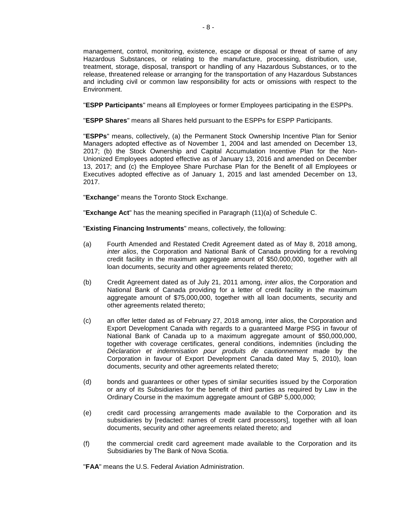management, control, monitoring, existence, escape or disposal or threat of same of any Hazardous Substances, or relating to the manufacture, processing, distribution, use, treatment, storage, disposal, transport or handling of any Hazardous Substances, or to the release, threatened release or arranging for the transportation of any Hazardous Substances and including civil or common law responsibility for acts or omissions with respect to the Environment.

"**ESPP Participants**" means all Employees or former Employees participating in the ESPPs.

"**ESPP Shares**" means all Shares held pursuant to the ESPPs for ESPP Participants.

"**ESPPs**" means, collectively, (a) the Permanent Stock Ownership Incentive Plan for Senior Managers adopted effective as of November 1, 2004 and last amended on December 13, 2017; (b) the Stock Ownership and Capital Accumulation Incentive Plan for the Non-Unionized Employees adopted effective as of January 13, 2016 and amended on December 13, 2017; and (c) the Employee Share Purchase Plan for the Benefit of all Employees or Executives adopted effective as of January 1, 2015 and last amended December on 13, 2017.

"**Exchange**" means the Toronto Stock Exchange.

"**Exchange Act**" has the meaning specified in Paragraph [\(11\)\(a\)](#page-82-0) of [Schedule](#page-79-0) C.

"**Existing Financing Instruments**" means, collectively, the following:

- (a) Fourth Amended and Restated Credit Agreement dated as of May 8, 2018 among, *inter alios*, the Corporation and National Bank of Canada providing for a revolving credit facility in the maximum aggregate amount of \$50,000,000, together with all loan documents, security and other agreements related thereto;
- (b) Credit Agreement dated as of July 21, 2011 among, *inter alios*, the Corporation and National Bank of Canada providing for a letter of credit facility in the maximum aggregate amount of \$75,000,000, together with all loan documents, security and other agreements related thereto;
- (c) an offer letter dated as of February 27, 2018 among, inter alios, the Corporation and Export Development Canada with regards to a guaranteed Marge PSG in favour of National Bank of Canada up to a maximum aggregate amount of \$50,000,000, together with coverage certificates, general conditions, indemnities (including the *Déclaration et indemnisation pour produits de cautionnement* made by the Corporation in favour of Export Development Canada dated May 5, 2010), loan documents, security and other agreements related thereto;
- (d) bonds and guarantees or other types of similar securities issued by the Corporation or any of its Subsidiaries for the benefit of third parties as required by Law in the Ordinary Course in the maximum aggregate amount of GBP 5,000,000;
- (e) credit card processing arrangements made available to the Corporation and its subsidiaries by [redacted: names of credit card processors], together with all loan documents, security and other agreements related thereto; and
- (f) the commercial credit card agreement made available to the Corporation and its Subsidiaries by The Bank of Nova Scotia.

"**FAA**" means the U.S. Federal Aviation Administration.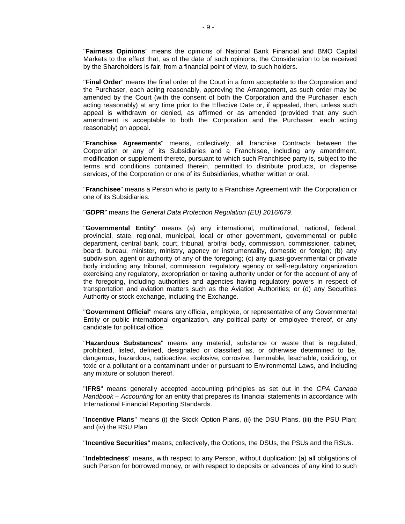"**Fairness Opinions**" means the opinions of National Bank Financial and BMO Capital Markets to the effect that, as of the date of such opinions, the Consideration to be received by the Shareholders is fair, from a financial point of view, to such holders.

"**Final Order**" means the final order of the Court in a form acceptable to the Corporation and the Purchaser, each acting reasonably, approving the Arrangement, as such order may be amended by the Court (with the consent of both the Corporation and the Purchaser, each acting reasonably) at any time prior to the Effective Date or, if appealed, then, unless such appeal is withdrawn or denied, as affirmed or as amended (provided that any such amendment is acceptable to both the Corporation and the Purchaser, each acting reasonably) on appeal.

"**Franchise Agreements**" means, collectively, all franchise Contracts between the Corporation or any of its Subsidiaries and a Franchisee, including any amendment, modification or supplement thereto, pursuant to which such Franchisee party is, subject to the terms and conditions contained therein, permitted to distribute products, or dispense services, of the Corporation or one of its Subsidiaries, whether written or oral.

"**Franchisee**" means a Person who is party to a Franchise Agreement with the Corporation or one of its Subsidiaries.

"**GDPR**" means the *General Data Protection Regulation (EU) 2016/679*.

"**Governmental Entity**" means (a) any international, multinational, national, federal, provincial, state, regional, municipal, local or other government, governmental or public department, central bank, court, tribunal, arbitral body, commission, commissioner, cabinet, board, bureau, minister, ministry, agency or instrumentality, domestic or foreign; (b) any subdivision, agent or authority of any of the foregoing; (c) any quasi-governmental or private body including any tribunal, commission, regulatory agency or self-regulatory organization exercising any regulatory, expropriation or taxing authority under or for the account of any of the foregoing, including authorities and agencies having regulatory powers in respect of transportation and aviation matters such as the Aviation Authorities; or (d) any Securities Authority or stock exchange, including the Exchange.

"**Government Official**" means any official, employee, or representative of any Governmental Entity or public international organization, any political party or employee thereof, or any candidate for political office.

"**Hazardous Substances**" means any material, substance or waste that is regulated, prohibited, listed, defined, designated or classified as, or otherwise determined to be, dangerous, hazardous, radioactive, explosive, corrosive, flammable, leachable, oxidizing, or toxic or a pollutant or a contaminant under or pursuant to Environmental Laws, and including any mixture or solution thereof.

"**IFRS**" means generally accepted accounting principles as set out in the *CPA Canada Handbook – Accounting* for an entity that prepares its financial statements in accordance with International Financial Reporting Standards.

"**Incentive Plans**" means (i) the Stock Option Plans, (ii) the DSU Plans, (iii) the PSU Plan; and (iv) the RSU Plan.

"**Incentive Securities**" means, collectively, the Options, the DSUs, the PSUs and the RSUs.

"**Indebtedness**" means, with respect to any Person, without duplication: (a) all obligations of such Person for borrowed money, or with respect to deposits or advances of any kind to such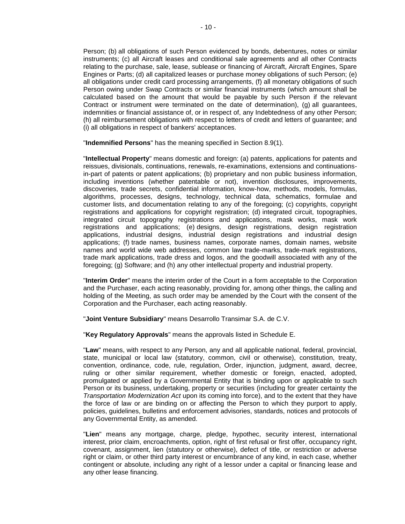Person; (b) all obligations of such Person evidenced by bonds, debentures, notes or similar instruments; (c) all Aircraft leases and conditional sale agreements and all other Contracts relating to the purchase, sale, lease, sublease or financing of Aircraft, Aircraft Engines, Spare Engines or Parts; (d) all capitalized leases or purchase money obligations of such Person; (e) all obligations under credit card processing arrangements, (f) all monetary obligations of such Person owing under Swap Contracts or similar financial instruments (which amount shall be calculated based on the amount that would be payable by such Person if the relevant Contract or instrument were terminated on the date of determination), (g) all guarantees, indemnities or financial assistance of, or in respect of, any Indebtedness of any other Person; (h) all reimbursement obligations with respect to letters of credit and letters of guarantee; and (i) all obligations in respect of bankers' acceptances.

"**Indemnified Persons**" has the meaning specified in [Section](#page-63-4) 8.9(1).

"**Intellectual Property**" means domestic and foreign: (a) patents, applications for patents and reissues, divisionals, continuations, renewals, re-examinations, extensions and continuationsin-part of patents or patent applications; (b) proprietary and non public business information, including inventions (whether patentable or not), invention disclosures, improvements, discoveries, trade secrets, confidential information, know-how, methods, models, formulas, algorithms, processes, designs, technology, technical data, schematics, formulae and customer lists, and documentation relating to any of the foregoing; (c) copyrights, copyright registrations and applications for copyright registration; (d) integrated circuit, topographies, integrated circuit topography registrations and applications, mask works, mask work registrations and applications; (e) designs, design registrations, design registration applications, industrial designs, industrial design registrations and industrial design applications; (f) trade names, business names, corporate names, domain names, website names and world wide web addresses, common law trade-marks, trade-mark registrations, trade mark applications, trade dress and logos, and the goodwill associated with any of the foregoing; (g) Software; and (h) any other intellectual property and industrial property.

"**Interim Order**" means the interim order of the Court in a form acceptable to the Corporation and the Purchaser, each acting reasonably, providing for, among other things, the calling and holding of the Meeting, as such order may be amended by the Court with the consent of the Corporation and the Purchaser, each acting reasonably.

"**Joint Venture Subsidiary**" means Desarrollo Transimar S.A. de C.V.

"**Key Regulatory Approvals**" means the approvals listed in [Schedule](#page-108-0) E.

"**Law**" means, with respect to any Person, any and all applicable national, federal, provincial, state, municipal or local law (statutory, common, civil or otherwise), constitution, treaty, convention, ordinance, code, rule, regulation, Order, injunction, judgment, award, decree, ruling or other similar requirement, whether domestic or foreign, enacted, adopted, promulgated or applied by a Governmental Entity that is binding upon or applicable to such Person or its business, undertaking, property or securities (including for greater certainty the *Transportation Modernization Act* upon its coming into force), and to the extent that they have the force of law or are binding on or affecting the Person to which they purport to apply, policies, guidelines, bulletins and enforcement advisories, standards, notices and protocols of any Governmental Entity, as amended.

"**Lien**" means any mortgage, charge, pledge, hypothec, security interest, international interest, prior claim, encroachments, option, right of first refusal or first offer, occupancy right, covenant, assignment, lien (statutory or otherwise), defect of title, or restriction or adverse right or claim, or other third party interest or encumbrance of any kind, in each case, whether contingent or absolute, including any right of a lessor under a capital or financing lease and any other lease financing.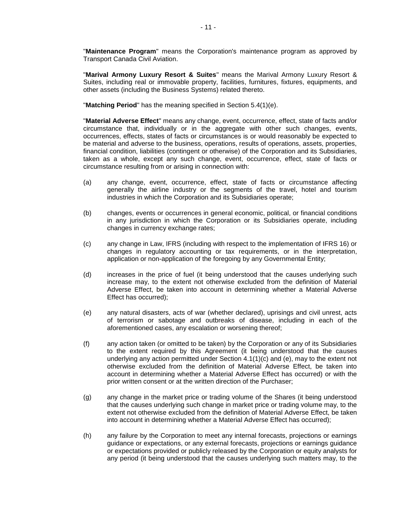"**Maintenance Program**" means the Corporation's maintenance program as approved by Transport Canada Civil Aviation.

"**Marival Armony Luxury Resort & Suites**" means the Marival Armony Luxury Resort & Suites, including real or immovable property, facilities, furnitures, fixtures, equipments, and other assets (including the Business Systems) related thereto.

"**Matching Period**" has the meaning specified in Section [5.4\(1\)\(e\).](#page-51-1)

"**Material Adverse Effect**" means any change, event, occurrence, effect, state of facts and/or circumstance that, individually or in the aggregate with other such changes, events, occurrences, effects, states of facts or circumstances is or would reasonably be expected to be material and adverse to the business, operations, results of operations, assets, properties, financial condition, liabilities (contingent or otherwise) of the Corporation and its Subsidiaries, taken as a whole, except any such change, event, occurrence, effect, state of facts or circumstance resulting from or arising in connection with:

- <span id="page-13-0"></span>(a) any change, event, occurrence, effect, state of facts or circumstance affecting generally the airline industry or the segments of the travel, hotel and tourism industries in which the Corporation and its Subsidiaries operate;
- (b) changes, events or occurrences in general economic, political, or financial conditions in any jurisdiction in which the Corporation or its Subsidiaries operate, including changes in currency exchange rates;
- (c) any change in Law, IFRS (including with respect to the implementation of IFRS 16) or changes in regulatory accounting or tax requirements, or in the interpretation, application or non-application of the foregoing by any Governmental Entity;
- (d) increases in the price of fuel (it being understood that the causes underlying such increase may, to the extent not otherwise excluded from the definition of Material Adverse Effect, be taken into account in determining whether a Material Adverse Effect has occurred);
- <span id="page-13-1"></span>(e) any natural disasters, acts of war (whether declared), uprisings and civil unrest, acts of terrorism or sabotage and outbreaks of disease, including in each of the aforementioned cases, any escalation or worsening thereof;
- (f) any action taken (or omitted to be taken) by the Corporation or any of its Subsidiaries to the extent required by this Agreement (it being understood that the causes underlying any action permitted under Section  $4.1(1)(c)$  and  $(e)$ , may to the extent not otherwise excluded from the definition of Material Adverse Effect, be taken into account in determining whether a Material Adverse Effect has occurred) or with the prior written consent or at the written direction of the Purchaser;
- (g) any change in the market price or trading volume of the Shares (it being understood that the causes underlying such change in market price or trading volume may, to the extent not otherwise excluded from the definition of Material Adverse Effect, be taken into account in determining whether a Material Adverse Effect has occurred);
- (h) any failure by the Corporation to meet any internal forecasts, projections or earnings guidance or expectations, or any external forecasts, projections or earnings guidance or expectations provided or publicly released by the Corporation or equity analysts for any period (it being understood that the causes underlying such matters may, to the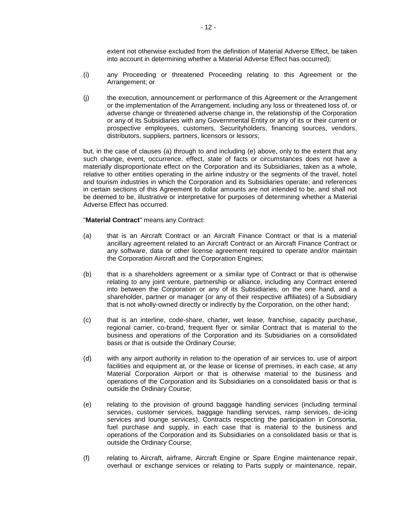extent not otherwise excluded from the definition of Material Adverse Effect, be taken into account in determining whether a Material Adverse Effect has occurred);

- (i) any Proceeding or threatened Proceeding relating to this Agreement or the Arrangement; or
- (j) the execution, announcement or performance of this Agreement or the Arrangement or the implementation of the Arrangement, including any loss or threatened loss of, or adverse change or threatened adverse change in, the relationship of the Corporation or any of its Subsidiaries with any Governmental Entity or any of its or their current or prospective employees, customers, Securityholders, financing sources, vendors, distributors, suppliers, partners, licensors or lessors;

but, in the case of clauses [\(a\)](#page-13-0) through to and including [\(e\)](#page-13-1) above, only to the extent that any such change, event, occurrence, effect, state of facts or circumstances does not have a materially disproportionate effect on the Corporation and its Subsidiaries, taken as a whole, relative to other entities operating in the airline industry or the segments of the travel, hotel and tourism industries in which the Corporation and its Subsidiaries operate; and references in certain sections of this Agreement to dollar amounts are not intended to be, and shall not be deemed to be, illustrative or interpretative for purposes of determining whether a Material Adverse Effect has occurred.

#### "**Material Contract**" means any Contract:

- <span id="page-14-0"></span>(a) that is an Aircraft Contract or an Aircraft Finance Contract or that is a material ancillary agreement related to an Aircraft Contract or an Aircraft Finance Contract or any software, data or other license agreement required to operate and/or maintain the Corporation Aircraft and the Corporation Engines;
- (b) that is a shareholders agreement or a similar type of Contract or that is otherwise relating to any joint venture, partnership or alliance, including any Contract entered into between the Corporation or any of its Subsidiaries, on the one hand, and a shareholder, partner or manager (or any of their respective affiliates) of a Subsidiary that is not wholly-owned directly or indirectly by the Corporation, on the other hand;
- (c) that is an interline, code-share, charter, wet lease, franchise, capacity purchase, regional carrier, co-brand, frequent flyer or similar Contract that is material to the business and operations of the Corporation and its Subsidiaries on a consolidated basis or that is outside the Ordinary Course;
- (d) with any airport authority in relation to the operation of air services to, use of airport facilities and equipment at, or the lease or license of premises, in each case, at any Material Corporation Airport or that is otherwise material to the business and operations of the Corporation and its Subsidiaries on a consolidated basis or that is outside the Ordinary Course;
- (e) relating to the provision of ground baggage handling services (including terminal services, customer services, baggage handling services, ramp services, de-icing services and lounge services), Contracts respecting the participation in Consortia, fuel purchase and supply, in each case that is material to the business and operations of the Corporation and its Subsidiaries on a consolidated basis or that is outside the Ordinary Course;
- (f) relating to Aircraft, airframe, Aircraft Engine or Spare Engine maintenance repair, overhaul or exchange services or relating to Parts supply or maintenance, repair,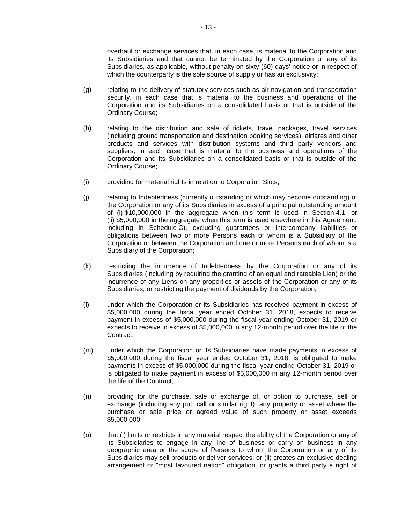overhaul or exchange services that, in each case, is material to the Corporation and its Subsidiaries and that cannot be terminated by the Corporation or any of its Subsidiaries, as applicable, without penalty on sixty (60) days' notice or in respect of which the counterparty is the sole source of supply or has an exclusivity;

- (g) relating to the delivery of statutory services such as air navigation and transportation security, in each case that is material to the business and operations of the Corporation and its Subsidiaries on a consolidated basis or that is outside of the Ordinary Course;
- (h) relating to the distribution and sale of tickets, travel packages, travel services (including ground transportation and destination booking services), airfares and other products and services with distribution systems and third party vendors and suppliers, in each case that is material to the business and operations of the Corporation and its Subsidiaries on a consolidated basis or that is outside of the Ordinary Course;
- (i) providing for material rights in relation to Corporation Slots;
- (j) relating to Indebtedness (currently outstanding or which may become outstanding) of the Corporation or any of its Subsidiaries in excess of a principal outstanding amount of (i) \$10,000,000 in the aggregate when this term is used in [Section](#page-33-1) 4.1, or (ii) \$5,000,000 in the aggregate when this term is used elsewhere in this Agreement, including in [Schedule](#page-79-0) C), excluding guarantees or intercompany liabilities or obligations between two or more Persons each of whom is a Subsidiary of the Corporation or between the Corporation and one or more Persons each of whom is a Subsidiary of the Corporation;
- (k) restricting the incurrence of Indebtedness by the Corporation or any of its Subsidiaries (including by requiring the granting of an equal and rateable Lien) or the incurrence of any Liens on any properties or assets of the Corporation or any of its Subsidiaries, or restricting the payment of dividends by the Corporation;
- (l) under which the Corporation or its Subsidiaries has received payment in excess of \$5,000,000 during the fiscal year ended October 31, 2018, expects to receive payment in excess of \$5,000,000 during the fiscal year ending October 31, 2019 or expects to receive in excess of \$5,000,000 in any 12-month period over the life of the Contract;
- (m) under which the Corporation or its Subsidiaries have made payments in excess of \$5,000,000 during the fiscal year ended October 31, 2018, is obligated to make payments in excess of \$5,000,000 during the fiscal year ending October 31, 2019 or is obligated to make payment in excess of \$5,000,000 in any 12-month period over the life of the Contract;
- (n) providing for the purchase, sale or exchange of, or option to purchase, sell or exchange (including any put, call or similar right), any property or asset where the purchase or sale price or agreed value of such property or asset exceeds \$5,000,000;
- (o) that (i) limits or restricts in any material respect the ability of the Corporation or any of its Subsidiaries to engage in any line of business or carry on business in any geographic area or the scope of Persons to whom the Corporation or any of its Subsidiaries may sell products or deliver services; or (ii) creates an exclusive dealing arrangement or "most favoured nation" obligation, or grants a third party a right of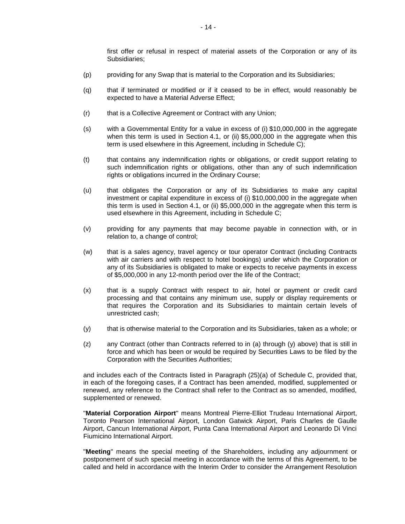first offer or refusal in respect of material assets of the Corporation or any of its Subsidiaries;

- (p) providing for any Swap that is material to the Corporation and its Subsidiaries;
- (q) that if terminated or modified or if it ceased to be in effect, would reasonably be expected to have a Material Adverse Effect;
- (r) that is a Collective Agreement or Contract with any Union;
- (s) with a Governmental Entity for a value in excess of (i) \$10,000,000 in the aggregate when this term is used in [Section](#page-33-1) 4.1, or (ii) \$5,000,000 in the aggregate when this term is used elsewhere in this Agreement, including in [Schedule](#page-79-0) C);
- (t) that contains any indemnification rights or obligations, or credit support relating to such indemnification rights or obligations, other than any of such indemnification rights or obligations incurred in the Ordinary Course;
- (u) that obligates the Corporation or any of its Subsidiaries to make any capital investment or capital expenditure in excess of (i) \$10,000,000 in the aggregate when this term is used in [Section](#page-33-1) 4.1, or (ii) \$5,000,000 in the aggregate when this term is used elsewhere in this Agreement, including in [Schedule](#page-79-0) C;
- (v) providing for any payments that may become payable in connection with, or in relation to, a change of control;
- (w) that is a sales agency, travel agency or tour operator Contract (including Contracts with air carriers and with respect to hotel bookings) under which the Corporation or any of its Subsidiaries is obligated to make or expects to receive payments in excess of \$5,000,000 in any 12-month period over the life of the Contract;
- (x) that is a supply Contract with respect to air, hotel or payment or credit card processing and that contains any minimum use, supply or display requirements or that requires the Corporation and its Subsidiaries to maintain certain levels of unrestricted cash;
- <span id="page-16-0"></span>(y) that is otherwise material to the Corporation and its Subsidiaries, taken as a whole; or
- (z) any Contract (other than Contracts referred to in [\(a\)](#page-14-0) through [\(y\)](#page-16-0) above) that is still in force and which has been or would be required by Securities Laws to be filed by the Corporation with the Securities Authorities;

and includes each of the Contracts listed in Paragraph [\(25\)\(a\)](#page-86-0) of [Schedule](#page-79-0) C, provided that, in each of the foregoing cases, if a Contract has been amended, modified, supplemented or renewed, any reference to the Contract shall refer to the Contract as so amended, modified, supplemented or renewed.

"**Material Corporation Airport**" means Montreal Pierre-Elliot Trudeau International Airport, Toronto Pearson International Airport, London Gatwick Airport, Paris Charles de Gaulle Airport, Cancun International Airport, Punta Cana International Airport and Leonardo Di Vinci Fiumicino International Airport.

"**Meeting**" means the special meeting of the Shareholders, including any adjournment or postponement of such special meeting in accordance with the terms of this Agreement, to be called and held in accordance with the Interim Order to consider the Arrangement Resolution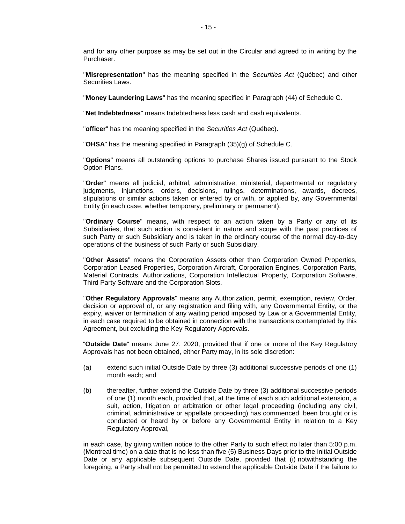and for any other purpose as may be set out in the Circular and agreed to in writing by the Purchaser.

"**Misrepresentation**" has the meaning specified in the *Securities Act* (Québec) and other Securities Laws.

"**Money Laundering Laws**" has the meaning specified in Paragraph [\(44\)](#page-100-1) of [Schedule](#page-79-0) C.

"**Net Indebtedness**" means Indebtedness less cash and cash equivalents.

"**officer**" has the meaning specified in the *Securities Act* (Québec).

"**OHSA**" has the meaning specified in Paragraph [\(35\)\(g\)](#page-93-0) of [Schedule](#page-79-0) C.

"**Options**" means all outstanding options to purchase Shares issued pursuant to the Stock Option Plans.

"**Order**" means all judicial, arbitral, administrative, ministerial, departmental or regulatory judgments, injunctions, orders, decisions, rulings, determinations, awards, decrees, stipulations or similar actions taken or entered by or with, or applied by, any Governmental Entity (in each case, whether temporary, preliminary or permanent).

"**Ordinary Course**" means, with respect to an action taken by a Party or any of its Subsidiaries, that such action is consistent in nature and scope with the past practices of such Party or such Subsidiary and is taken in the ordinary course of the normal day-to-day operations of the business of such Party or such Subsidiary.

"**Other Assets**" means the Corporation Assets other than Corporation Owned Properties, Corporation Leased Properties, Corporation Aircraft, Corporation Engines, Corporation Parts, Material Contracts, Authorizations, Corporation Intellectual Property, Corporation Software, Third Party Software and the Corporation Slots.

"**Other Regulatory Approvals**" means any Authorization, permit, exemption, review, Order, decision or approval of, or any registration and filing with, any Governmental Entity, or the expiry, waiver or termination of any waiting period imposed by Law or a Governmental Entity, in each case required to be obtained in connection with the transactions contemplated by this Agreement, but excluding the Key Regulatory Approvals.

"**Outside Date**" means June 27, 2020, provided that if one or more of the Key Regulatory Approvals has not been obtained, either Party may, in its sole discretion:

- (a) extend such initial Outside Date by three (3) additional successive periods of one (1) month each; and
- (b) thereafter, further extend the Outside Date by three (3) additional successive periods of one (1) month each, provided that, at the time of each such additional extension, a suit, action, litigation or arbitration or other legal proceeding (including any civil, criminal, administrative or appellate proceeding) has commenced, been brought or is conducted or heard by or before any Governmental Entity in relation to a Key Regulatory Approval,

in each case, by giving written notice to the other Party to such effect no later than 5:00 p.m. (Montreal time) on a date that is no less than five (5) Business Days prior to the initial Outside Date or any applicable subsequent Outside Date, provided that (i) notwithstanding the foregoing, a Party shall not be permitted to extend the applicable Outside Date if the failure to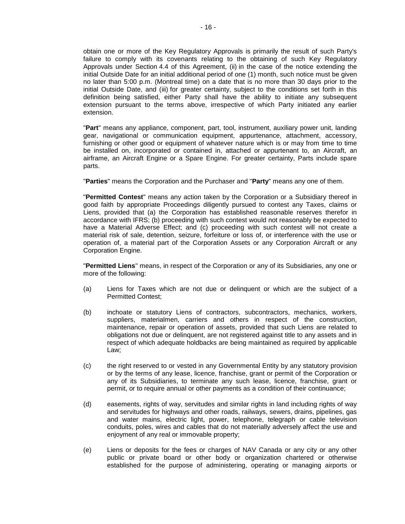obtain one or more of the Key Regulatory Approvals is primarily the result of such Party's failure to comply with its covenants relating to the obtaining of such Key Regulatory Approvals under [Section](#page-42-0) 4.4 of this Agreement, (ii) in the case of the notice extending the initial Outside Date for an initial additional period of one (1) month, such notice must be given no later than 5:00 p.m. (Montreal time) on a date that is no more than 30 days prior to the initial Outside Date, and (iii) for greater certainty, subject to the conditions set forth in this definition being satisfied, either Party shall have the ability to initiate any subsequent extension pursuant to the terms above, irrespective of which Party initiated any earlier extension.

"**Part**" means any appliance, component, part, tool, instrument, auxiliary power unit, landing gear, navigational or communication equipment, appurtenance, attachment, accessory, furnishing or other good or equipment of whatever nature which is or may from time to time be installed on, incorporated or contained in, attached or appurtenant to, an Aircraft, an airframe, an Aircraft Engine or a Spare Engine. For greater certainty, Parts include spare parts.

"**Parties**" means the Corporation and the Purchaser and "**Party**" means any one of them.

"**Permitted Contest**" means any action taken by the Corporation or a Subsidiary thereof in good faith by appropriate Proceedings diligently pursued to contest any Taxes, claims or Liens, provided that (a) the Corporation has established reasonable reserves therefor in accordance with IFRS; (b) proceeding with such contest would not reasonably be expected to have a Material Adverse Effect; and (c) proceeding with such contest will not create a material risk of sale, detention, seizure, forfeiture or loss of, or interference with the use or operation of, a material part of the Corporation Assets or any Corporation Aircraft or any Corporation Engine.

"**Permitted Liens**" means, in respect of the Corporation or any of its Subsidiaries, any one or more of the following:

- (a) Liens for Taxes which are not due or delinquent or which are the subject of a Permitted Contest;
- (b) inchoate or statutory Liens of contractors, subcontractors, mechanics, workers, suppliers, materialmen, carriers and others in respect of the construction, maintenance, repair or operation of assets, provided that such Liens are related to obligations not due or delinquent, are not registered against title to any assets and in respect of which adequate holdbacks are being maintained as required by applicable Law;
- (c) the right reserved to or vested in any Governmental Entity by any statutory provision or by the terms of any lease, licence, franchise, grant or permit of the Corporation or any of its Subsidiaries, to terminate any such lease, licence, franchise, grant or permit, or to require annual or other payments as a condition of their continuance;
- (d) easements, rights of way, servitudes and similar rights in land including rights of way and servitudes for highways and other roads, railways, sewers, drains, pipelines, gas and water mains, electric light, power, telephone, telegraph or cable television conduits, poles, wires and cables that do not materially adversely affect the use and enjoyment of any real or immovable property;
- (e) Liens or deposits for the fees or charges of NAV Canada or any city or any other public or private board or other body or organization chartered or otherwise established for the purpose of administering, operating or managing airports or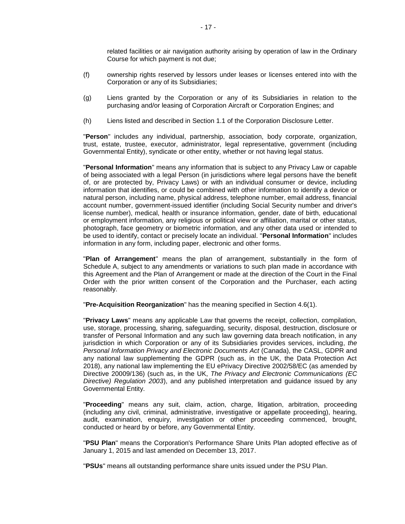related facilities or air navigation authority arising by operation of law in the Ordinary Course for which payment is not due;

- (f) ownership rights reserved by lessors under leases or licenses entered into with the Corporation or any of its Subsidiaries;
- (g) Liens granted by the Corporation or any of its Subsidiaries in relation to the purchasing and/or leasing of Corporation Aircraft or Corporation Engines; and
- (h) Liens listed and described in [Section](#page-3-1) 1.1 of the Corporation Disclosure Letter.

"**Person**" includes any individual, partnership, association, body corporate, organization, trust, estate, trustee, executor, administrator, legal representative, government (including Governmental Entity), syndicate or other entity, whether or not having legal status.

"**Personal Information**" means any information that is subject to any Privacy Law or capable of being associated with a legal Person (in jurisdictions where legal persons have the benefit of, or are protected by, Privacy Laws) or with an individual consumer or device, including information that identifies, or could be combined with other information to identify a device or natural person, including name, physical address, telephone number, email address, financial account number, government-issued identifier (including Social Security number and driver's license number), medical, health or insurance information, gender, date of birth, educational or employment information, any religious or political view or affiliation, marital or other status, photograph, face geometry or biometric information, and any other data used or intended to be used to identify, contact or precisely locate an individual. "**Personal Information**" includes information in any form, including paper, electronic and other forms.

"**Plan of Arrangement**" means the plan of arrangement, substantially in the form of [Schedule](#page-67-1) A, subject to any amendments or variations to such plan made in accordance with this Agreement and the Plan of Arrangement or made at the direction of the Court in the Final Order with the prior written consent of the Corporation and the Purchaser, each acting reasonably.

"**Pre-Acquisition Reorganization**" has the meaning specified in [Section](#page-44-1) 4.6(1).

"**Privacy Laws**" means any applicable Law that governs the receipt, collection, compilation, use, storage, processing, sharing, safeguarding, security, disposal, destruction, disclosure or transfer of Personal Information and any such law governing data breach notification, in any jurisdiction in which Corporation or any of its Subsidiaries provides services, including, *the Personal Information Privacy and Electronic Documents Act* (Canada), the CASL, GDPR and any national law supplementing the GDPR (such as, in the UK, the Data Protection Act 2018), any national law implementing the EU ePrivacy Directive 2002/58/EC (as amended by Directive 20009/136) (such as, in the UK, *The Privacy and Electronic Communications (EC Directive) Regulation 2003*), and any published interpretation and guidance issued by any Governmental Entity.

"**Proceeding**" means any suit, claim, action, charge, litigation, arbitration, proceeding (including any civil, criminal, administrative, investigative or appellate proceeding), hearing, audit, examination, enquiry, investigation or other proceeding commenced, brought, conducted or heard by or before, any Governmental Entity.

"**PSU Plan**" means the Corporation's Performance Share Units Plan adopted effective as of January 1, 2015 and last amended on December 13, 2017.

"**PSUs**" means all outstanding performance share units issued under the PSU Plan.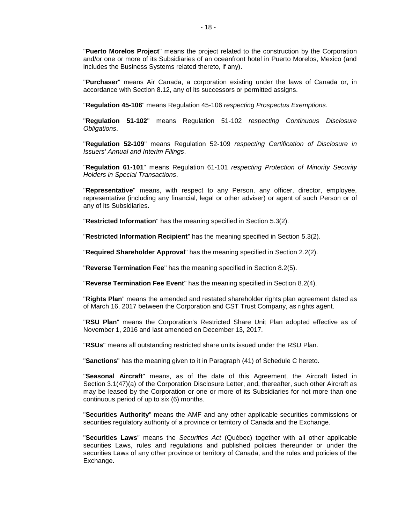"**Puerto Morelos Project**" means the project related to the construction by the Corporation and/or one or more of its Subsidiaries of an oceanfront hotel in Puerto Morelos, Mexico (and includes the Business Systems related thereto, if any).

"**Purchaser**" means Air Canada, a corporation existing under the laws of Canada or, in accordance with [Section](#page-64-0) 8.12, any of its successors or permitted assigns.

"**Regulation 45-106**" means Regulation 45-106 *respecting Prospectus Exemptions*.

"**Regulation 51-102**" means Regulation 51-102 *respecting Continuous Disclosure Obligations*.

"**Regulation 52-109**" means Regulation 52-109 *respecting Certification of Disclosure in Issuers' Annual and Interim Filings*.

"**Regulation 61-101**" means Regulation 61-101 *respecting Protection of Minority Security Holders in Special Transactions*.

"**Representative**" means, with respect to any Person, any officer, director, employee, representative (including any financial, legal or other adviser) or agent of such Person or of any of its Subsidiaries.

"**Restricted Information**" has the meaning specified in [Section](#page-50-1) 5.3(2).

"**Restricted Information Recipient**" has the meaning specified in [Section](#page-50-1) 5.3(2).

"**Required Shareholder Approval**" has the meaning specified in [Section](#page-25-3) 2.2(2).

"**Reverse Termination Fee**" has the meaning specified in [Section](#page-60-0) 8.2(5).

"**Reverse Termination Fee Event**" has the meaning specified in [Section](#page-60-1) 8.2(4).

"**Rights Plan**" means the amended and restated shareholder rights plan agreement dated as of March 16, 2017 between the Corporation and CST Trust Company, as rights agent.

"**RSU Plan**" means the Corporation's Restricted Share Unit Plan adopted effective as of November 1, 2016 and last amended on December 13, 2017.

"**RSUs**" means all outstanding restricted share units issued under the RSU Plan.

"**Sanctions**" has the meaning given to it in Paragraph [\(41\)](#page-99-0) of [Schedule](#page-79-0) C hereto.

"**Seasonal Aircraft**" means, as of the date of this Agreement, the Aircraft listed in [Section](#page-32-2) 3.[1\(47\)](#page-32-2)[\(a\)](#page-102-0) of the Corporation Disclosure Letter, and, thereafter, such other Aircraft as may be leased by the Corporation or one or more of its Subsidiaries for not more than one continuous period of up to six (6) months.

"**Securities Authority**" means the AMF and any other applicable securities commissions or securities regulatory authority of a province or territory of Canada and the Exchange.

"**Securities Laws**" means the *Securities Act* (Québec) together with all other applicable securities Laws, rules and regulations and published policies thereunder or under the securities Laws of any other province or territory of Canada, and the rules and policies of the Exchange.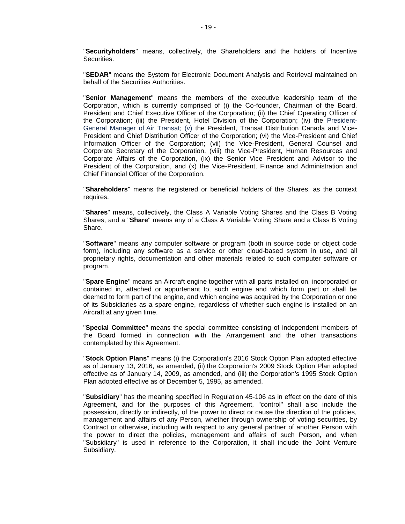"**Securityholders**" means, collectively, the Shareholders and the holders of Incentive Securities.

"**SEDAR**" means the System for Electronic Document Analysis and Retrieval maintained on behalf of the Securities Authorities.

"**Senior Management**" means the members of the executive leadership team of the Corporation, which is currently comprised of (i) the Co-founder, Chairman of the Board, President and Chief Executive Officer of the Corporation; (ii) the Chief Operating Officer of the Corporation; (iii) the President, Hotel Division of the Corporation; (iv) the President-General Manager of Air Transat; (v) the President, Transat Distribution Canada and Vice-President and Chief Distribution Officer of the Corporation; (vi) the Vice-President and Chief Information Officer of the Corporation; (vii) the Vice-President, General Counsel and Corporate Secretary of the Corporation, (viii) the Vice-President, Human Resources and Corporate Affairs of the Corporation, (ix) the Senior Vice President and Advisor to the President of the Corporation, and (x) the Vice-President, Finance and Administration and Chief Financial Officer of the Corporation.

"**Shareholders**" means the registered or beneficial holders of the Shares, as the context requires.

"**Shares**" means, collectively, the Class A Variable Voting Shares and the Class B Voting Shares, and a "**Share**" means any of a Class A Variable Voting Share and a Class B Voting Share.

"**Software**" means any computer software or program (both in source code or object code form), including any software as a service or other cloud-based system in use, and all proprietary rights, documentation and other materials related to such computer software or program.

"**Spare Engine**" means an Aircraft engine together with all parts installed on, incorporated or contained in, attached or appurtenant to, such engine and which form part or shall be deemed to form part of the engine, and which engine was acquired by the Corporation or one of its Subsidiaries as a spare engine, regardless of whether such engine is installed on an Aircraft at any given time.

"**Special Committee**" means the special committee consisting of independent members of the Board formed in connection with the Arrangement and the other transactions contemplated by this Agreement.

"**Stock Option Plans**" means (i) the Corporation's 2016 Stock Option Plan adopted effective as of January 13, 2016, as amended, (ii) the Corporation's 2009 Stock Option Plan adopted effective as of January 14, 2009, as amended, and (iii) the Corporation's 1995 Stock Option Plan adopted effective as of December 5, 1995, as amended.

"**Subsidiary**" has the meaning specified in Regulation 45-106 as in effect on the date of this Agreement, and for the purposes of this Agreement, "control" shall also include the possession, directly or indirectly, of the power to direct or cause the direction of the policies, management and affairs of any Person, whether through ownership of voting securities, by Contract or otherwise, including with respect to any general partner of another Person with the power to direct the policies, management and affairs of such Person, and when "Subsidiary" is used in reference to the Corporation, it shall include the Joint Venture Subsidiary.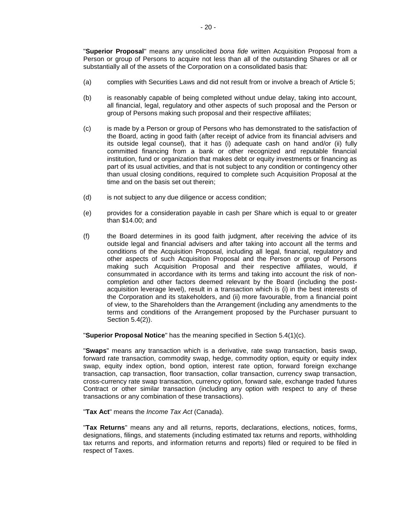"**Superior Proposal**" means any unsolicited *bona fide* written Acquisition Proposal from a Person or group of Persons to acquire not less than all of the outstanding Shares or all or substantially all of the assets of the Corporation on a consolidated basis that:

- (a) complies with Securities Laws and did not result from or involve a breach of [Article](#page-48-1) 5;
- (b) is reasonably capable of being completed without undue delay, taking into account, all financial, legal, regulatory and other aspects of such proposal and the Person or group of Persons making such proposal and their respective affiliates;
- (c) is made by a Person or group of Persons who has demonstrated to the satisfaction of the Board, acting in good faith (after receipt of advice from its financial advisers and its outside legal counsel), that it has (i) adequate cash on hand and/or (ii) fully committed financing from a bank or other recognized and reputable financial institution, fund or organization that makes debt or equity investments or financing as part of its usual activities, and that is not subject to any condition or contingency other than usual closing conditions, required to complete such Acquisition Proposal at the time and on the basis set out therein;
- (d) is not subject to any due diligence or access condition;
- (e) provides for a consideration payable in cash per Share which is equal to or greater than \$14.00; and
- (f) the Board determines in its good faith judgment, after receiving the advice of its outside legal and financial advisers and after taking into account all the terms and conditions of the Acquisition Proposal, including all legal, financial, regulatory and other aspects of such Acquisition Proposal and the Person or group of Persons making such Acquisition Proposal and their respective affiliates, would, if consummated in accordance with its terms and taking into account the risk of noncompletion and other factors deemed relevant by the Board (including the postacquisition leverage level), result in a transaction which is (i) in the best interests of the Corporation and its stakeholders, and (ii) more favourable, from a financial point of view, to the Shareholders than the Arrangement (including any amendments to the terms and conditions of the Arrangement proposed by the Purchaser pursuant to [Section](#page-52-0) 5.4(2)).

"**Superior Proposal Notice**" has the meaning specified in Section [5.4\(1\)\(c\).](#page-51-2)

"**Swaps**" means any transaction which is a derivative, rate swap transaction, basis swap, forward rate transaction, commodity swap, hedge, commodity option, equity or equity index swap, equity index option, bond option, interest rate option, forward foreign exchange transaction, cap transaction, floor transaction, collar transaction, currency swap transaction, cross-currency rate swap transaction, currency option, forward sale, exchange traded futures Contract or other similar transaction (including any option with respect to any of these transactions or any combination of these transactions).

"**Tax Act**" means the *Income Tax Act* (Canada).

"**Tax Returns**" means any and all returns, reports, declarations, elections, notices, forms, designations, filings, and statements (including estimated tax returns and reports, withholding tax returns and reports, and information returns and reports) filed or required to be filed in respect of Taxes.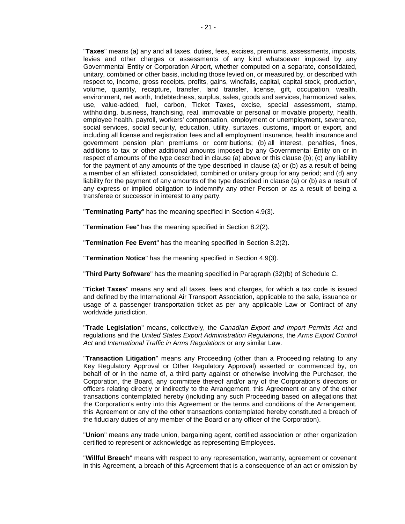"**Taxes**" means (a) any and all taxes, duties, fees, excises, premiums, assessments, imposts, levies and other charges or assessments of any kind whatsoever imposed by any Governmental Entity or Corporation Airport, whether computed on a separate, consolidated, unitary, combined or other basis, including those levied on, or measured by, or described with respect to, income, gross receipts, profits, gains, windfalls, capital, capital stock, production, volume, quantity, recapture, transfer, land transfer, license, gift, occupation, wealth, environment, net worth, Indebtedness, surplus, sales, goods and services, harmonized sales, use, value-added, fuel, carbon, Ticket Taxes, excise, special assessment, stamp, withholding, business, franchising, real, immovable or personal or movable property, health, employee health, payroll, workers' compensation, employment or unemployment, severance, social services, social security, education, utility, surtaxes, customs, import or export, and including all license and registration fees and all employment insurance, health insurance and government pension plan premiums or contributions; (b) all interest, penalties, fines, additions to tax or other additional amounts imposed by any Governmental Entity on or in respect of amounts of the type described in clause (a) above or this clause (b); (c) any liability for the payment of any amounts of the type described in clause (a) or (b) as a result of being a member of an affiliated, consolidated, combined or unitary group for any period; and (d) any liability for the payment of any amounts of the type described in clause (a) or (b) as a result of any express or implied obligation to indemnify any other Person or as a result of being a transferee or successor in interest to any party.

"**Terminating Party**" has the meaning specified in [Section](#page-46-1) 4.9(3).

"**Termination Fee**" has the meaning specified in [Section](#page-59-1) 8.2(2).

"**Termination Fee Event**" has the meaning specified in [Section](#page-59-1) 8.2(2).

"**Termination Notice**" has the meaning specified in [Section](#page-46-1) 4.9(3).

"**Third Party Software**" has the meaning specified in Paragraph [\(32\)\(b\)](#page-90-0) of [Schedule](#page-79-0) C.

"**Ticket Taxes**" means any and all taxes, fees and charges, for which a tax code is issued and defined by the International Air Transport Association, applicable to the sale, issuance or usage of a passenger transportation ticket as per any applicable Law or Contract of any worldwide jurisdiction.

"**Trade Legislation**" means, collectively, the *Canadian Export and Import Permits Act* and regulations and the *United States Export Administration Regulations*, the *Arms Export Control Act* and *International Traffic in Arms Regulations* or any similar Law.

"**Transaction Litigation**" means any Proceeding (other than a Proceeding relating to any Key Regulatory Approval or Other Regulatory Approval) asserted or commenced by, on behalf of or in the name of, a third party against or otherwise involving the Purchaser, the Corporation, the Board, any committee thereof and/or any of the Corporation's directors or officers relating directly or indirectly to the Arrangement, this Agreement or any of the other transactions contemplated hereby (including any such Proceeding based on allegations that the Corporation's entry into this Agreement or the terms and conditions of the Arrangement, this Agreement or any of the other transactions contemplated hereby constituted a breach of the fiduciary duties of any member of the Board or any officer of the Corporation).

"**Union**" means any trade union, bargaining agent, certified association or other organization certified to represent or acknowledge as representing Employees.

"**Willful Breach**" means with respect to any representation, warranty, agreement or covenant in this Agreement, a breach of this Agreement that is a consequence of an act or omission by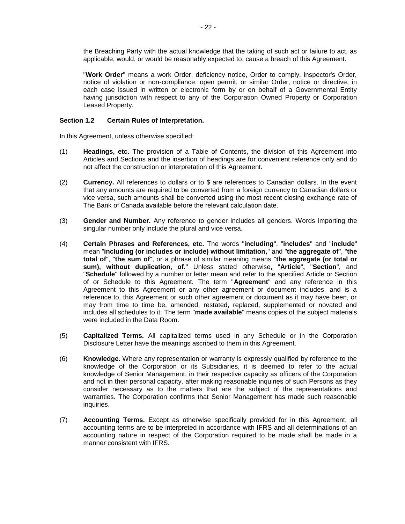the Breaching Party with the actual knowledge that the taking of such act or failure to act, as applicable, would, or would be reasonably expected to, cause a breach of this Agreement.

"**Work Order**" means a work Order, deficiency notice, Order to comply, inspector's Order, notice of violation or non-compliance, open permit, or similar Order, notice or directive, in each case issued in written or electronic form by or on behalf of a Governmental Entity having jurisdiction with respect to any of the Corporation Owned Property or Corporation Leased Property.

## <span id="page-24-0"></span>**Section 1.2 Certain Rules of Interpretation.**

In this Agreement, unless otherwise specified:

- (1) **Headings, etc.** The provision of a Table of Contents, the division of this Agreement into Articles and Sections and the insertion of headings are for convenient reference only and do not affect the construction or interpretation of this Agreement.
- (2) **Currency.** All references to dollars or to \$ are references to Canadian dollars. In the event that any amounts are required to be converted from a foreign currency to Canadian dollars or vice versa, such amounts shall be converted using the most recent closing exchange rate of The Bank of Canada available before the relevant calculation date.
- (3) **Gender and Number.** Any reference to gender includes all genders. Words importing the singular number only include the plural and vice versa.
- (4) **Certain Phrases and References, etc.** The words "**including**", "**includes**" and "**include**" mean "**including (or includes or include) without limitation,**" and "**the aggregate of**", "**the total of**", "**the sum of**", or a phrase of similar meaning means "**the aggregate (or total or sum), without duplication, of.**" Unless stated otherwise, "**Article**"**,** "**Section**", and "**Schedule**" followed by a number or letter mean and refer to the specified Article or Section of or Schedule to this Agreement. The term "**Agreement**" and any reference in this Agreement to this Agreement or any other agreement or document includes, and is a reference to, this Agreement or such other agreement or document as it may have been, or may from time to time be, amended, restated, replaced, supplemented or novated and includes all schedules to it. The term "**made available**" means copies of the subject materials were included in the Data Room.
- (5) **Capitalized Terms.** All capitalized terms used in any Schedule or in the Corporation Disclosure Letter have the meanings ascribed to them in this Agreement.
- (6) **Knowledge.** Where any representation or warranty is expressly qualified by reference to the knowledge of the Corporation or its Subsidiaries, it is deemed to refer to the actual knowledge of Senior Management, in their respective capacity as officers of the Corporation and not in their personal capacity, after making reasonable inquiries of such Persons as they consider necessary as to the matters that are the subject of the representations and warranties. The Corporation confirms that Senior Management has made such reasonable inquiries.
- (7) **Accounting Terms.** Except as otherwise specifically provided for in this Agreement, all accounting terms are to be interpreted in accordance with IFRS and all determinations of an accounting nature in respect of the Corporation required to be made shall be made in a manner consistent with IFRS.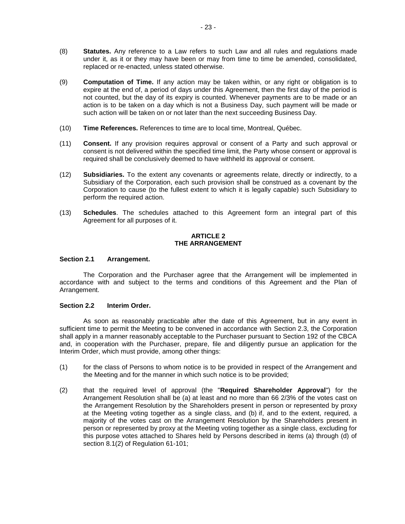- (8) **Statutes.** Any reference to a Law refers to such Law and all rules and regulations made under it, as it or they may have been or may from time to time be amended, consolidated, replaced or re-enacted, unless stated otherwise.
- (9) **Computation of Time.** If any action may be taken within, or any right or obligation is to expire at the end of, a period of days under this Agreement, then the first day of the period is not counted, but the day of its expiry is counted. Whenever payments are to be made or an action is to be taken on a day which is not a Business Day, such payment will be made or such action will be taken on or not later than the next succeeding Business Day.
- (10) **Time References.** References to time are to local time, Montreal, Québec.
- (11) **Consent.** If any provision requires approval or consent of a Party and such approval or consent is not delivered within the specified time limit, the Party whose consent or approval is required shall be conclusively deemed to have withheld its approval or consent.
- (12) **Subsidiaries.** To the extent any covenants or agreements relate, directly or indirectly, to a Subsidiary of the Corporation, each such provision shall be construed as a covenant by the Corporation to cause (to the fullest extent to which it is legally capable) such Subsidiary to perform the required action.
- (13) **Schedules**. The schedules attached to this Agreement form an integral part of this Agreement for all purposes of it.

## **ARTICLE 2 THE ARRANGEMENT**

## <span id="page-25-1"></span><span id="page-25-0"></span>**Section 2.1 Arrangement.**

The Corporation and the Purchaser agree that the Arrangement will be implemented in accordance with and subject to the terms and conditions of this Agreement and the Plan of Arrangement.

## <span id="page-25-2"></span>**Section 2.2 Interim Order.**

As soon as reasonably practicable after the date of this Agreement, but in any event in sufficient time to permit the Meeting to be convened in accordance with [Section](#page-26-0) 2.3, the Corporation shall apply in a manner reasonably acceptable to the Purchaser pursuant to Section 192 of the CBCA and, in cooperation with the Purchaser, prepare, file and diligently pursue an application for the Interim Order, which must provide, among other things:

- (1) for the class of Persons to whom notice is to be provided in respect of the Arrangement and the Meeting and for the manner in which such notice is to be provided;
- <span id="page-25-3"></span>(2) that the required level of approval (the "**Required Shareholder Approval**") for the Arrangement Resolution shall be (a) at least and no more than 66 2/3% of the votes cast on the Arrangement Resolution by the Shareholders present in person or represented by proxy at the Meeting voting together as a single class, and (b) if, and to the extent, required, a majority of the votes cast on the Arrangement Resolution by the Shareholders present in person or represented by proxy at the Meeting voting together as a single class, excluding for this purpose votes attached to Shares held by Persons described in items (a) through (d) of section 8.1(2) of Regulation 61-101;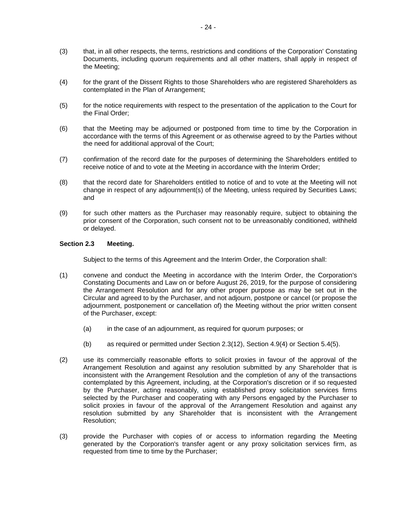- (3) that, in all other respects, the terms, restrictions and conditions of the Corporation' Constating Documents, including quorum requirements and all other matters, shall apply in respect of the Meeting;
- (4) for the grant of the Dissent Rights to those Shareholders who are registered Shareholders as contemplated in the Plan of Arrangement;
- (5) for the notice requirements with respect to the presentation of the application to the Court for the Final Order;
- (6) that the Meeting may be adjourned or postponed from time to time by the Corporation in accordance with the terms of this Agreement or as otherwise agreed to by the Parties without the need for additional approval of the Court;
- (7) confirmation of the record date for the purposes of determining the Shareholders entitled to receive notice of and to vote at the Meeting in accordance with the Interim Order;
- (8) that the record date for Shareholders entitled to notice of and to vote at the Meeting will not change in respect of any adjournment(s) of the Meeting, unless required by Securities Laws; and
- (9) for such other matters as the Purchaser may reasonably require, subject to obtaining the prior consent of the Corporation, such consent not to be unreasonably conditioned, withheld or delayed.

# <span id="page-26-0"></span>**Section 2.3 Meeting.**

Subject to the terms of this Agreement and the Interim Order, the Corporation shall:

- <span id="page-26-1"></span>(1) convene and conduct the Meeting in accordance with the Interim Order, the Corporation's Constating Documents and Law on or before August 26, 2019, for the purpose of considering the Arrangement Resolution and for any other proper purpose as may be set out in the Circular and agreed to by the Purchaser, and not adjourn, postpone or cancel (or propose the adjournment, postponement or cancellation of) the Meeting without the prior written consent of the Purchaser, except:
	- (a) in the case of an adjournment, as required for quorum purposes; or
	- (b) as required or permitted under [Section](#page-27-0) 2.3(12), [Section](#page-46-2) 4.9(4) or [Section](#page-53-3) 5.4(5).
- (2) use its commercially reasonable efforts to solicit proxies in favour of the approval of the Arrangement Resolution and against any resolution submitted by any Shareholder that is inconsistent with the Arrangement Resolution and the completion of any of the transactions contemplated by this Agreement, including, at the Corporation's discretion or if so requested by the Purchaser, acting reasonably, using established proxy solicitation services firms selected by the Purchaser and cooperating with any Persons engaged by the Purchaser to solicit proxies in favour of the approval of the Arrangement Resolution and against any resolution submitted by any Shareholder that is inconsistent with the Arrangement Resolution;
- (3) provide the Purchaser with copies of or access to information regarding the Meeting generated by the Corporation's transfer agent or any proxy solicitation services firm, as requested from time to time by the Purchaser;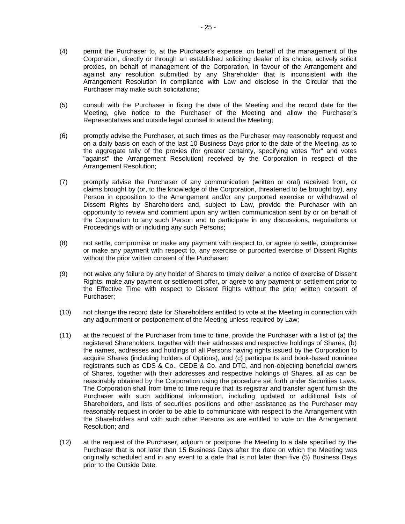- (4) permit the Purchaser to, at the Purchaser's expense, on behalf of the management of the Corporation, directly or through an established soliciting dealer of its choice, actively solicit proxies, on behalf of management of the Corporation, in favour of the Arrangement and against any resolution submitted by any Shareholder that is inconsistent with the Arrangement Resolution in compliance with Law and disclose in the Circular that the Purchaser may make such solicitations;
- (5) consult with the Purchaser in fixing the date of the Meeting and the record date for the Meeting, give notice to the Purchaser of the Meeting and allow the Purchaser's Representatives and outside legal counsel to attend the Meeting;
- (6) promptly advise the Purchaser, at such times as the Purchaser may reasonably request and on a daily basis on each of the last 10 Business Days prior to the date of the Meeting, as to the aggregate tally of the proxies (for greater certainty, specifying votes "for" and votes "against" the Arrangement Resolution) received by the Corporation in respect of the Arrangement Resolution;
- (7) promptly advise the Purchaser of any communication (written or oral) received from, or claims brought by (or, to the knowledge of the Corporation, threatened to be brought by), any Person in opposition to the Arrangement and/or any purported exercise or withdrawal of Dissent Rights by Shareholders and, subject to Law, provide the Purchaser with an opportunity to review and comment upon any written communication sent by or on behalf of the Corporation to any such Person and to participate in any discussions, negotiations or Proceedings with or including any such Persons;
- (8) not settle, compromise or make any payment with respect to, or agree to settle, compromise or make any payment with respect to, any exercise or purported exercise of Dissent Rights without the prior written consent of the Purchaser;
- (9) not waive any failure by any holder of Shares to timely deliver a notice of exercise of Dissent Rights, make any payment or settlement offer, or agree to any payment or settlement prior to the Effective Time with respect to Dissent Rights without the prior written consent of Purchaser;
- (10) not change the record date for Shareholders entitled to vote at the Meeting in connection with any adjournment or postponement of the Meeting unless required by Law;
- (11) at the request of the Purchaser from time to time, provide the Purchaser with a list of (a) the registered Shareholders, together with their addresses and respective holdings of Shares, (b) the names, addresses and holdings of all Persons having rights issued by the Corporation to acquire Shares (including holders of Options), and (c) participants and book-based nominee registrants such as CDS & Co., CEDE & Co. and DTC, and non-objecting beneficial owners of Shares, together with their addresses and respective holdings of Shares, all as can be reasonably obtained by the Corporation using the procedure set forth under Securities Laws. The Corporation shall from time to time require that its registrar and transfer agent furnish the Purchaser with such additional information, including updated or additional lists of Shareholders, and lists of securities positions and other assistance as the Purchaser may reasonably request in order to be able to communicate with respect to the Arrangement with the Shareholders and with such other Persons as are entitled to vote on the Arrangement Resolution; and
- <span id="page-27-0"></span>(12) at the request of the Purchaser, adjourn or postpone the Meeting to a date specified by the Purchaser that is not later than 15 Business Days after the date on which the Meeting was originally scheduled and in any event to a date that is not later than five (5) Business Days prior to the Outside Date.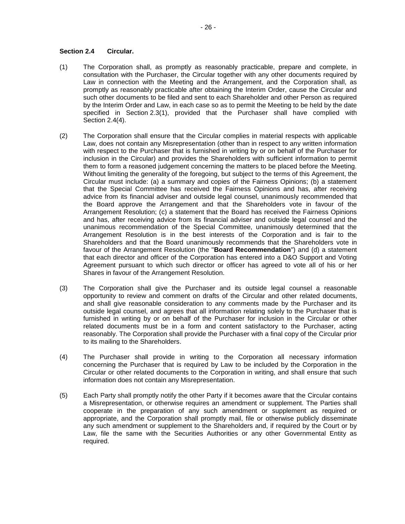## <span id="page-28-0"></span>**Section 2.4 Circular.**

- (1) The Corporation shall, as promptly as reasonably practicable, prepare and complete, in consultation with the Purchaser, the Circular together with any other documents required by Law in connection with the Meeting and the Arrangement, and the Corporation shall, as promptly as reasonably practicable after obtaining the Interim Order, cause the Circular and such other documents to be filed and sent to each Shareholder and other Person as required by the Interim Order and Law, in each case so as to permit the Meeting to be held by the date specified in [Section](#page-26-1) 2.3(1), provided that the Purchaser shall have complied with [Section](#page-28-2) 2.4(4).
- <span id="page-28-1"></span>(2) The Corporation shall ensure that the Circular complies in material respects with applicable Law, does not contain any Misrepresentation (other than in respect to any written information with respect to the Purchaser that is furnished in writing by or on behalf of the Purchaser for inclusion in the Circular) and provides the Shareholders with sufficient information to permit them to form a reasoned judgement concerning the matters to be placed before the Meeting. Without limiting the generality of the foregoing, but subject to the terms of this Agreement, the Circular must include: (a) a summary and copies of the Fairness Opinions; (b) a statement that the Special Committee has received the Fairness Opinions and has, after receiving advice from its financial adviser and outside legal counsel, unanimously recommended that the Board approve the Arrangement and that the Shareholders vote in favour of the Arrangement Resolution; (c) a statement that the Board has received the Fairness Opinions and has, after receiving advice from its financial adviser and outside legal counsel and the unanimous recommendation of the Special Committee, unanimously determined that the Arrangement Resolution is in the best interests of the Corporation and is fair to the Shareholders and that the Board unanimously recommends that the Shareholders vote in favour of the Arrangement Resolution (the "**Board Recommendation**") and (d) a statement that each director and officer of the Corporation has entered into a D&O Support and Voting Agreement pursuant to which such director or officer has agreed to vote all of his or her Shares in favour of the Arrangement Resolution.
- (3) The Corporation shall give the Purchaser and its outside legal counsel a reasonable opportunity to review and comment on drafts of the Circular and other related documents, and shall give reasonable consideration to any comments made by the Purchaser and its outside legal counsel, and agrees that all information relating solely to the Purchaser that is furnished in writing by or on behalf of the Purchaser for inclusion in the Circular or other related documents must be in a form and content satisfactory to the Purchaser, acting reasonably. The Corporation shall provide the Purchaser with a final copy of the Circular prior to its mailing to the Shareholders.
- <span id="page-28-2"></span>(4) The Purchaser shall provide in writing to the Corporation all necessary information concerning the Purchaser that is required by Law to be included by the Corporation in the Circular or other related documents to the Corporation in writing, and shall ensure that such information does not contain any Misrepresentation.
- (5) Each Party shall promptly notify the other Party if it becomes aware that the Circular contains a Misrepresentation, or otherwise requires an amendment or supplement. The Parties shall cooperate in the preparation of any such amendment or supplement as required or appropriate, and the Corporation shall promptly mail, file or otherwise publicly disseminate any such amendment or supplement to the Shareholders and, if required by the Court or by Law, file the same with the Securities Authorities or any other Governmental Entity as required.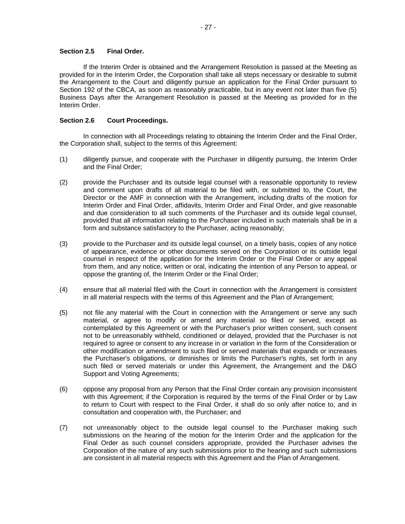## <span id="page-29-0"></span>**Section 2.5 Final Order.**

If the Interim Order is obtained and the Arrangement Resolution is passed at the Meeting as provided for in the Interim Order, the Corporation shall take all steps necessary or desirable to submit the Arrangement to the Court and diligently pursue an application for the Final Order pursuant to Section 192 of the CBCA, as soon as reasonably practicable, but in any event not later than five (5) Business Days after the Arrangement Resolution is passed at the Meeting as provided for in the Interim Order.

## <span id="page-29-1"></span>**Section 2.6 Court Proceedings.**

In connection with all Proceedings relating to obtaining the Interim Order and the Final Order, the Corporation shall, subject to the terms of this Agreement:

- (1) diligently pursue, and cooperate with the Purchaser in diligently pursuing, the Interim Order and the Final Order;
- (2) provide the Purchaser and its outside legal counsel with a reasonable opportunity to review and comment upon drafts of all material to be filed with, or submitted to, the Court, the Director or the AMF in connection with the Arrangement, including drafts of the motion for Interim Order and Final Order, affidavits, Interim Order and Final Order, and give reasonable and due consideration to all such comments of the Purchaser and its outside legal counsel, provided that all information relating to the Purchaser included in such materials shall be in a form and substance satisfactory to the Purchaser, acting reasonably;
- (3) provide to the Purchaser and its outside legal counsel, on a timely basis, copies of any notice of appearance, evidence or other documents served on the Corporation or its outside legal counsel in respect of the application for the Interim Order or the Final Order or any appeal from them, and any notice, written or oral, indicating the intention of any Person to appeal, or oppose the granting of, the Interim Order or the Final Order;
- (4) ensure that all material filed with the Court in connection with the Arrangement is consistent in all material respects with the terms of this Agreement and the Plan of Arrangement;
- (5) not file any material with the Court in connection with the Arrangement or serve any such material, or agree to modify or amend any material so filed or served, except as contemplated by this Agreement or with the Purchaser's prior written consent, such consent not to be unreasonably withheld, conditioned or delayed, provided that the Purchaser is not required to agree or consent to any increase in or variation in the form of the Consideration or other modification or amendment to such filed or served materials that expands or increases the Purchaser's obligations, or diminishes or limits the Purchaser's rights, set forth in any such filed or served materials or under this Agreement, the Arrangement and the D&O Support and Voting Agreements;
- (6) oppose any proposal from any Person that the Final Order contain any provision inconsistent with this Agreement; if the Corporation is required by the terms of the Final Order or by Law to return to Court with respect to the Final Order, it shall do so only after notice to, and in consultation and cooperation with, the Purchaser; and
- (7) not unreasonably object to the outside legal counsel to the Purchaser making such submissions on the hearing of the motion for the Interim Order and the application for the Final Order as such counsel considers appropriate, provided the Purchaser advises the Corporation of the nature of any such submissions prior to the hearing and such submissions are consistent in all material respects with this Agreement and the Plan of Arrangement.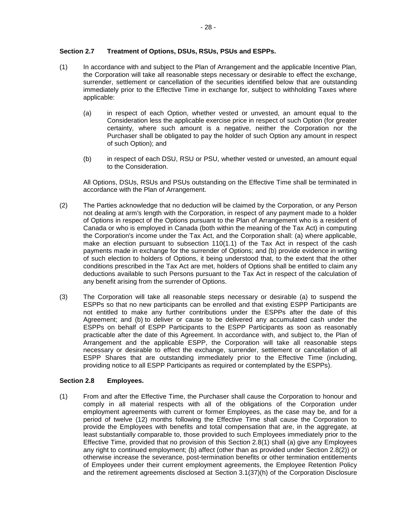# <span id="page-30-0"></span>**Section 2.7 Treatment of Options, DSUs, RSUs, PSUs and ESPPs.**

- (1) In accordance with and subject to the Plan of Arrangement and the applicable Incentive Plan, the Corporation will take all reasonable steps necessary or desirable to effect the exchange, surrender, settlement or cancellation of the securities identified below that are outstanding immediately prior to the Effective Time in exchange for, subject to withholding Taxes where applicable:
	- (a) in respect of each Option, whether vested or unvested, an amount equal to the Consideration less the applicable exercise price in respect of such Option (for greater certainty, where such amount is a negative, neither the Corporation nor the Purchaser shall be obligated to pay the holder of such Option any amount in respect of such Option); and
	- (b) in respect of each DSU, RSU or PSU, whether vested or unvested, an amount equal to the Consideration.

All Options, DSUs, RSUs and PSUs outstanding on the Effective Time shall be terminated in accordance with the Plan of Arrangement.

- (2) The Parties acknowledge that no deduction will be claimed by the Corporation, or any Person not dealing at arm's length with the Corporation, in respect of any payment made to a holder of Options in respect of the Options pursuant to the Plan of Arrangement who is a resident of Canada or who is employed in Canada (both within the meaning of the Tax Act) in computing the Corporation's income under the Tax Act, and the Corporation shall: (a) where applicable, make an election pursuant to subsection  $110(1.1)$  of the Tax Act in respect of the cash payments made in exchange for the surrender of Options; and (b) provide evidence in writing of such election to holders of Options, it being understood that, to the extent that the other conditions prescribed in the Tax Act are met, holders of Options shall be entitled to claim any deductions available to such Persons pursuant to the Tax Act in respect of the calculation of any benefit arising from the surrender of Options.
- (3) The Corporation will take all reasonable steps necessary or desirable (a) to suspend the ESPPs so that no new participants can be enrolled and that existing ESPP Participants are not entitled to make any further contributions under the ESPPs after the date of this Agreement; and (b) to deliver or cause to be delivered any accumulated cash under the ESPPs on behalf of ESPP Participants to the ESPP Participants as soon as reasonably practicable after the date of this Agreement. In accordance with, and subject to, the Plan of Arrangement and the applicable ESPP, the Corporation will take all reasonable steps necessary or desirable to effect the exchange, surrender, settlement or cancellation of all ESPP Shares that are outstanding immediately prior to the Effective Time (including, providing notice to all ESPP Participants as required or contemplated by the ESPPs).

## <span id="page-30-1"></span>**Section 2.8 Employees.**

<span id="page-30-2"></span>(1) From and after the Effective Time, the Purchaser shall cause the Corporation to honour and comply in all material respects with all of the obligations of the Corporation under employment agreements with current or former Employees, as the case may be, and for a period of twelve (12) months following the Effective Time shall cause the Corporation to provide the Employees with benefits and total compensation that are, in the aggregate, at least substantially comparable to, those provided to such Employees immediately prior to the Effective Time, provided that no provision of this [Section](#page-30-2) 2.8(1) shall (a) give any Employees any right to continued employment; (b) affect (other than as provided under [Section](#page-31-3) 2.8(2)) or otherwise increase the severance, post-termination benefits or other termination entitlements of Employees under their current employment agreements, the Employee Retention Policy and the retirement agreements disclosed at [Section](#page-32-2) 3.[1\(37\)](#page-32-2)[\(h\)](#page-96-0) of the Corporation Disclosure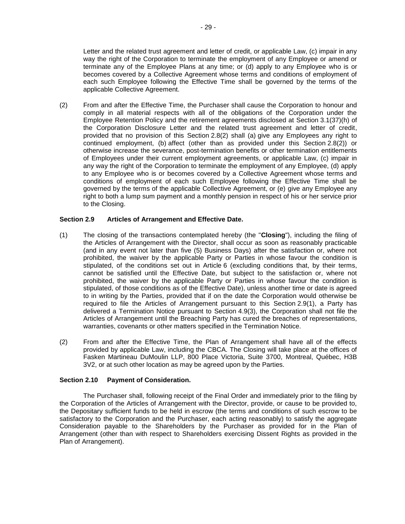Letter and the related trust agreement and letter of credit, or applicable Law, (c) impair in any way the right of the Corporation to terminate the employment of any Employee or amend or terminate any of the Employee Plans at any time; or (d) apply to any Employee who is or becomes covered by a Collective Agreement whose terms and conditions of employment of each such Employee following the Effective Time shall be governed by the terms of the applicable Collective Agreement.

<span id="page-31-3"></span>(2) From and after the Effective Time, the Purchaser shall cause the Corporation to honour and comply in all material respects with all of the obligations of the Corporation under the Employee Retention Policy and the retirement agreements disclosed at [Section](#page-32-2) 3.[1\(37\)](#page-32-2)[\(h\)](#page-96-0) of the Corporation Disclosure Letter and the related trust agreement and letter of credit, provided that no provision of this [Section](#page-31-3) 2.8(2) shall (a) give any Employees any right to continued employment, (b) affect (other than as provided under this [Section](#page-31-3) 2.8(2)) or otherwise increase the severance, post-termination benefits or other termination entitlements of Employees under their current employment agreements, or applicable Law, (c) impair in any way the right of the Corporation to terminate the employment of any Employee, (d) apply to any Employee who is or becomes covered by a Collective Agreement whose terms and conditions of employment of each such Employee following the Effective Time shall be governed by the terms of the applicable Collective Agreement, or (e) give any Employee any right to both a lump sum payment and a monthly pension in respect of his or her service prior to the Closing.

# <span id="page-31-0"></span>**Section 2.9 Articles of Arrangement and Effective Date.**

- <span id="page-31-2"></span>(1) The closing of the transactions contemplated hereby (the "**Closing**"), including the filing of the Articles of Arrangement with the Director, shall occur as soon as reasonably practicable (and in any event not later than five (5) Business Days) after the satisfaction or, where not prohibited, the waiver by the applicable Party or Parties in whose favour the condition is stipulated, of the conditions set out in [Article](#page-53-1) 6 (excluding conditions that, by their terms, cannot be satisfied until the Effective Date, but subject to the satisfaction or, where not prohibited, the waiver by the applicable Party or Parties in whose favour the condition is stipulated, of those conditions as of the Effective Date), unless another time or date is agreed to in writing by the Parties, provided that if on the date the Corporation would otherwise be required to file the Articles of Arrangement pursuant to this [Section](#page-31-2) 2.9(1), a Party has delivered a Termination Notice pursuant to [Section](#page-46-1) 4.9(3), the Corporation shall not file the Articles of Arrangement until the Breaching Party has cured the breaches of representations, warranties, covenants or other matters specified in the Termination Notice.
- (2) From and after the Effective Time, the Plan of Arrangement shall have all of the effects provided by applicable Law, including the CBCA. The Closing will take place at the offices of Fasken Martineau DuMoulin LLP, 800 Place Victoria, Suite 3700, Montreal, Québec, H3B 3V2, or at such other location as may be agreed upon by the Parties.

# <span id="page-31-1"></span>**Section 2.10 Payment of Consideration.**

The Purchaser shall, following receipt of the Final Order and immediately prior to the filing by the Corporation of the Articles of Arrangement with the Director, provide, or cause to be provided to, the Depositary sufficient funds to be held in escrow (the terms and conditions of such escrow to be satisfactory to the Corporation and the Purchaser, each acting reasonably) to satisfy the aggregate Consideration payable to the Shareholders by the Purchaser as provided for in the Plan of Arrangement (other than with respect to Shareholders exercising Dissent Rights as provided in the Plan of Arrangement).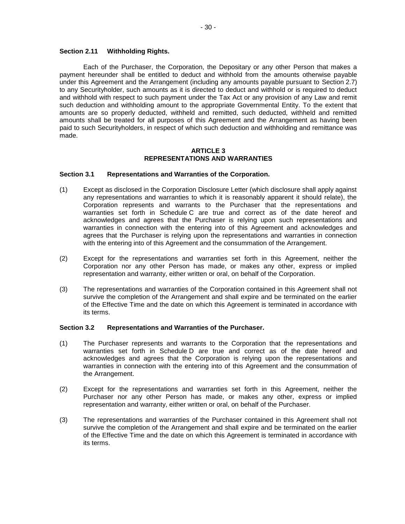#### <span id="page-32-0"></span>**Section 2.11 Withholding Rights.**

Each of the Purchaser, the Corporation, the Depositary or any other Person that makes a payment hereunder shall be entitled to deduct and withhold from the amounts otherwise payable under this Agreement and the Arrangement (including any amounts payable pursuant to [Section](#page-30-0) 2.7) to any Securityholder, such amounts as it is directed to deduct and withhold or is required to deduct and withhold with respect to such payment under the Tax Act or any provision of any Law and remit such deduction and withholding amount to the appropriate Governmental Entity. To the extent that amounts are so properly deducted, withheld and remitted, such deducted, withheld and remitted amounts shall be treated for all purposes of this Agreement and the Arrangement as having been paid to such Securityholders, in respect of which such deduction and withholding and remittance was made.

#### **ARTICLE 3 REPRESENTATIONS AND WARRANTIES**

## <span id="page-32-2"></span><span id="page-32-1"></span>**Section 3.1 Representations and Warranties of the Corporation.**

- (1) Except as disclosed in the Corporation Disclosure Letter (which disclosure shall apply against any representations and warranties to which it is reasonably apparent it should relate), the Corporation represents and warrants to the Purchaser that the representations and warranties set forth in [Schedule](#page-79-0) C are true and correct as of the date hereof and acknowledges and agrees that the Purchaser is relying upon such representations and warranties in connection with the entering into of this Agreement and acknowledges and agrees that the Purchaser is relying upon the representations and warranties in connection with the entering into of this Agreement and the consummation of the Arrangement.
- (2) Except for the representations and warranties set forth in this Agreement, neither the Corporation nor any other Person has made, or makes any other, express or implied representation and warranty, either written or oral, on behalf of the Corporation.
- (3) The representations and warranties of the Corporation contained in this Agreement shall not survive the completion of the Arrangement and shall expire and be terminated on the earlier of the Effective Time and the date on which this Agreement is terminated in accordance with its terms.

#### <span id="page-32-3"></span>**Section 3.2 Representations and Warranties of the Purchaser.**

- (1) The Purchaser represents and warrants to the Corporation that the representations and warranties set forth in [Schedule](#page-106-0) D are true and correct as of the date hereof and acknowledges and agrees that the Corporation is relying upon the representations and warranties in connection with the entering into of this Agreement and the consummation of the Arrangement.
- (2) Except for the representations and warranties set forth in this Agreement, neither the Purchaser nor any other Person has made, or makes any other, express or implied representation and warranty, either written or oral, on behalf of the Purchaser.
- (3) The representations and warranties of the Purchaser contained in this Agreement shall not survive the completion of the Arrangement and shall expire and be terminated on the earlier of the Effective Time and the date on which this Agreement is terminated in accordance with its terms.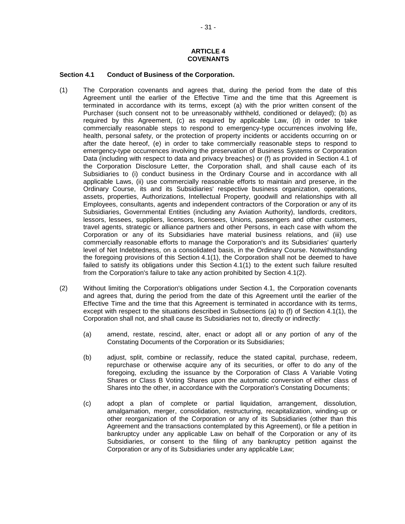## **ARTICLE 4 COVENANTS**

#### <span id="page-33-1"></span><span id="page-33-0"></span>**Section 4.1 Conduct of Business of the Corporation.**

- <span id="page-33-2"></span>(1) The Corporation covenants and agrees that, during the period from the date of this Agreement until the earlier of the Effective Time and the time that this Agreement is terminated in accordance with its terms, except (a) with the prior written consent of the Purchaser (such consent not to be unreasonably withheld, conditioned or delayed); (b) as required by this Agreement, (c) as required by applicable Law, (d) in order to take commercially reasonable steps to respond to emergency-type occurrences involving life, health, personal safety, or the protection of property incidents or accidents occurring on or after the date hereof, (e) in order to take commercially reasonable steps to respond to emergency-type occurrences involving the preservation of Business Systems or Corporation Data (including with respect to data and privacy breaches) or (f) as provided in [Section](#page-33-1) 4.1 of the Corporation Disclosure Letter, the Corporation shall, and shall cause each of its Subsidiaries to (i) conduct business in the Ordinary Course and in accordance with all applicable Laws, (ii) use commercially reasonable efforts to maintain and preserve, in the Ordinary Course, its and its Subsidiaries' respective business organization, operations, assets, properties, Authorizations, Intellectual Property, goodwill and relationships with all Employees, consultants, agents and independent contractors of the Corporation or any of its Subsidiaries, Governmental Entities (including any Aviation Authority), landlords, creditors, lessors, lessees, suppliers, licensors, licensees, Unions, passengers and other customers, travel agents, strategic or alliance partners and other Persons, in each case with whom the Corporation or any of its Subsidiaries have material business relations, and (iii) use commercially reasonable efforts to manage the Corporation's and its Subsidiaries' quarterly level of Net Indebtedness, on a consolidated basis, in the Ordinary Course. Notwithstanding the foregoing provisions of this [Section](#page-33-2) 4.1(1), the Corporation shall not be deemed to have failed to satisfy its obligations under this [Section](#page-33-2) 4.1(1) to the extent such failure resulted from the Corporation's failure to take any action prohibited by [Section](#page-33-3) 4.1(2).
- <span id="page-33-3"></span>(2) Without limiting the Corporation's obligations under [Section](#page-33-1) 4.1, the Corporation covenants and agrees that, during the period from the date of this Agreement until the earlier of the Effective Time and the time that this Agreement is terminated in accordance with its terms, except with respect to the situations described in Subsections (a) to (f) of [Section](#page-33-1) 4.[1\(1\),](#page-33-1) the Corporation shall not, and shall cause its Subsidiaries not to, directly or indirectly:
	- (a) amend, restate, rescind, alter, enact or adopt all or any portion of any of the Constating Documents of the Corporation or its Subsidiaries;
	- (b) adjust, split, combine or reclassify, reduce the stated capital, purchase, redeem, repurchase or otherwise acquire any of its securities, or offer to do any of the foregoing, excluding the issuance by the Corporation of Class A Variable Voting Shares or Class B Voting Shares upon the automatic conversion of either class of Shares into the other, in accordance with the Corporation's Constating Documents;
	- (c) adopt a plan of complete or partial liquidation, arrangement, dissolution, amalgamation, merger, consolidation, restructuring, recapitalization, winding-up or other reorganization of the Corporation or any of its Subsidiaries (other than this Agreement and the transactions contemplated by this Agreement), or file a petition in bankruptcy under any applicable Law on behalf of the Corporation or any of its Subsidiaries, or consent to the filing of any bankruptcy petition against the Corporation or any of its Subsidiaries under any applicable Law;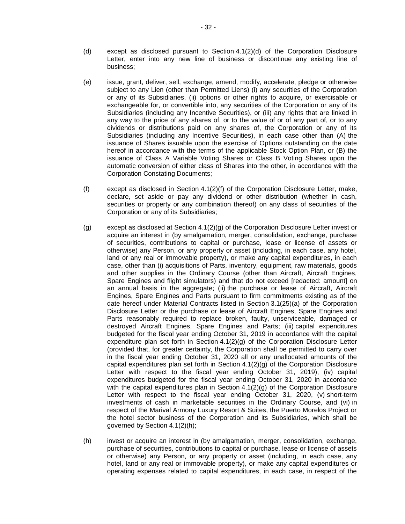- <span id="page-34-0"></span>(d) except as disclosed pursuant to Section [4.1\(2\)\(d\)](#page-34-0) of the Corporation Disclosure Letter, enter into any new line of business or discontinue any existing line of business;
- (e) issue, grant, deliver, sell, exchange, amend, modify, accelerate, pledge or otherwise subject to any Lien (other than Permitted Liens) (i) any securities of the Corporation or any of its Subsidiaries, (ii) options or other rights to acquire, or exercisable or exchangeable for, or convertible into, any securities of the Corporation or any of its Subsidiaries (including any Incentive Securities), or (iii) any rights that are linked in any way to the price of any shares of, or to the value of or of any part of, or to any dividends or distributions paid on any shares of, the Corporation or any of its Subsidiaries (including any Incentive Securities), in each case other than (A) the issuance of Shares issuable upon the exercise of Options outstanding on the date hereof in accordance with the terms of the applicable Stock Option Plan, or (B) the issuance of Class A Variable Voting Shares or Class B Voting Shares upon the automatic conversion of either class of Shares into the other, in accordance with the Corporation Constating Documents;
- <span id="page-34-1"></span>(f) except as disclosed in [Section](#page-34-1) 4.1(2)(f) of the Corporation Disclosure Letter, make, declare, set aside or pay any dividend or other distribution (whether in cash, securities or property or any combination thereof) on any class of securities of the Corporation or any of its Subsidiaries;
- <span id="page-34-2"></span>(g) except as disclosed at Section [4.1\(2\)\(g\)](#page-34-2) of the Corporation Disclosure Letter invest or acquire an interest in (by amalgamation, merger, consolidation, exchange, purchase of securities, contributions to capital or purchase, lease or license of assets or otherwise) any Person, or any property or asset (including, in each case, any hotel, land or any real or immovable property), or make any capital expenditures, in each case, other than (i) acquisitions of Parts, inventory, equipment, raw materials, goods and other supplies in the Ordinary Course (other than Aircraft, Aircraft Engines, Spare Engines and flight simulators) and that do not exceed [redacted: amount] on an annual basis in the aggregate; (ii) the purchase or lease of Aircraft, Aircraft Engines, Spare Engines and Parts pursuant to firm commitments existing as of the date hereof under Material Contracts listed in [Section](#page-32-2) 3.[1\(25\)](#page-32-2)[\(a\)](#page-86-1) of the Corporation Disclosure Letter or the purchase or lease of Aircraft Engines, Spare Engines and Parts reasonably required to replace broken, faulty, unserviceable, damaged or destroyed Aircraft Engines, Spare Engines and Parts; (iii) capital expenditures budgeted for the fiscal year ending October 31, 2019 in accordance with the capital expenditure plan set forth in Section  $4.1(2)(g)$  of the Corporation Disclosure Letter (provided that, for greater certainty, the Corporation shall be permitted to carry over in the fiscal year ending October 31, 2020 all or any unallocated amounts of the capital expenditures plan set forth in Section  $4.1(2)(q)$  of the Corporation Disclosure Letter with respect to the fiscal year ending October 31, 2019), (iv) capital expenditures budgeted for the fiscal year ending October 31, 2020 in accordance with the capital expenditures plan in Section  $4.1(2)(q)$  of the Corporation Disclosure Letter with respect to the fiscal year ending October 31, 2020, (v) short-term investments of cash in marketable securities in the Ordinary Course, and (vi) in respect of the Marival Armony Luxury Resort & Suites, the Puerto Morelos Project or the hotel sector business of the Corporation and its Subsidiaries, which shall be governed by Section [4.1\(2\)\(h\);](#page-34-3)
- <span id="page-34-3"></span>(h) invest or acquire an interest in (by amalgamation, merger, consolidation, exchange, purchase of securities, contributions to capital or purchase, lease or license of assets or otherwise) any Person, or any property or asset (including, in each case, any hotel, land or any real or immovable property), or make any capital expenditures or operating expenses related to capital expenditures, in each case, in respect of the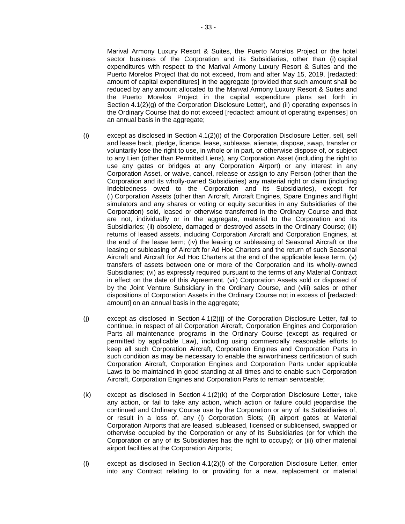Marival Armony Luxury Resort & Suites, the Puerto Morelos Project or the hotel sector business of the Corporation and its Subsidiaries, other than (i) capital expenditures with respect to the Marival Armony Luxury Resort & Suites and the Puerto Morelos Project that do not exceed, from and after May 15, 2019, [redacted: amount of capital expenditures] in the aggregate (provided that such amount shall be reduced by any amount allocated to the Marival Armony Luxury Resort & Suites and the Puerto Morelos Project in the capital expenditure plans set forth in Section [4.1\(2\)\(g\)](#page-34-2) of the Corporation Disclosure Letter), and (ii) operating expenses in the Ordinary Course that do not exceed [redacted: amount of operating expenses] on an annual basis in the aggregate;

- <span id="page-35-0"></span>(i) except as disclosed in [Section](#page-35-0) 4.1(2)(i) of the Corporation Disclosure Letter, sell, sell and lease back, pledge, licence, lease, sublease, alienate, dispose, swap, transfer or voluntarily lose the right to use, in whole or in part, or otherwise dispose of, or subject to any Lien (other than Permitted Liens), any Corporation Asset (including the right to use any gates or bridges at any Corporation Airport) or any interest in any Corporation Asset, or waive, cancel, release or assign to any Person (other than the Corporation and its wholly-owned Subsidiaries) any material right or claim (including Indebtedness owed to the Corporation and its Subsidiaries), except for (i) Corporation Assets (other than Aircraft, Aircraft Engines, Spare Engines and flight simulators and any shares or voting or equity securities in any Subsidiaries of the Corporation) sold, leased or otherwise transferred in the Ordinary Course and that are not, individually or in the aggregate, material to the Corporation and its Subsidiaries; (ii) obsolete, damaged or destroyed assets in the Ordinary Course; (iii) returns of leased assets, including Corporation Aircraft and Corporation Engines, at the end of the lease term; (iv) the leasing or subleasing of Seasonal Aircraft or the leasing or subleasing of Aircraft for Ad Hoc Charters and the return of such Seasonal Aircraft and Aircraft for Ad Hoc Charters at the end of the applicable lease term, (v) transfers of assets between one or more of the Corporation and its wholly-owned Subsidiaries; (vi) as expressly required pursuant to the terms of any Material Contract in effect on the date of this Agreement, (vii) Corporation Assets sold or disposed of by the Joint Venture Subsidiary in the Ordinary Course, and (viii) sales or other dispositions of Corporation Assets in the Ordinary Course not in excess of [redacted: amount] on an annual basis in the aggregate;
- <span id="page-35-1"></span>(j) except as disclosed in [Section](#page-35-1) 4.1(2)(j) of the Corporation Disclosure Letter, fail to continue, in respect of all Corporation Aircraft, Corporation Engines and Corporation Parts all maintenance programs in the Ordinary Course (except as required or permitted by applicable Law), including using commercially reasonable efforts to keep all such Corporation Aircraft, Corporation Engines and Corporation Parts in such condition as may be necessary to enable the airworthiness certification of such Corporation Aircraft, Corporation Engines and Corporation Parts under applicable Laws to be maintained in good standing at all times and to enable such Corporation Aircraft, Corporation Engines and Corporation Parts to remain serviceable;
- <span id="page-35-2"></span> $(k)$  except as disclosed in Section  $4.1(2)(k)$  of the Corporation Disclosure Letter, take any action, or fail to take any action, which action or failure could jeopardise the continued and Ordinary Course use by the Corporation or any of its Subsidiaries of, or result in a loss of, any (i) Corporation Slots; (ii) airport gates at Material Corporation Airports that are leased, subleased, licensed or sublicensed, swapped or otherwise occupied by the Corporation or any of its Subsidiaries (or for which the Corporation or any of its Subsidiaries has the right to occupy); or (iii) other material airport facilities at the Corporation Airports;
- <span id="page-35-3"></span>(l) except as disclosed in [Section](#page-35-3) 4.1(2)(l) of the Corporation Disclosure Letter, enter into any Contract relating to or providing for a new, replacement or material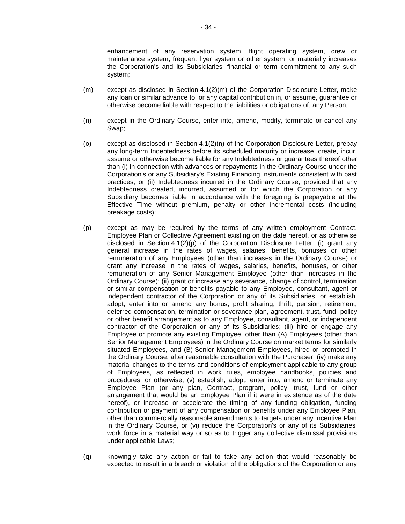enhancement of any reservation system, flight operating system, crew or maintenance system, frequent flyer system or other system, or materially increases the Corporation's and its Subsidiaries' financial or term commitment to any such system;

- <span id="page-36-0"></span>(m) except as disclosed in Section [4.1\(2\)\(m\)](#page-36-0) of the Corporation Disclosure Letter, make any loan or similar advance to, or any capital contribution in, or assume, guarantee or otherwise become liable with respect to the liabilities or obligations of, any Person;
- <span id="page-36-1"></span>(n) except in the Ordinary Course, enter into, amend, modify, terminate or cancel any Swap;
- (o) except as disclosed in Section  $4.1(2)(n)$  of the Corporation Disclosure Letter, prepay any long-term Indebtedness before its scheduled maturity or increase, create, incur, assume or otherwise become liable for any Indebtedness or guarantees thereof other than (i) in connection with advances or repayments in the Ordinary Course under the Corporation's or any Subsidiary's Existing Financing Instruments consistent with past practices; or (ii) Indebtedness incurred in the Ordinary Course; provided that any Indebtedness created, incurred, assumed or for which the Corporation or any Subsidiary becomes liable in accordance with the foregoing is prepayable at the Effective Time without premium, penalty or other incremental costs (including breakage costs);
- <span id="page-36-2"></span>(p) except as may be required by the terms of any written employment Contract, Employee Plan or Collective Agreement existing on the date hereof, or as otherwise disclosed in Section  $4.1(2)(p)$  of the Corporation Disclosure Letter: (i) grant any general increase in the rates of wages, salaries, benefits, bonuses or other remuneration of any Employees (other than increases in the Ordinary Course) or grant any increase in the rates of wages, salaries, benefits, bonuses, or other remuneration of any Senior Management Employee (other than increases in the Ordinary Course); (ii) grant or increase any severance, change of control, termination or similar compensation or benefits payable to any Employee, consultant, agent or independent contractor of the Corporation or any of its Subsidiaries, or establish, adopt, enter into or amend any bonus, profit sharing, thrift, pension, retirement, deferred compensation, termination or severance plan, agreement, trust, fund, policy or other benefit arrangement as to any Employee, consultant, agent, or independent contractor of the Corporation or any of its Subsidiaries; (iii) hire or engage any Employee or promote any existing Employee, other than (A) Employees (other than Senior Management Employees) in the Ordinary Course on market terms for similarly situated Employees, and (B) Senior Management Employees, hired or promoted in the Ordinary Course, after reasonable consultation with the Purchaser, (iv) make any material changes to the terms and conditions of employment applicable to any group of Employees, as reflected in work rules, employee handbooks, policies and procedures, or otherwise, (v) establish, adopt, enter into, amend or terminate any Employee Plan (or any plan, Contract, program, policy, trust, fund or other arrangement that would be an Employee Plan if it were in existence as of the date hereof), or increase or accelerate the timing of any funding obligation, funding contribution or payment of any compensation or benefits under any Employee Plan, other than commercially reasonable amendments to targets under any Incentive Plan in the Ordinary Course, or (vi) reduce the Corporation's or any of its Subsidiaries' work force in a material way or so as to trigger any collective dismissal provisions under applicable Laws;
- (q) knowingly take any action or fail to take any action that would reasonably be expected to result in a breach or violation of the obligations of the Corporation or any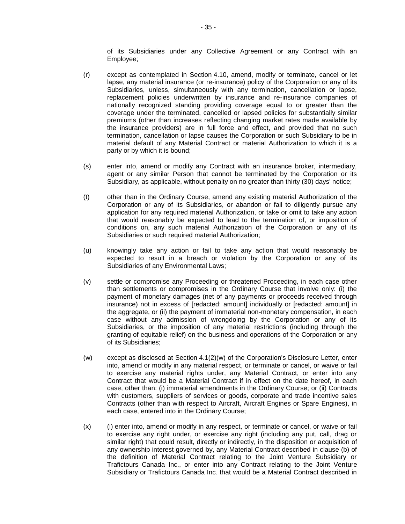of its Subsidiaries under any Collective Agreement or any Contract with an Employee;

- (r) except as contemplated in [Section](#page-47-0) 4.10, amend, modify or terminate, cancel or let lapse, any material insurance (or re-insurance) policy of the Corporation or any of its Subsidiaries, unless, simultaneously with any termination, cancellation or lapse, replacement policies underwritten by insurance and re-insurance companies of nationally recognized standing providing coverage equal to or greater than the coverage under the terminated, cancelled or lapsed policies for substantially similar premiums (other than increases reflecting changing market rates made available by the insurance providers) are in full force and effect, and provided that no such termination, cancellation or lapse causes the Corporation or such Subsidiary to be in material default of any Material Contract or material Authorization to which it is a party or by which it is bound;
- (s) enter into, amend or modify any Contract with an insurance broker, intermediary, agent or any similar Person that cannot be terminated by the Corporation or its Subsidiary, as applicable, without penalty on no greater than thirty (30) days' notice;
- (t) other than in the Ordinary Course, amend any existing material Authorization of the Corporation or any of its Subsidiaries, or abandon or fail to diligently pursue any application for any required material Authorization, or take or omit to take any action that would reasonably be expected to lead to the termination of, or imposition of conditions on, any such material Authorization of the Corporation or any of its Subsidiaries or such required material Authorization;
- (u) knowingly take any action or fail to take any action that would reasonably be expected to result in a breach or violation by the Corporation or any of its Subsidiaries of any Environmental Laws;
- (v) settle or compromise any Proceeding or threatened Proceeding, in each case other than settlements or compromises in the Ordinary Course that involve only: (i) the payment of monetary damages (net of any payments or proceeds received through insurance) not in excess of [redacted: amount] individually or [redacted: amount] in the aggregate, or (ii) the payment of immaterial non-monetary compensation, in each case without any admission of wrongdoing by the Corporation or any of its Subsidiaries, or the imposition of any material restrictions (including through the granting of equitable relief) on the business and operations of the Corporation or any of its Subsidiaries;
- <span id="page-37-0"></span>(w) except as disclosed at Section [4.1\(2\)\(w\)](#page-37-0) of the Corporation's Disclosure Letter, enter into, amend or modify in any material respect, or terminate or cancel, or waive or fail to exercise any material rights under, any Material Contract, or enter into any Contract that would be a Material Contract if in effect on the date hereof, in each case, other than: (i) immaterial amendments in the Ordinary Course; or (ii) Contracts with customers, suppliers of services or goods, corporate and trade incentive sales Contracts (other than with respect to Aircraft, Aircraft Engines or Spare Engines), in each case, entered into in the Ordinary Course;
- (x) (i) enter into, amend or modify in any respect, or terminate or cancel, or waive or fail to exercise any right under, or exercise any right (including any put, call, drag or similar right) that could result, directly or indirectly, in the disposition or acquisition of any ownership interest governed by, any Material Contract described in clause (b) of the definition of Material Contract relating to the Joint Venture Subsidiary or Trafictours Canada Inc., or enter into any Contract relating to the Joint Venture Subsidiary or Trafictours Canada Inc. that would be a Material Contract described in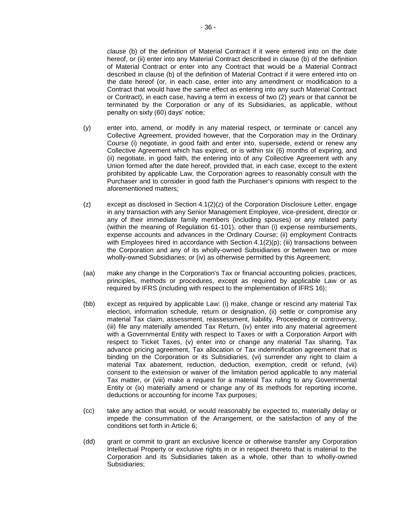clause (b) of the definition of Material Contract if it were entered into on the date hereof, or (ii) enter into any Material Contract described in clause (b) of the definition of Material Contract or enter into any Contract that would be a Material Contract described in clause (b) of the definition of Material Contract if it were entered into on the date hereof (or, in each case, enter into any amendment or modification to a Contract that would have the same effect as entering into any such Material Contract or Contract), in each case, having a term in excess of two (2) years or that cannot be terminated by the Corporation or any of its Subsidiaries, as applicable, without penalty on sixty (60) days' notice;

- (y) enter into, amend, or modify in any material respect, or terminate or cancel any Collective Agreement, provided however, that the Corporation may in the Ordinary Course (i) negotiate, in good faith and enter into, supersede, extend or renew any Collective Agreement which has expired, or is within six (6) months of expiring, and (ii) negotiate, in good faith, the entering into of any Collective Agreement with any Union formed after the date hereof, provided that, in each case, except to the extent prohibited by applicable Law, the Corporation agrees to reasonably consult with the Purchaser and to consider in good faith the Purchaser's opinions with respect to the aforementioned matters;
- <span id="page-38-0"></span> $(z)$  except as disclosed in Section  $4.1(2)(z)$  of the Corporation Disclosure Letter, engage in any transaction with any Senior Management Employee, vice-president, director or any of their immediate family members (including spouses) or any related party (within the meaning of Regulation 61-101), other than (i) expense reimbursements, expense accounts and advances in the Ordinary Course; (ii) employment Contracts with Employees hired in accordance with Section  $4.1(2)(p)$ ; (iii) transactions between the Corporation and any of its wholly-owned Subsidiaries or between two or more wholly-owned Subsidiaries; or (iv) as otherwise permitted by this Agreement;
- (aa) make any change in the Corporation's Tax or financial accounting policies, practices, principles, methods or procedures, except as required by applicable Law or as required by IFRS (including with respect to the implementation of IFRS 16);
- (bb) except as required by applicable Law: (i) make, change or rescind any material Tax election, information schedule, return or designation, (ii) settle or compromise any material Tax claim, assessment, reassessment, liability, Proceeding or controversy, (iii) file any materially amended Tax Return, (iv) enter into any material agreement with a Governmental Entity with respect to Taxes or with a Corporation Airport with respect to Ticket Taxes, (v) enter into or change any material Tax sharing, Tax advance pricing agreement, Tax allocation or Tax indemnification agreement that is binding on the Corporation or its Subsidiaries, (vi) surrender any right to claim a material Tax abatement, reduction, deduction, exemption, credit or refund, (vii) consent to the extension or waiver of the limitation period applicable to any material Tax matter, or (viii) make a request for a material Tax ruling to any Governmental Entity or (ix) materially amend or change any of its methods for reporting income, deductions or accounting for income Tax purposes;
- (cc) take any action that would, or would reasonably be expected to, materially delay or impede the consummation of the Arrangement, or the satisfaction of any of the conditions set forth in [Article](#page-53-0) 6;
- (dd) grant or commit to grant an exclusive licence or otherwise transfer any Corporation Intellectual Property or exclusive rights in or in respect thereto that is material to the Corporation and its Subsidiaries taken as a whole, other than to wholly-owned Subsidiaries;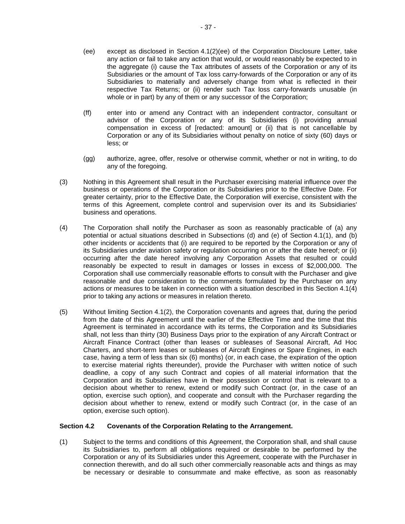- <span id="page-39-0"></span>(ee) except as disclosed in Section [4.1\(2\)\(ee\)](#page-39-0) of the Corporation Disclosure Letter, take any action or fail to take any action that would, or would reasonably be expected to in the aggregate (i) cause the Tax attributes of assets of the Corporation or any of its Subsidiaries or the amount of Tax loss carry-forwards of the Corporation or any of its Subsidiaries to materially and adversely change from what is reflected in their respective Tax Returns; or (ii) render such Tax loss carry-forwards unusable (in whole or in part) by any of them or any successor of the Corporation;
- (ff) enter into or amend any Contract with an independent contractor, consultant or advisor of the Corporation or any of its Subsidiaries (i) providing annual compensation in excess of [redacted: amount] or (ii) that is not cancellable by Corporation or any of its Subsidiaries without penalty on notice of sixty (60) days or less; or
- (gg) authorize, agree, offer, resolve or otherwise commit, whether or not in writing, to do any of the foregoing.
- (3) Nothing in this Agreement shall result in the Purchaser exercising material influence over the business or operations of the Corporation or its Subsidiaries prior to the Effective Date. For greater certainty, prior to the Effective Date, the Corporation will exercise, consistent with the terms of this Agreement, complete control and supervision over its and its Subsidiaries' business and operations.
- <span id="page-39-1"></span>(4) The Corporation shall notify the Purchaser as soon as reasonably practicable of (a) any potential or actual situations described in Subsections (d) and (e) of [Section](#page-33-0) 4.[1\(1\),](#page-33-0) and (b) other incidents or accidents that (i) are required to be reported by the Corporation or any of its Subsidiaries under aviation safety or regulation occurring on or after the date hereof; or (ii) occurring after the date hereof involving any Corporation Assets that resulted or could reasonably be expected to result in damages or losses in excess of \$2,000,000. The Corporation shall use commercially reasonable efforts to consult with the Purchaser and give reasonable and due consideration to the comments formulated by the Purchaser on any actions or measures to be taken in connection with a situation described in this [Section](#page-39-1) 4.1(4) prior to taking any actions or measures in relation thereto.
- (5) Without limiting [Section](#page-33-1) 4.1(2), the Corporation covenants and agrees that, during the period from the date of this Agreement until the earlier of the Effective Time and the time that this Agreement is terminated in accordance with its terms, the Corporation and its Subsidiaries shall, not less than thirty (30) Business Days prior to the expiration of any Aircraft Contract or Aircraft Finance Contract (other than leases or subleases of Seasonal Aircraft, Ad Hoc Charters, and short-term leases or subleases of Aircraft Engines or Spare Engines, in each case, having a term of less than six (6) months) (or, in each case, the expiration of the option to exercise material rights thereunder), provide the Purchaser with written notice of such deadline, a copy of any such Contract and copies of all material information that the Corporation and its Subsidiaries have in their possession or control that is relevant to a decision about whether to renew, extend or modify such Contract (or, in the case of an option, exercise such option), and cooperate and consult with the Purchaser regarding the decision about whether to renew, extend or modify such Contract (or, in the case of an option, exercise such option).

### **Section 4.2 Covenants of the Corporation Relating to the Arrangement.**

(1) Subject to the terms and conditions of this Agreement, the Corporation shall, and shall cause its Subsidiaries to, perform all obligations required or desirable to be performed by the Corporation or any of its Subsidiaries under this Agreement, cooperate with the Purchaser in connection therewith, and do all such other commercially reasonable acts and things as may be necessary or desirable to consummate and make effective, as soon as reasonably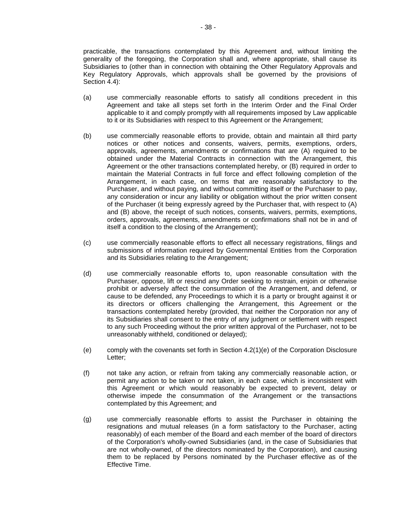practicable, the transactions contemplated by this Agreement and, without limiting the generality of the foregoing, the Corporation shall and, where appropriate, shall cause its Subsidiaries to (other than in connection with obtaining the Other Regulatory Approvals and Key Regulatory Approvals, which approvals shall be governed by the provisions of [Section](#page-42-0) 4.4):

- (a) use commercially reasonable efforts to satisfy all conditions precedent in this Agreement and take all steps set forth in the Interim Order and the Final Order applicable to it and comply promptly with all requirements imposed by Law applicable to it or its Subsidiaries with respect to this Agreement or the Arrangement;
- (b) use commercially reasonable efforts to provide, obtain and maintain all third party notices or other notices and consents, waivers, permits, exemptions, orders, approvals, agreements, amendments or confirmations that are (A) required to be obtained under the Material Contracts in connection with the Arrangement, this Agreement or the other transactions contemplated hereby, or (B) required in order to maintain the Material Contracts in full force and effect following completion of the Arrangement, in each case, on terms that are reasonably satisfactory to the Purchaser, and without paying, and without committing itself or the Purchaser to pay, any consideration or incur any liability or obligation without the prior written consent of the Purchaser (it being expressly agreed by the Purchaser that, with respect to (A) and (B) above, the receipt of such notices, consents, waivers, permits, exemptions, orders, approvals, agreements, amendments or confirmations shall not be in and of itself a condition to the closing of the Arrangement);
- (c) use commercially reasonable efforts to effect all necessary registrations, filings and submissions of information required by Governmental Entities from the Corporation and its Subsidiaries relating to the Arrangement;
- (d) use commercially reasonable efforts to, upon reasonable consultation with the Purchaser, oppose, lift or rescind any Order seeking to restrain, enjoin or otherwise prohibit or adversely affect the consummation of the Arrangement, and defend, or cause to be defended, any Proceedings to which it is a party or brought against it or its directors or officers challenging the Arrangement, this Agreement or the transactions contemplated hereby (provided, that neither the Corporation nor any of its Subsidiaries shall consent to the entry of any judgment or settlement with respect to any such Proceeding without the prior written approval of the Purchaser, not to be unreasonably withheld, conditioned or delayed);
- <span id="page-40-0"></span>(e) comply with the covenants set forth in Section [4.2\(1\)\(e\)](#page-40-0) of the Corporation Disclosure Letter;
- (f) not take any action, or refrain from taking any commercially reasonable action, or permit any action to be taken or not taken, in each case, which is inconsistent with this Agreement or which would reasonably be expected to prevent, delay or otherwise impede the consummation of the Arrangement or the transactions contemplated by this Agreement; and
- (g) use commercially reasonable efforts to assist the Purchaser in obtaining the resignations and mutual releases (in a form satisfactory to the Purchaser, acting reasonably) of each member of the Board and each member of the board of directors of the Corporation's wholly-owned Subsidiaries (and, in the case of Subsidiaries that are not wholly-owned, of the directors nominated by the Corporation), and causing them to be replaced by Persons nominated by the Purchaser effective as of the Effective Time.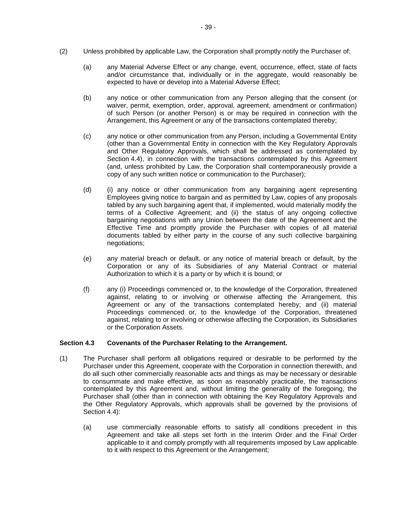- (2) Unless prohibited by applicable Law, the Corporation shall promptly notify the Purchaser of:
	- (a) any Material Adverse Effect or any change, event, occurrence, effect, state of facts and/or circumstance that, individually or in the aggregate, would reasonably be expected to have or develop into a Material Adverse Effect;
	- (b) any notice or other communication from any Person alleging that the consent (or waiver, permit, exemption, order, approval, agreement, amendment or confirmation) of such Person (or another Person) is or may be required in connection with the Arrangement, this Agreement or any of the transactions contemplated thereby;
	- (c) any notice or other communication from any Person, including a Governmental Entity (other than a Governmental Entity in connection with the Key Regulatory Approvals and Other Regulatory Approvals, which shall be addressed as contemplated by [Section](#page-42-0) 4.4), in connection with the transactions contemplated by this Agreement (and, unless prohibited by Law, the Corporation shall contemporaneously provide a copy of any such written notice or communication to the Purchaser);
	- (d) (i) any notice or other communication from any bargaining agent representing Employees giving notice to bargain and as permitted by Law, copies of any proposals tabled by any such bargaining agent that, if implemented, would materially modify the terms of a Collective Agreement; and (ii) the status of any ongoing collective bargaining negotiations with any Union between the date of the Agreement and the Effective Time and promptly provide the Purchaser with copies of all material documents tabled by either party in the course of any such collective bargaining negotiations;
	- (e) any material breach or default, or any notice of material breach or default, by the Corporation or any of its Subsidiaries of any Material Contract or material Authorization to which it is a party or by which it is bound; or
	- (f) any (i) Proceedings commenced or, to the knowledge of the Corporation, threatened against, relating to or involving or otherwise affecting the Arrangement, this Agreement or any of the transactions contemplated hereby; and (ii) material Proceedings commenced or, to the knowledge of the Corporation, threatened against, relating to or involving or otherwise affecting the Corporation, its Subsidiaries or the Corporation Assets.

### **Section 4.3 Covenants of the Purchaser Relating to the Arrangement.**

- (1) The Purchaser shall perform all obligations required or desirable to be performed by the Purchaser under this Agreement, cooperate with the Corporation in connection therewith, and do all such other commercially reasonable acts and things as may be necessary or desirable to consummate and make effective, as soon as reasonably practicable, the transactions contemplated by this Agreement and, without limiting the generality of the foregoing, the Purchaser shall (other than in connection with obtaining the Key Regulatory Approvals and the Other Regulatory Approvals, which approvals shall be governed by the provisions of [Section](#page-42-0) 4.4):
	- (a) use commercially reasonable efforts to satisfy all conditions precedent in this Agreement and take all steps set forth in the Interim Order and the Final Order applicable to it and comply promptly with all requirements imposed by Law applicable to it with respect to this Agreement or the Arrangement;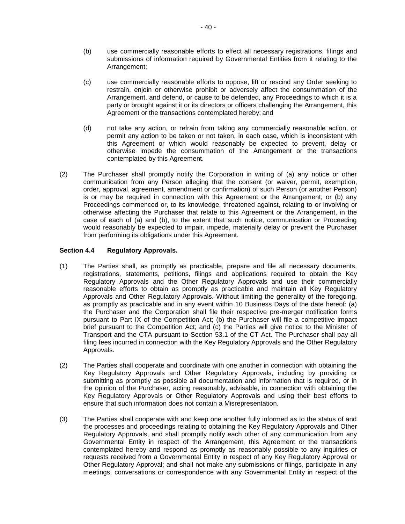- (b) use commercially reasonable efforts to effect all necessary registrations, filings and submissions of information required by Governmental Entities from it relating to the Arrangement:
- (c) use commercially reasonable efforts to oppose, lift or rescind any Order seeking to restrain, enjoin or otherwise prohibit or adversely affect the consummation of the Arrangement, and defend, or cause to be defended, any Proceedings to which it is a party or brought against it or its directors or officers challenging the Arrangement, this Agreement or the transactions contemplated hereby; and
- (d) not take any action, or refrain from taking any commercially reasonable action, or permit any action to be taken or not taken, in each case, which is inconsistent with this Agreement or which would reasonably be expected to prevent, delay or otherwise impede the consummation of the Arrangement or the transactions contemplated by this Agreement.
- (2) The Purchaser shall promptly notify the Corporation in writing of (a) any notice or other communication from any Person alleging that the consent (or waiver, permit, exemption, order, approval, agreement, amendment or confirmation) of such Person (or another Person) is or may be required in connection with this Agreement or the Arrangement; or (b) any Proceedings commenced or, to its knowledge, threatened against, relating to or involving or otherwise affecting the Purchaser that relate to this Agreement or the Arrangement, in the case of each of (a) and (b), to the extent that such notice, communication or Proceeding would reasonably be expected to impair, impede, materially delay or prevent the Purchaser from performing its obligations under this Agreement.

# <span id="page-42-0"></span>**Section 4.4 Regulatory Approvals.**

- (1) The Parties shall, as promptly as practicable, prepare and file all necessary documents, registrations, statements, petitions, filings and applications required to obtain the Key Regulatory Approvals and the Other Regulatory Approvals and use their commercially reasonable efforts to obtain as promptly as practicable and maintain all Key Regulatory Approvals and Other Regulatory Approvals. Without limiting the generality of the foregoing, as promptly as practicable and in any event within 10 Business Days of the date hereof: (a) the Purchaser and the Corporation shall file their respective pre-merger notification forms pursuant to Part IX of the Competition Act; (b) the Purchaser will file a competitive impact brief pursuant to the Competition Act; and (c) the Parties will give notice to the Minister of Transport and the CTA pursuant to Section 53.1 of the CT Act. The Purchaser shall pay all filing fees incurred in connection with the Key Regulatory Approvals and the Other Regulatory Approvals.
- (2) The Parties shall cooperate and coordinate with one another in connection with obtaining the Key Regulatory Approvals and Other Regulatory Approvals, including by providing or submitting as promptly as possible all documentation and information that is required, or in the opinion of the Purchaser, acting reasonably, advisable, in connection with obtaining the Key Regulatory Approvals or Other Regulatory Approvals and using their best efforts to ensure that such information does not contain a Misrepresentation.
- (3) The Parties shall cooperate with and keep one another fully informed as to the status of and the processes and proceedings relating to obtaining the Key Regulatory Approvals and Other Regulatory Approvals, and shall promptly notify each other of any communication from any Governmental Entity in respect of the Arrangement, this Agreement or the transactions contemplated hereby and respond as promptly as reasonably possible to any inquiries or requests received from a Governmental Entity in respect of any Key Regulatory Approval or Other Regulatory Approval; and shall not make any submissions or filings, participate in any meetings, conversations or correspondence with any Governmental Entity in respect of the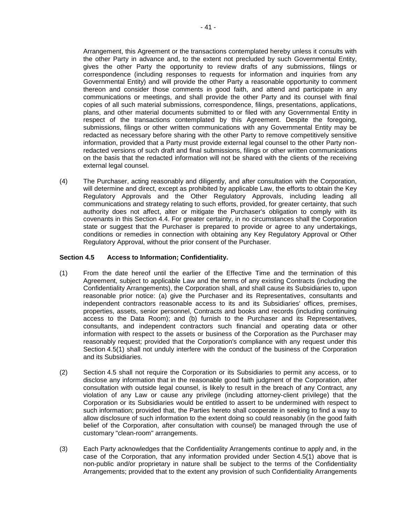Arrangement, this Agreement or the transactions contemplated hereby unless it consults with the other Party in advance and, to the extent not precluded by such Governmental Entity, gives the other Party the opportunity to review drafts of any submissions, filings or correspondence (including responses to requests for information and inquiries from any Governmental Entity) and will provide the other Party a reasonable opportunity to comment thereon and consider those comments in good faith, and attend and participate in any communications or meetings, and shall provide the other Party and its counsel with final copies of all such material submissions, correspondence, filings, presentations, applications, plans, and other material documents submitted to or filed with any Governmental Entity in respect of the transactions contemplated by this Agreement. Despite the foregoing, submissions, filings or other written communications with any Governmental Entity may be redacted as necessary before sharing with the other Party to remove competitively sensitive information, provided that a Party must provide external legal counsel to the other Party nonredacted versions of such draft and final submissions, filings or other written communications on the basis that the redacted information will not be shared with the clients of the receiving external legal counsel.

(4) The Purchaser, acting reasonably and diligently, and after consultation with the Corporation, will determine and direct, except as prohibited by applicable Law, the efforts to obtain the Key Regulatory Approvals and the Other Regulatory Approvals, including leading all communications and strategy relating to such efforts, provided, for greater certainty, that such authority does not affect, alter or mitigate the Purchaser's obligation to comply with its covenants in this [Section](#page-42-0) 4.4. For greater certainty, in no circumstances shall the Corporation state or suggest that the Purchaser is prepared to provide or agree to any undertakings, conditions or remedies in connection with obtaining any Key Regulatory Approval or Other Regulatory Approval, without the prior consent of the Purchaser.

### <span id="page-43-1"></span>**Section 4.5 Access to Information; Confidentiality.**

- <span id="page-43-0"></span>(1) From the date hereof until the earlier of the Effective Time and the termination of this Agreement, subject to applicable Law and the terms of any existing Contracts (including the Confidentiality Arrangements), the Corporation shall, and shall cause its Subsidiaries to, upon reasonable prior notice: (a) give the Purchaser and its Representatives, consultants and independent contractors reasonable access to its and its Subsidiaries' offices, premises, properties, assets, senior personnel, Contracts and books and records (including continuing access to the Data Room); and (b) furnish to the Purchaser and its Representatives, consultants, and independent contractors such financial and operating data or other information with respect to the assets or business of the Corporation as the Purchaser may reasonably request; provided that the Corporation's compliance with any request under this [Section](#page-43-0) 4.5(1) shall not unduly interfere with the conduct of the business of the Corporation and its Subsidiaries.
- (2) [Section](#page-43-1) 4.5 shall not require the Corporation or its Subsidiaries to permit any access, or to disclose any information that in the reasonable good faith judgment of the Corporation, after consultation with outside legal counsel, is likely to result in the breach of any Contract, any violation of any Law or cause any privilege (including attorney-client privilege) that the Corporation or its Subsidiaries would be entitled to assert to be undermined with respect to such information; provided that, the Parties hereto shall cooperate in seeking to find a way to allow disclosure of such information to the extent doing so could reasonably (in the good faith belief of the Corporation, after consultation with counsel) be managed through the use of customary "clean-room" arrangements.
- <span id="page-43-2"></span>(3) Each Party acknowledges that the Confidentiality Arrangements continue to apply and, in the case of the Corporation, that any information provided under [Section](#page-43-0) 4.5(1) above that is non-public and/or proprietary in nature shall be subject to the terms of the Confidentiality Arrangements; provided that to the extent any provision of such Confidentiality Arrangements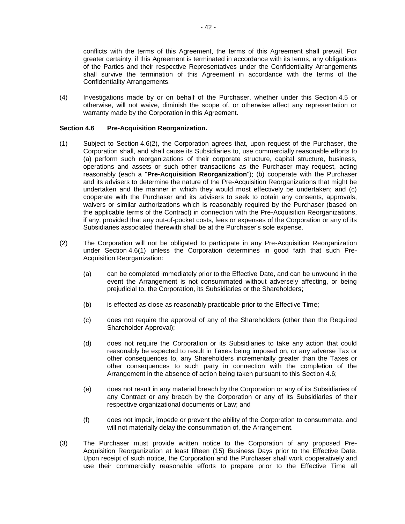conflicts with the terms of this Agreement, the terms of this Agreement shall prevail. For greater certainty, if this Agreement is terminated in accordance with its terms, any obligations of the Parties and their respective Representatives under the Confidentiality Arrangements shall survive the termination of this Agreement in accordance with the terms of the Confidentiality Arrangements.

(4) Investigations made by or on behalf of the Purchaser, whether under this [Section](#page-43-1) 4.5 or otherwise, will not waive, diminish the scope of, or otherwise affect any representation or warranty made by the Corporation in this Agreement.

### <span id="page-44-2"></span>**Section 4.6 Pre-Acquisition Reorganization.**

- <span id="page-44-1"></span>(1) Subject to [Section](#page-44-0) 4.6(2), the Corporation agrees that, upon request of the Purchaser, the Corporation shall, and shall cause its Subsidiaries to, use commercially reasonable efforts to (a) perform such reorganizations of their corporate structure, capital structure, business, operations and assets or such other transactions as the Purchaser may request, acting reasonably (each a "**Pre-Acquisition Reorganization**"); (b) cooperate with the Purchaser and its advisers to determine the nature of the Pre-Acquisition Reorganizations that might be undertaken and the manner in which they would most effectively be undertaken; and (c) cooperate with the Purchaser and its advisers to seek to obtain any consents, approvals, waivers or similar authorizations which is reasonably required by the Purchaser (based on the applicable terms of the Contract) in connection with the Pre-Acquisition Reorganizations, if any, provided that any out-of-pocket costs, fees or expenses of the Corporation or any of its Subsidiaries associated therewith shall be at the Purchaser's sole expense.
- <span id="page-44-0"></span>(2) The Corporation will not be obligated to participate in any Pre-Acquisition Reorganization under [Section](#page-44-1) 4.6(1) unless the Corporation determines in good faith that such Pre-Acquisition Reorganization:
	- (a) can be completed immediately prior to the Effective Date, and can be unwound in the event the Arrangement is not consummated without adversely affecting, or being prejudicial to, the Corporation, its Subsidiaries or the Shareholders;
	- (b) is effected as close as reasonably practicable prior to the Effective Time;
	- (c) does not require the approval of any of the Shareholders (other than the Required Shareholder Approval);
	- (d) does not require the Corporation or its Subsidiaries to take any action that could reasonably be expected to result in Taxes being imposed on, or any adverse Tax or other consequences to, any Shareholders incrementally greater than the Taxes or other consequences to such party in connection with the completion of the Arrangement in the absence of action being taken pursuant to this [Section](#page-44-2) 4.6;
	- (e) does not result in any material breach by the Corporation or any of its Subsidiaries of any Contract or any breach by the Corporation or any of its Subsidiaries of their respective organizational documents or Law; and
	- (f) does not impair, impede or prevent the ability of the Corporation to consummate, and will not materially delay the consummation of, the Arrangement.
- (3) The Purchaser must provide written notice to the Corporation of any proposed Pre-Acquisition Reorganization at least fifteen (15) Business Days prior to the Effective Date. Upon receipt of such notice, the Corporation and the Purchaser shall work cooperatively and use their commercially reasonable efforts to prepare prior to the Effective Time all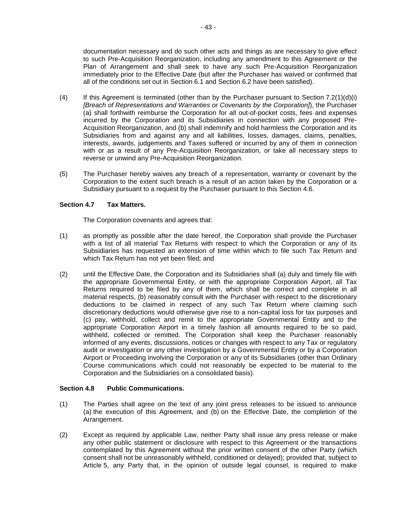documentation necessary and do such other acts and things as are necessary to give effect to such Pre-Acquisition Reorganization, including any amendment to this Agreement or the Plan of Arrangement and shall seek to have any such Pre-Acquisition Reorganization immediately prior to the Effective Date (but after the Purchaser has waived or confirmed that all of the conditions set out in [Section](#page-53-1) 6.1 and [Section](#page-54-0) 6.2 have been satisfied).

- <span id="page-45-0"></span>(4) If this Agreement is terminated (other than by the Purchaser pursuant to Section [7.2\(1\)\(d\)\(i\)](#page-57-0) *[Breach of Representations and Warranties or Covenants by the Corporation]*), the Purchaser (a) shall forthwith reimburse the Corporation for all out-of-pocket costs, fees and expenses incurred by the Corporation and its Subsidiaries in connection with any proposed Pre-Acquisition Reorganization, and (b) shall indemnify and hold harmless the Corporation and its Subsidiaries from and against any and all liabilities, losses, damages, claims, penalties, interests, awards, judgements and Taxes suffered or incurred by any of them in connection with or as a result of any Pre-Acquisition Reorganization, or take all necessary steps to reverse or unwind any Pre-Acquisition Reorganization.
- (5) The Purchaser hereby waives any breach of a representation, warranty or covenant by the Corporation to the extent such breach is a result of an action taken by the Corporation or a Subsidiary pursuant to a request by the Purchaser pursuant to this [Section](#page-44-2) 4.6.

### **Section 4.7 Tax Matters.**

The Corporation covenants and agrees that:

- (1) as promptly as possible after the date hereof, the Corporation shall provide the Purchaser with a list of all material Tax Returns with respect to which the Corporation or any of its Subsidiaries has requested an extension of time within which to file such Tax Return and which Tax Return has not yet been filed; and
- (2) until the Effective Date, the Corporation and its Subsidiaries shall (a) duly and timely file with the appropriate Governmental Entity, or with the appropriate Corporation Airport, all Tax Returns required to be filed by any of them, which shall be correct and complete in all material respects, (b) reasonably consult with the Purchaser with respect to the discretionary deductions to be claimed in respect of any such Tax Return where claiming such discretionary deductions would otherwise give rise to a non-capital loss for tax purposes and (c) pay, withhold, collect and remit to the appropriate Governmental Entity and to the appropriate Corporation Airport in a timely fashion all amounts required to be so paid, withheld, collected or remitted. The Corporation shall keep the Purchaser reasonably informed of any events, discussions, notices or changes with respect to any Tax or regulatory audit or investigation or any other investigation by a Governmental Entity or by a Corporation Airport or Proceeding involving the Corporation or any of its Subsidiaries (other than Ordinary Course communications which could not reasonably be expected to be material to the Corporation and the Subsidiaries on a consolidated basis).

### **Section 4.8 Public Communications.**

- (1) The Parties shall agree on the text of any joint press releases to be issued to announce (a) the execution of this Agreement, and (b) on the Effective Date, the completion of the Arrangement.
- (2) Except as required by applicable Law, neither Party shall issue any press release or make any other public statement or disclosure with respect to this Agreement or the transactions contemplated by this Agreement without the prior written consent of the other Party (which consent shall not be unreasonably withheld, conditioned or delayed); provided that, subject to [Article](#page-48-0) 5, any Party that, in the opinion of outside legal counsel, is required to make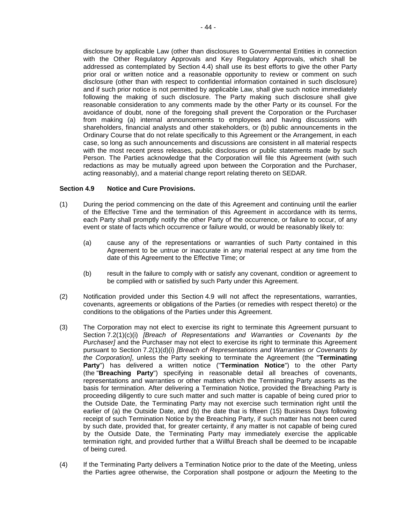disclosure by applicable Law (other than disclosures to Governmental Entities in connection with the Other Regulatory Approvals and Key Regulatory Approvals, which shall be addressed as contemplated by [Section](#page-42-0) 4.4) shall use its best efforts to give the other Party prior oral or written notice and a reasonable opportunity to review or comment on such disclosure (other than with respect to confidential information contained in such disclosure) and if such prior notice is not permitted by applicable Law, shall give such notice immediately following the making of such disclosure. The Party making such disclosure shall give reasonable consideration to any comments made by the other Party or its counsel. For the avoidance of doubt, none of the foregoing shall prevent the Corporation or the Purchaser from making (a) internal announcements to employees and having discussions with shareholders, financial analysts and other stakeholders, or (b) public announcements in the Ordinary Course that do not relate specifically to this Agreement or the Arrangement, in each case, so long as such announcements and discussions are consistent in all material respects with the most recent press releases, public disclosures or public statements made by such Person. The Parties acknowledge that the Corporation will file this Agreement (with such redactions as may be mutually agreed upon between the Corporation and the Purchaser, acting reasonably), and a material change report relating thereto on SEDAR.

#### <span id="page-46-0"></span>**Section 4.9 Notice and Cure Provisions.**

- (1) During the period commencing on the date of this Agreement and continuing until the earlier of the Effective Time and the termination of this Agreement in accordance with its terms, each Party shall promptly notify the other Party of the occurrence, or failure to occur, of any event or state of facts which occurrence or failure would, or would be reasonably likely to:
	- (a) cause any of the representations or warranties of such Party contained in this Agreement to be untrue or inaccurate in any material respect at any time from the date of this Agreement to the Effective Time; or
	- (b) result in the failure to comply with or satisfy any covenant, condition or agreement to be complied with or satisfied by such Party under this Agreement.
- (2) Notification provided under this [Section](#page-46-0) 4.9 will not affect the representations, warranties, covenants, agreements or obligations of the Parties (or remedies with respect thereto) or the conditions to the obligations of the Parties under this Agreement.
- <span id="page-46-1"></span>(3) The Corporation may not elect to exercise its right to terminate this Agreement pursuant to Section [7.2\(1\)\(c\)\(i\)](#page-57-1) *[Breach of Representations and Warranties or Covenants by the Purchaser]* and the Purchaser may not elect to exercise its right to terminate this Agreement pursuant to Section [7.2\(1\)\(d\)\(i\)](#page-57-0) *[Breach of Representations and Warranties or Covenants by the Corporation]*, unless the Party seeking to terminate the Agreement (the "**Terminating Party**") has delivered a written notice ("**Termination Notice**") to the other Party (the "**Breaching Party**") specifying in reasonable detail all breaches of covenants, representations and warranties or other matters which the Terminating Party asserts as the basis for termination. After delivering a Termination Notice, provided the Breaching Party is proceeding diligently to cure such matter and such matter is capable of being cured prior to the Outside Date, the Terminating Party may not exercise such termination right until the earlier of (a) the Outside Date, and (b) the date that is fifteen (15) Business Days following receipt of such Termination Notice by the Breaching Party, if such matter has not been cured by such date, provided that, for greater certainty, if any matter is not capable of being cured by the Outside Date, the Terminating Party may immediately exercise the applicable termination right, and provided further that a Willful Breach shall be deemed to be incapable of being cured.
- (4) If the Terminating Party delivers a Termination Notice prior to the date of the Meeting, unless the Parties agree otherwise, the Corporation shall postpone or adjourn the Meeting to the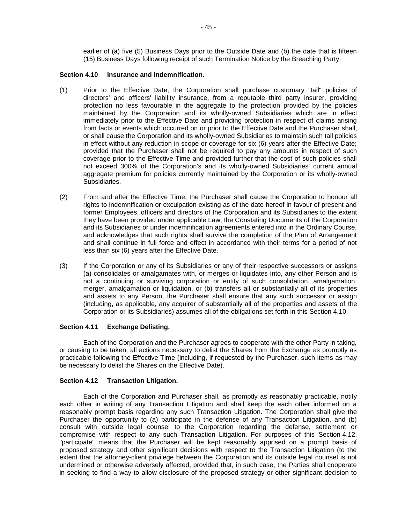earlier of (a) five (5) Business Days prior to the Outside Date and (b) the date that is fifteen (15) Business Days following receipt of such Termination Notice by the Breaching Party.

#### <span id="page-47-0"></span>**Section 4.10 Insurance and Indemnification.**

- (1) Prior to the Effective Date, the Corporation shall purchase customary "tail" policies of directors' and officers' liability insurance, from a reputable third party insurer, providing protection no less favourable in the aggregate to the protection provided by the policies maintained by the Corporation and its wholly-owned Subsidiaries which are in effect immediately prior to the Effective Date and providing protection in respect of claims arising from facts or events which occurred on or prior to the Effective Date and the Purchaser shall, or shall cause the Corporation and its wholly-owned Subsidiaries to maintain such tail policies in effect without any reduction in scope or coverage for six (6) years after the Effective Date; provided that the Purchaser shall not be required to pay any amounts in respect of such coverage prior to the Effective Time and provided further that the cost of such policies shall not exceed 300% of the Corporation's and its wholly-owned Subsidiaries' current annual aggregate premium for policies currently maintained by the Corporation or its wholly-owned Subsidiaries.
- (2) From and after the Effective Time, the Purchaser shall cause the Corporation to honour all rights to indemnification or exculpation existing as of the date hereof in favour of present and former Employees, officers and directors of the Corporation and its Subsidiaries to the extent they have been provided under applicable Law, the Constating Documents of the Corporation and its Subsidiaries or under indemnification agreements entered into in the Ordinary Course, and acknowledges that such rights shall survive the completion of the Plan of Arrangement and shall continue in full force and effect in accordance with their terms for a period of not less than six (6) years after the Effective Date.
- (3) If the Corporation or any of its Subsidiaries or any of their respective successors or assigns (a) consolidates or amalgamates with, or merges or liquidates into, any other Person and is not a continuing or surviving corporation or entity of such consolidation, amalgamation, merger, amalgamation or liquidation, or (b) transfers all or substantially all of its properties and assets to any Person, the Purchaser shall ensure that any such successor or assign (including, as applicable, any acquirer of substantially all of the properties and assets of the Corporation or its Subsidiaries) assumes all of the obligations set forth in this [Section](#page-47-0) 4.10.

#### **Section 4.11 Exchange Delisting.**

Each of the Corporation and the Purchaser agrees to cooperate with the other Party in taking, or causing to be taken, all actions necessary to delist the Shares from the Exchange as promptly as practicable following the Effective Time (including, if requested by the Purchaser, such items as may be necessary to delist the Shares on the Effective Date).

### <span id="page-47-1"></span>**Section 4.12 Transaction Litigation.**

Each of the Corporation and Purchaser shall, as promptly as reasonably practicable, notify each other in writing of any Transaction Litigation and shall keep the each other informed on a reasonably prompt basis regarding any such Transaction Litigation. The Corporation shall give the Purchaser the opportunity to (a) participate in the defense of any Transaction Litigation, and (b) consult with outside legal counsel to the Corporation regarding the defense, settlement or compromise with respect to any such Transaction Litigation. For purposes of this [Section](#page-47-1) 4.12, "participate" means that the Purchaser will be kept reasonably apprised on a prompt basis of proposed strategy and other significant decisions with respect to the Transaction Litigation (to the extent that the attorney-client privilege between the Corporation and its outside legal counsel is not undermined or otherwise adversely affected, provided that, in such case, the Parties shall cooperate in seeking to find a way to allow disclosure of the proposed strategy or other significant decision to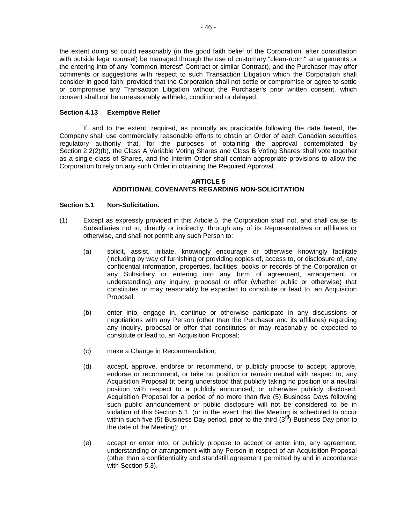the extent doing so could reasonably (in the good faith belief of the Corporation, after consultation with outside legal counsel) be managed through the use of customary "clean-room" arrangements or the entering into of any "common interest" Contract or similar Contract), and the Purchaser may offer comments or suggestions with respect to such Transaction Litigation which the Corporation shall consider in good faith; provided that the Corporation shall not settle or compromise or agree to settle or compromise any Transaction Litigation without the Purchaser's prior written consent, which consent shall not be unreasonably withheld, conditioned or delayed.

### **Section 4.13 Exemptive Relief**

If, and to the extent, required, as promptly as practicable following the date hereof, the Company shall use commercially reasonable efforts to obtain an Order of each Canadian securities regulatory authority that, for the purposes of obtaining the approval contemplated by [Section](#page-25-0) 2.2(2)(b), the Class A Variable Voting Shares and Class B Voting Shares shall vote together as a single class of Shares, and the Interim Order shall contain appropriate provisions to allow the Corporation to rely on any such Order in obtaining the Required Approval.

#### **ARTICLE 5 ADDITIONAL COVENANTS REGARDING NON-SOLICITATION**

#### <span id="page-48-1"></span><span id="page-48-0"></span>**Section 5.1 Non-Solicitation.**

- (1) Except as expressly provided in this [Article](#page-48-0) 5, the Corporation shall not, and shall cause its Subsidiaries not to, directly or indirectly, through any of its Representatives or affiliates or otherwise, and shall not permit any such Person to:
	- (a) solicit, assist, initiate, knowingly encourage or otherwise knowingly facilitate (including by way of furnishing or providing copies of, access to, or disclosure of, any confidential information, properties, facilities, books or records of the Corporation or any Subsidiary or entering into any form of agreement, arrangement or understanding) any inquiry, proposal or offer (whether public or otherwise) that constitutes or may reasonably be expected to constitute or lead to, an Acquisition Proposal;
	- (b) enter into, engage in, continue or otherwise participate in any discussions or negotiations with any Person (other than the Purchaser and its affiliates) regarding any inquiry, proposal or offer that constitutes or may reasonably be expected to constitute or lead to, an Acquisition Proposal;
	- (c) make a Change in Recommendation;
	- (d) accept, approve, endorse or recommend, or publicly propose to accept, approve, endorse or recommend, or take no position or remain neutral with respect to, any Acquisition Proposal (it being understood that publicly taking no position or a neutral position with respect to a publicly announced, or otherwise publicly disclosed, Acquisition Proposal for a period of no more than five (5) Business Days following such public announcement or public disclosure will not be considered to be in violation of this [Section](#page-48-1) 5.1, (or in the event that the Meeting is scheduled to occur within such five (5) Business Day period, prior to the third  $(3<sup>rd</sup>)$  Business Day prior to the date of the Meeting); or
	- (e) accept or enter into, or publicly propose to accept or enter into, any agreement, understanding or arrangement with any Person in respect of an Acquisition Proposal (other than a confidentiality and standstill agreement permitted by and in accordance with [Section](#page-50-0) 5.3).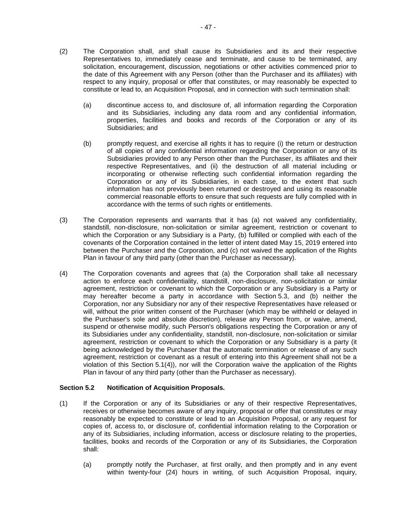- (2) The Corporation shall, and shall cause its Subsidiaries and its and their respective Representatives to, immediately cease and terminate, and cause to be terminated, any solicitation, encouragement, discussion, negotiations or other activities commenced prior to the date of this Agreement with any Person (other than the Purchaser and its affiliates) with respect to any inquiry, proposal or offer that constitutes, or may reasonably be expected to constitute or lead to, an Acquisition Proposal, and in connection with such termination shall:
	- (a) discontinue access to, and disclosure of, all information regarding the Corporation and its Subsidiaries, including any data room and any confidential information, properties, facilities and books and records of the Corporation or any of its Subsidiaries; and
	- (b) promptly request, and exercise all rights it has to require (i) the return or destruction of all copies of any confidential information regarding the Corporation or any of its Subsidiaries provided to any Person other than the Purchaser, its affiliates and their respective Representatives, and (ii) the destruction of all material including or incorporating or otherwise reflecting such confidential information regarding the Corporation or any of its Subsidiaries, in each case, to the extent that such information has not previously been returned or destroyed and using its reasonable commercial reasonable efforts to ensure that such requests are fully complied with in accordance with the terms of such rights or entitlements.
- (3) The Corporation represents and warrants that it has (a) not waived any confidentiality, standstill, non-disclosure, non-solicitation or similar agreement, restriction or covenant to which the Corporation or any Subsidiary is a Party, (b) fulfilled or complied with each of the covenants of the Corporation contained in the letter of intent dated May 15, 2019 entered into between the Purchaser and the Corporation, and (c) not waived the application of the Rights Plan in favour of any third party (other than the Purchaser as necessary).
- <span id="page-49-0"></span>(4) The Corporation covenants and agrees that (a) the Corporation shall take all necessary action to enforce each confidentiality, standstill, non-disclosure, non-solicitation or similar agreement, restriction or covenant to which the Corporation or any Subsidiary is a Party or may hereafter become a party in accordance with [Section](#page-50-0) 5.3, and (b) neither the Corporation, nor any Subsidiary nor any of their respective Representatives have released or will, without the prior written consent of the Purchaser (which may be withheld or delayed in the Purchaser's sole and absolute discretion), release any Person from, or waive, amend, suspend or otherwise modify, such Person's obligations respecting the Corporation or any of its Subsidiaries under any confidentiality, standstill, non-disclosure, non-solicitation or similar agreement, restriction or covenant to which the Corporation or any Subsidiary is a party (it being acknowledged by the Purchaser that the automatic termination or release of any such agreement, restriction or covenant as a result of entering into this Agreement shall not be a violation of this [Section](#page-49-0) 5.1(4)), nor will the Corporation waive the application of the Rights Plan in favour of any third party (other than the Purchaser as necessary).

### **Section 5.2 Notification of Acquisition Proposals.**

- (1) If the Corporation or any of its Subsidiaries or any of their respective Representatives, receives or otherwise becomes aware of any inquiry, proposal or offer that constitutes or may reasonably be expected to constitute or lead to an Acquisition Proposal, or any request for copies of, access to, or disclosure of, confidential information relating to the Corporation or any of its Subsidiaries, including information, access or disclosure relating to the properties, facilities, books and records of the Corporation or any of its Subsidiaries, the Corporation shall:
	- (a) promptly notify the Purchaser, at first orally, and then promptly and in any event within twenty-four (24) hours in writing, of such Acquisition Proposal, inquiry,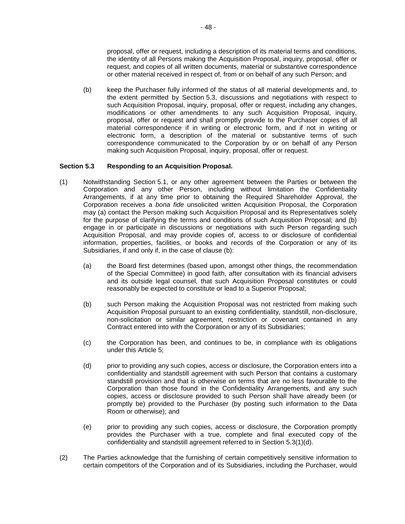proposal, offer or request, including a description of its material terms and conditions, the identity of all Persons making the Acquisition Proposal, inquiry, proposal, offer or request, and copies of all written documents, material or substantive correspondence or other material received in respect of, from or on behalf of any such Person; and

(b) keep the Purchaser fully informed of the status of all material developments and, to the extent permitted by [Section](#page-50-0) 5.3, discussions and negotiations with respect to such Acquisition Proposal, inquiry, proposal, offer or request, including any changes, modifications or other amendments to any such Acquisition Proposal, inquiry, proposal, offer or request and shall promptly provide to the Purchaser copies of all material correspondence if in writing or electronic form, and if not in writing or electronic form, a description of the material or substantive terms of such correspondence communicated to the Corporation by or on behalf of any Person making such Acquisition Proposal, inquiry, proposal, offer or request.

### <span id="page-50-0"></span>**Section 5.3 Responding to an Acquisition Proposal.**

- <span id="page-50-2"></span>(1) Notwithstanding [Section](#page-48-1) 5.1, or any other agreement between the Parties or between the Corporation and any other Person, including without limitation the Confidentiality Arrangements, if at any time prior to obtaining the Required Shareholder Approval, the Corporation receives a *bona fide* unsolicited written Acquisition Proposal, the Corporation may (a) contact the Person making such Acquisition Proposal and its Representatives solely for the purpose of clarifying the terms and conditions of such Acquisition Proposal; and (b) engage in or participate in discussions or negotiations with such Person regarding such Acquisition Proposal, and may provide copies of, access to or disclosure of confidential information, properties, facilities, or books and records of the Corporation or any of its Subsidiaries, if and only if, in the case of clause (b):
	- (a) the Board first determines (based upon, amongst other things, the recommendation of the Special Committee) in good faith, after consultation with its financial advisers and its outside legal counsel, that such Acquisition Proposal constitutes or could reasonably be expected to constitute or lead to a Superior Proposal;
	- (b) such Person making the Acquisition Proposal was not restricted from making such Acquisition Proposal pursuant to an existing confidentiality, standstill, non-disclosure, non-solicitation or similar agreement, restriction or covenant contained in any Contract entered into with the Corporation or any of its Subsidiaries;
	- (c) the Corporation has been, and continues to be, in compliance with its obligations under this [Article](#page-48-0) 5;
	- (d) prior to providing any such copies, access or disclosure, the Corporation enters into a confidentiality and standstill agreement with such Person that contains a customary standstill provision and that is otherwise on terms that are no less favourable to the Corporation than those found in the Confidentiality Arrangements, and any such copies, access or disclosure provided to such Person shall have already been (or promptly be) provided to the Purchaser (by posting such information to the Data Room or otherwise); and
	- (e) prior to providing any such copies, access or disclosure, the Corporation promptly provides the Purchaser with a true, complete and final executed copy of the confidentiality and standstill agreement referred to in [Section](#page-50-0) 5.[3\(1\)](#page-50-0)[\(d\).](#page-50-1)
- <span id="page-50-1"></span>(2) The Parties acknowledge that the furnishing of certain competitively sensitive information to certain competitors of the Corporation and of its Subsidiaries, including the Purchaser, would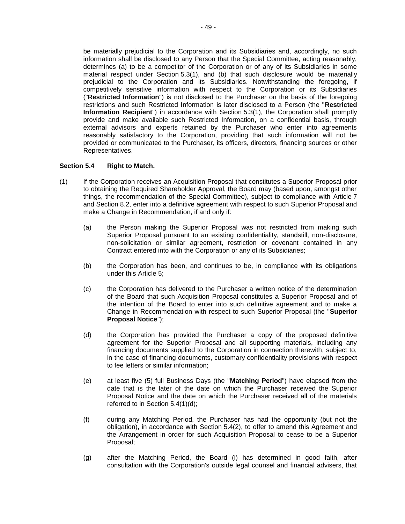be materially prejudicial to the Corporation and its Subsidiaries and, accordingly, no such information shall be disclosed to any Person that the Special Committee, acting reasonably, determines (a) to be a competitor of the Corporation or of any of its Subsidiaries in some material respect under [Section](#page-50-2) 5.3(1), and (b) that such disclosure would be materially prejudicial to the Corporation and its Subsidiaries. Notwithstanding the foregoing, if competitively sensitive information with respect to the Corporation or its Subsidiaries ("**Restricted Information**") is not disclosed to the Purchaser on the basis of the foregoing restrictions and such Restricted Information is later disclosed to a Person (the "**Restricted Information Recipient**") in accordance with [Section](#page-50-2) 5.3(1), the Corporation shall promptly provide and make available such Restricted Information, on a confidential basis, through external advisors and experts retained by the Purchaser who enter into agreements reasonably satisfactory to the Corporation, providing that such information will not be provided or communicated to the Purchaser, its officers, directors, financing sources or other Representatives.

### <span id="page-51-2"></span>**Section 5.4 Right to Match.**

- <span id="page-51-3"></span><span id="page-51-1"></span><span id="page-51-0"></span>(1) If the Corporation receives an Acquisition Proposal that constitutes a Superior Proposal prior to obtaining the Required Shareholder Approval, the Board may (based upon, amongst other things, the recommendation of the Special Committee), subject to compliance with [Article](#page-56-0) 7 and [Section](#page-59-0) 8.2, enter into a definitive agreement with respect to such Superior Proposal and make a Change in Recommendation, if and only if:
	- (a) the Person making the Superior Proposal was not restricted from making such Superior Proposal pursuant to an existing confidentiality, standstill, non-disclosure, non-solicitation or similar agreement, restriction or covenant contained in any Contract entered into with the Corporation or any of its Subsidiaries;
	- (b) the Corporation has been, and continues to be, in compliance with its obligations under this [Article](#page-48-0) 5;
	- (c) the Corporation has delivered to the Purchaser a written notice of the determination of the Board that such Acquisition Proposal constitutes a Superior Proposal and of the intention of the Board to enter into such definitive agreement and to make a Change in Recommendation with respect to such Superior Proposal (the "**Superior Proposal Notice**");
	- (d) the Corporation has provided the Purchaser a copy of the proposed definitive agreement for the Superior Proposal and all supporting materials, including any financing documents supplied to the Corporation in connection therewith, subject to, in the case of financing documents, customary confidentiality provisions with respect to fee letters or similar information;
	- (e) at least five (5) full Business Days (the "**Matching Period**") have elapsed from the date that is the later of the date on which the Purchaser received the Superior Proposal Notice and the date on which the Purchaser received all of the materials referred to in Section [5.4\(1\)\(d\);](#page-51-0)
	- (f) during any Matching Period, the Purchaser has had the opportunity (but not the obligation), in accordance with [Section](#page-52-0) 5.4(2), to offer to amend this Agreement and the Arrangement in order for such Acquisition Proposal to cease to be a Superior Proposal;
	- (g) after the Matching Period, the Board (i) has determined in good faith, after consultation with the Corporation's outside legal counsel and financial advisers, that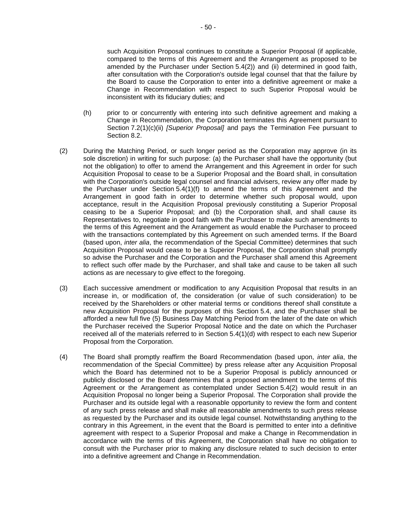such Acquisition Proposal continues to constitute a Superior Proposal (if applicable, compared to the terms of this Agreement and the Arrangement as proposed to be amended by the Purchaser under [Section](#page-52-0) 5.4(2)) and (ii) determined in good faith, after consultation with the Corporation's outside legal counsel that that the failure by the Board to cause the Corporation to enter into a definitive agreement or make a Change in Recommendation with respect to such Superior Proposal would be inconsistent with its fiduciary duties; and

- (h) prior to or concurrently with entering into such definitive agreement and making a Change in Recommendation, the Corporation terminates this Agreement pursuant to Section [7.2\(1\)\(c\)\(ii\)](#page-57-2) *[Superior Proposal]* and pays the Termination Fee pursuant to [Section](#page-59-0) 8.2.
- <span id="page-52-0"></span>(2) During the Matching Period, or such longer period as the Corporation may approve (in its sole discretion) in writing for such purpose: (a) the Purchaser shall have the opportunity (but not the obligation) to offer to amend the Arrangement and this Agreement in order for such Acquisition Proposal to cease to be a Superior Proposal and the Board shall, in consultation with the Corporation's outside legal counsel and financial advisers, review any offer made by the Purchaser under Section [5.4\(1\)\(f\)](#page-51-1) to amend the terms of this Agreement and the Arrangement in good faith in order to determine whether such proposal would, upon acceptance, result in the Acquisition Proposal previously constituting a Superior Proposal ceasing to be a Superior Proposal; and (b) the Corporation shall, and shall cause its Representatives to, negotiate in good faith with the Purchaser to make such amendments to the terms of this Agreement and the Arrangement as would enable the Purchaser to proceed with the transactions contemplated by this Agreement on such amended terms. If the Board (based upon, *inter alia*, the recommendation of the Special Committee) determines that such Acquisition Proposal would cease to be a Superior Proposal, the Corporation shall promptly so advise the Purchaser and the Corporation and the Purchaser shall amend this Agreement to reflect such offer made by the Purchaser, and shall take and cause to be taken all such actions as are necessary to give effect to the foregoing.
- (3) Each successive amendment or modification to any Acquisition Proposal that results in an increase in, or modification of, the consideration (or value of such consideration) to be received by the Shareholders or other material terms or conditions thereof shall constitute a new Acquisition Proposal for the purposes of this [Section](#page-51-2) 5.4, and the Purchaser shall be afforded a new full five (5) Business Day Matching Period from the later of the date on which the Purchaser received the Superior Proposal Notice and the date on which the Purchaser received all of the materials referred to in Section [5.4\(1\)\(d\)](#page-51-0) with respect to each new Superior Proposal from the Corporation.
- (4) The Board shall promptly reaffirm the Board Recommendation (based upon, *inter alia*, the recommendation of the Special Committee) by press release after any Acquisition Proposal which the Board has determined not to be a Superior Proposal is publicly announced or publicly disclosed or the Board determines that a proposed amendment to the terms of this Agreement or the Arrangement as contemplated under [Section](#page-52-0) 5.4(2) would result in an Acquisition Proposal no longer being a Superior Proposal. The Corporation shall provide the Purchaser and its outside legal with a reasonable opportunity to review the form and content of any such press release and shall make all reasonable amendments to such press release as requested by the Purchaser and its outside legal counsel. Notwithstanding anything to the contrary in this Agreement, in the event that the Board is permitted to enter into a definitive agreement with respect to a Superior Proposal and make a Change in Recommendation in accordance with the terms of this Agreement, the Corporation shall have no obligation to consult with the Purchaser prior to making any disclosure related to such decision to enter into a definitive agreement and Change in Recommendation.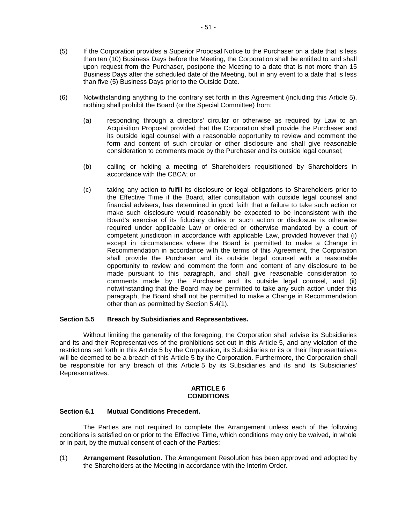- (5) If the Corporation provides a Superior Proposal Notice to the Purchaser on a date that is less than ten (10) Business Days before the Meeting, the Corporation shall be entitled to and shall upon request from the Purchaser, postpone the Meeting to a date that is not more than 15 Business Days after the scheduled date of the Meeting, but in any event to a date that is less than five (5) Business Days prior to the Outside Date.
- (6) Notwithstanding anything to the contrary set forth in this Agreement (including this [Article](#page-48-0) 5), nothing shall prohibit the Board (or the Special Committee) from:
	- (a) responding through a directors' circular or otherwise as required by Law to an Acquisition Proposal provided that the Corporation shall provide the Purchaser and its outside legal counsel with a reasonable opportunity to review and comment the form and content of such circular or other disclosure and shall give reasonable consideration to comments made by the Purchaser and its outside legal counsel;
	- (b) calling or holding a meeting of Shareholders requisitioned by Shareholders in accordance with the CBCA; or
	- (c) taking any action to fulfill its disclosure or legal obligations to Shareholders prior to the Effective Time if the Board, after consultation with outside legal counsel and financial advisers, has determined in good faith that a failure to take such action or make such disclosure would reasonably be expected to be inconsistent with the Board's exercise of its fiduciary duties or such action or disclosure is otherwise required under applicable Law or ordered or otherwise mandated by a court of competent jurisdiction in accordance with applicable Law, provided however that (i) except in circumstances where the Board is permitted to make a Change in Recommendation in accordance with the terms of this Agreement, the Corporation shall provide the Purchaser and its outside legal counsel with a reasonable opportunity to review and comment the form and content of any disclosure to be made pursuant to this paragraph, and shall give reasonable consideration to comments made by the Purchaser and its outside legal counsel, and (ii) notwithstanding that the Board may be permitted to take any such action under this paragraph, the Board shall not be permitted to make a Change in Recommendation other than as permitted by [Section](#page-51-3) 5.4(1).

#### **Section 5.5 Breach by Subsidiaries and Representatives.**

Without limiting the generality of the foregoing, the Corporation shall advise its Subsidiaries and its and their Representatives of the prohibitions set out in this [Article](#page-48-0) 5, and any violation of the restrictions set forth in this [Article](#page-48-0) 5 by the Corporation, its Subsidiaries or its or their Representatives will be deemed to be a breach of this [Article](#page-48-0) 5 by the Corporation. Furthermore, the Corporation shall be responsible for any breach of this [Article](#page-48-0) 5 by its Subsidiaries and its and its Subsidiaries' Representatives.

#### **ARTICLE 6 CONDITIONS**

### <span id="page-53-1"></span><span id="page-53-0"></span>**Section 6.1 Mutual Conditions Precedent.**

The Parties are not required to complete the Arrangement unless each of the following conditions is satisfied on or prior to the Effective Time, which conditions may only be waived, in whole or in part, by the mutual consent of each of the Parties:

(1) **Arrangement Resolution.** The Arrangement Resolution has been approved and adopted by the Shareholders at the Meeting in accordance with the Interim Order.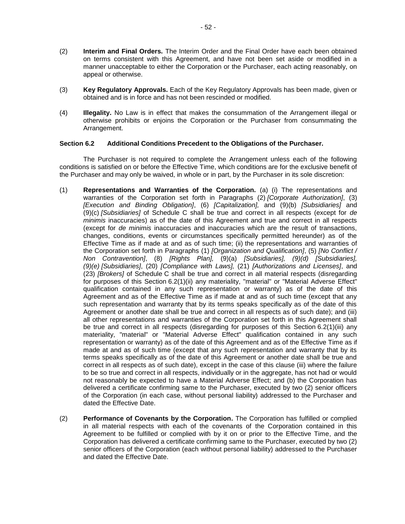- (2) **Interim and Final Orders.** The Interim Order and the Final Order have each been obtained on terms consistent with this Agreement, and have not been set aside or modified in a manner unacceptable to either the Corporation or the Purchaser, each acting reasonably, on appeal or otherwise.
- <span id="page-54-3"></span>(3) **Key Regulatory Approvals.** Each of the Key Regulatory Approvals has been made, given or obtained and is in force and has not been rescinded or modified.
- <span id="page-54-4"></span>(4) **Illegality.** No Law is in effect that makes the consummation of the Arrangement illegal or otherwise prohibits or enjoins the Corporation or the Purchaser from consummating the Arrangement.

### <span id="page-54-0"></span>**Section 6.2 Additional Conditions Precedent to the Obligations of the Purchaser.**

The Purchaser is not required to complete the Arrangement unless each of the following conditions is satisfied on or before the Effective Time, which conditions are for the exclusive benefit of the Purchaser and may only be waived, in whole or in part, by the Purchaser in its sole discretion:

- <span id="page-54-1"></span>(1) **Representations and Warranties of the Corporation.** (a) (i) The representations and warranties of the Corporation set forth in Paragraphs [\(2\)](#page-79-0) *[Corporate Authorization]*, [\(3\)](#page-79-1) *[Execution and Binding Obligation]*, [\(6\)](#page-80-0) *[Capitalization],* and [\(9\)\(b\)](#page-81-0) *[Subsidiaries]* and [\(9\)\(c\)](#page-81-0) *[Subsidiaries]* of Schedule C shall be true and correct in all respects (except for *de minimis* inaccuracies) as of the date of this Agreement and true and correct in all respects (except for *de minimis* inaccuracies and inaccuracies which are the result of transactions, changes, conditions, events or circumstances specifically permitted hereunder) as of the Effective Time as if made at and as of such time; (ii) the representations and warranties of the Corporation set forth in Paragraphs [\(1\)](#page-79-2) *[Organization and Qualification]*, [\(5\)](#page-79-3) *[No Conflict / Non Contravention]*, [\(8\)](#page-81-1) *[Rights Plan],* [\(9\)\(a\)](#page-81-0) *[Subsidiaries], [\(9\)\(d\)](#page-81-0) [Subsidiaries], [\(9\)\(e\)](#page-81-0) [Subsidiaries]*, [\(20\)](#page-85-0) *[Compliance with Laws],* [\(21\)](#page-85-1) *[Authorizations and Licenses]*, and [\(23\)](#page-85-2) *[Brokers]* of [Schedule](#page-79-4) C shall be true and correct in all material respects (disregarding for purposes of this [Section](#page-54-1) 6.2(1)(ii) any materiality, "material" or "Material Adverse Effect" qualification contained in any such representation or warranty) as of the date of this Agreement and as of the Effective Time as if made at and as of such time (except that any such representation and warranty that by its terms speaks specifically as of the date of this Agreement or another date shall be true and correct in all respects as of such date); and (iii) all other representations and warranties of the Corporation set forth in this Agreement shall be true and correct in all respects (disregarding for purposes of this [Section](#page-54-1) 6.2(1)(iii) any materiality, "material" or "Material Adverse Effect" qualification contained in any such representation or warranty) as of the date of this Agreement and as of the Effective Time as if made at and as of such time (except that any such representation and warranty that by its terms speaks specifically as of the date of this Agreement or another date shall be true and correct in all respects as of such date), except in the case of this clause (iii) where the failure to be so true and correct in all respects, individually or in the aggregate, has not had or would not reasonably be expected to have a Material Adverse Effect; and (b) the Corporation has delivered a certificate confirming same to the Purchaser, executed by two (2) senior officers of the Corporation (in each case, without personal liability) addressed to the Purchaser and dated the Effective Date.
- <span id="page-54-2"></span>(2) **Performance of Covenants by the Corporation.** The Corporation has fulfilled or complied in all material respects with each of the covenants of the Corporation contained in this Agreement to be fulfilled or complied with by it on or prior to the Effective Time, and the Corporation has delivered a certificate confirming same to the Purchaser, executed by two (2) senior officers of the Corporation (each without personal liability) addressed to the Purchaser and dated the Effective Date.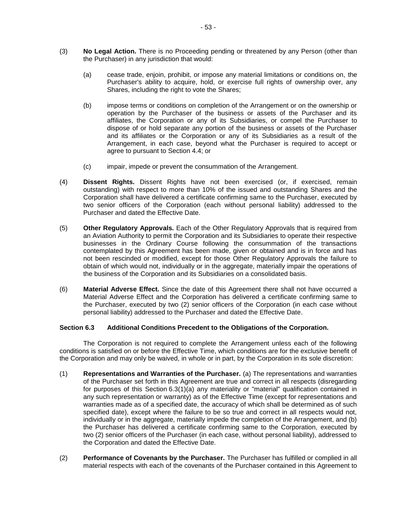- <span id="page-55-3"></span>(3) **No Legal Action.** There is no Proceeding pending or threatened by any Person (other than the Purchaser) in any jurisdiction that would:
	- (a) cease trade, enjoin, prohibit, or impose any material limitations or conditions on, the Purchaser's ability to acquire, hold, or exercise full rights of ownership over, any Shares, including the right to vote the Shares;
	- (b) impose terms or conditions on completion of the Arrangement or on the ownership or operation by the Purchaser of the business or assets of the Purchaser and its affiliates, the Corporation or any of its Subsidiaries, or compel the Purchaser to dispose of or hold separate any portion of the business or assets of the Purchaser and its affiliates or the Corporation or any of its Subsidiaries as a result of the Arrangement, in each case, beyond what the Purchaser is required to accept or agree to pursuant to [Section](#page-42-0) 4.4; or
	- (c) impair, impede or prevent the consummation of the Arrangement.
- (4) **Dissent Rights.** Dissent Rights have not been exercised (or, if exercised, remain outstanding) with respect to more than 10% of the issued and outstanding Shares and the Corporation shall have delivered a certificate confirming same to the Purchaser, executed by two senior officers of the Corporation (each without personal liability) addressed to the Purchaser and dated the Effective Date.
- (5) **Other Regulatory Approvals.** Each of the Other Regulatory Approvals that is required from an Aviation Authority to permit the Corporation and its Subsidiaries to operate their respective businesses in the Ordinary Course following the consummation of the transactions contemplated by this Agreement has been made, given or obtained and is in force and has not been rescinded or modified, except for those Other Regulatory Approvals the failure to obtain of which would not, individually or in the aggregate, materially impair the operations of the business of the Corporation and its Subsidiaries on a consolidated basis.
- (6) **Material Adverse Effect.** Since the date of this Agreement there shall not have occurred a Material Adverse Effect and the Corporation has delivered a certificate confirming same to the Purchaser, executed by two (2) senior officers of the Corporation (in each case without personal liability) addressed to the Purchaser and dated the Effective Date.

### <span id="page-55-1"></span>**Section 6.3 Additional Conditions Precedent to the Obligations of the Corporation.**

The Corporation is not required to complete the Arrangement unless each of the following conditions is satisfied on or before the Effective Time, which conditions are for the exclusive benefit of the Corporation and may only be waived, in whole or in part, by the Corporation in its sole discretion:

- <span id="page-55-0"></span>(1) **Representations and Warranties of the Purchaser.** (a) The representations and warranties of the Purchaser set forth in this Agreement are true and correct in all respects (disregarding for purposes of this [Section](#page-55-0) 6.3(1)(a) any materiality or "material" qualification contained in any such representation or warranty) as of the Effective Time (except for representations and warranties made as of a specified date, the accuracy of which shall be determined as of such specified date), except where the failure to be so true and correct in all respects would not, individually or in the aggregate, materially impede the completion of the Arrangement, and (b) the Purchaser has delivered a certificate confirming same to the Corporation, executed by two (2) senior officers of the Purchaser (in each case, without personal liability), addressed to the Corporation and dated the Effective Date.
- <span id="page-55-2"></span>(2) **Performance of Covenants by the Purchaser.** The Purchaser has fulfilled or complied in all material respects with each of the covenants of the Purchaser contained in this Agreement to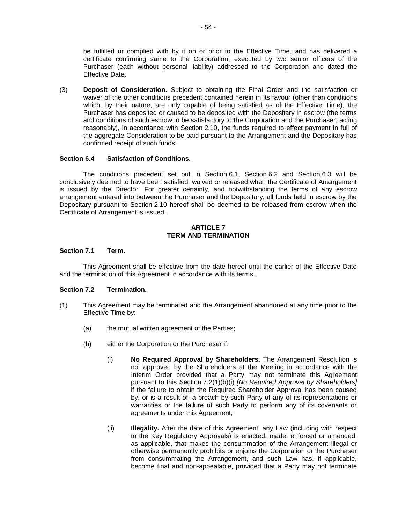be fulfilled or complied with by it on or prior to the Effective Time, and has delivered a certificate confirming same to the Corporation, executed by two senior officers of the Purchaser (each without personal liability) addressed to the Corporation and dated the Effective Date.

(3) **Deposit of Consideration.** Subject to obtaining the Final Order and the satisfaction or waiver of the other conditions precedent contained herein in its favour (other than conditions which, by their nature, are only capable of being satisfied as of the Effective Time), the Purchaser has deposited or caused to be deposited with the Depositary in escrow (the terms and conditions of such escrow to be satisfactory to the Corporation and the Purchaser, acting reasonably), in accordance with [Section](#page-31-0) 2.10, the funds required to effect payment in full of the aggregate Consideration to be paid pursuant to the Arrangement and the Depositary has confirmed receipt of such funds.

#### **Section 6.4 Satisfaction of Conditions.**

The conditions precedent set out in [Section](#page-53-1) 6.1, [Section](#page-54-0) 6.2 and [Section](#page-55-1) 6.3 will be conclusively deemed to have been satisfied, waived or released when the Certificate of Arrangement is issued by the Director. For greater certainty, and notwithstanding the terms of any escrow arrangement entered into between the Purchaser and the Depositary, all funds held in escrow by the Depositary pursuant to [Section](#page-31-0) 2.10 hereof shall be deemed to be released from escrow when the Certificate of Arrangement is issued.

#### **ARTICLE 7 TERM AND TERMINATION**

#### <span id="page-56-5"></span><span id="page-56-0"></span>**Section 7.1 Term.**

This Agreement shall be effective from the date hereof until the earlier of the Effective Date and the termination of this Agreement in accordance with its terms.

#### <span id="page-56-3"></span>**Section 7.2 Termination.**

- <span id="page-56-6"></span><span id="page-56-4"></span><span id="page-56-2"></span><span id="page-56-1"></span>(1) This Agreement may be terminated and the Arrangement abandoned at any time prior to the Effective Time by:
	- (a) the mutual written agreement of the Parties;
	- (b) either the Corporation or the Purchaser if:
		- (i) **No Required Approval by Shareholders.** The Arrangement Resolution is not approved by the Shareholders at the Meeting in accordance with the Interim Order provided that a Party may not terminate this Agreement pursuant to this Section [7.2\(1\)\(b\)\(i\)](#page-56-1) *[No Required Approval by Shareholders]*  if the failure to obtain the Required Shareholder Approval has been caused by, or is a result of, a breach by such Party of any of its representations or warranties or the failure of such Party to perform any of its covenants or agreements under this Agreement;
		- (ii) **Illegality.** After the date of this Agreement, any Law (including with respect to the Key Regulatory Approvals) is enacted, made, enforced or amended, as applicable, that makes the consummation of the Arrangement illegal or otherwise permanently prohibits or enjoins the Corporation or the Purchaser from consummating the Arrangement, and such Law has, if applicable, become final and non-appealable, provided that a Party may not terminate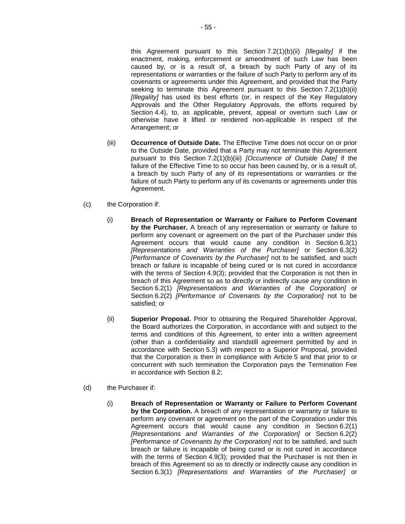this Agreement pursuant to this Section [7.2\(1\)\(b\)\(ii\)](#page-56-2) *[Illegality]* if the enactment, making, enforcement or amendment of such Law has been caused by, or is a result of, a breach by such Party of any of its representations or warranties or the failure of such Party to perform any of its covenants or agreements under this Agreement, and provided that the Party seeking to terminate this Agreement pursuant to this Section [7.2\(1\)\(b\)\(ii\)](#page-56-2) *[Illegality]* has used its best efforts (or, in respect of the Key Regulatory Approvals and the Other Regulatory Approvals, the efforts required by [Section](#page-42-0) 4.4), to, as applicable, prevent, appeal or overturn such Law or otherwise have it lifted or rendered non-applicable in respect of the Arrangement; or

- <span id="page-57-3"></span>(iii) **Occurrence of Outside Date.** The Effective Time does not occur on or prior to the Outside Date, provided that a Party may not terminate this Agreement pursuant to this Section [7.2\(1\)\(b\)\(iii\)](#page-57-3) *[Occurrence of Outside Date]* if the failure of the Effective Time to so occur has been caused by, or is a result of, a breach by such Party of any of its representations or warranties or the failure of such Party to perform any of its covenants or agreements under this Agreement.
- <span id="page-57-1"></span>(c) the Corporation if:
	- (i) **Breach of Representation or Warranty or Failure to Perform Covenant by the Purchaser.** A breach of any representation or warranty or failure to perform any covenant or agreement on the part of the Purchaser under this Agreement occurs that would cause any condition in [Section](#page-55-0) 6.3(1) *[Representations and Warranties of the Purchaser]* or [Section](#page-55-2) 6.3(2) *[Performance of Covenants by the Purchaser]* not to be satisfied, and such breach or failure is incapable of being cured or is not cured in accordance with the terms of [Section](#page-46-1) 4.9(3); provided that the Corporation is not then in breach of this Agreement so as to directly or indirectly cause any condition in [Section](#page-54-1) 6.2(1) *[Representations and Warranties of the Corporation]* or [Section](#page-54-2) 6.2(2) *[Performance of Covenants by the Corporation]* not to be satisfied; or
	- (ii) **Superior Proposal.** Prior to obtaining the Required Shareholder Approval, the Board authorizes the Corporation, in accordance with and subject to the terms and conditions of this Agreement, to enter into a written agreement (other than a confidentiality and standstill agreement permitted by and in accordance with [Section](#page-50-0) 5.3) with respect to a Superior Proposal, provided that the Corporation is then in compliance with [Article](#page-48-0) 5 and that prior to or concurrent with such termination the Corporation pays the Termination Fee in accordance with [Section](#page-59-0) 8.2;
- <span id="page-57-2"></span><span id="page-57-0"></span>(d) the Purchaser if:
	- (i) **Breach of Representation or Warranty or Failure to Perform Covenant by the Corporation.** A breach of any representation or warranty or failure to perform any covenant or agreement on the part of the Corporation under this Agreement occurs that would cause any condition in [Section](#page-54-1) 6.2(1) *[Representations and Warranties of the Corporation]* or [Section](#page-54-2) 6.2(2) *[Performance of Covenants by the Corporation]* not to be satisfied, and such breach or failure is incapable of being cured or is not cured in accordance with the terms of [Section](#page-46-1) 4.9(3); provided that the Purchaser is not then in breach of this Agreement so as to directly or indirectly cause any condition in [Section](#page-55-0) 6.3(1) *[Representations and Warranties of the Purchaser]* or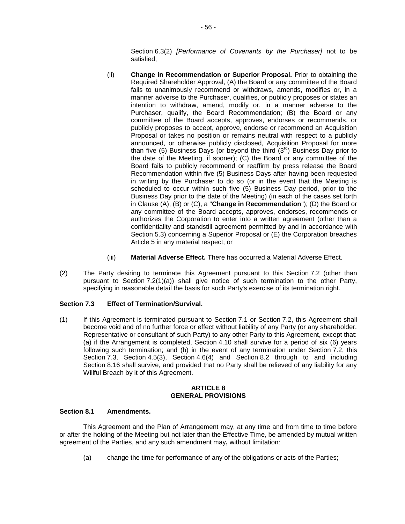[Section](#page-55-2) 6.3(2) *[Performance of Covenants by the Purchaser]* not to be satisfied;

- <span id="page-58-1"></span>(ii) **Change in Recommendation or Superior Proposal.** Prior to obtaining the Required Shareholder Approval, (A) the Board or any committee of the Board fails to unanimously recommend or withdraws, amends, modifies or, in a manner adverse to the Purchaser, qualifies, or publicly proposes or states an intention to withdraw, amend, modify or, in a manner adverse to the Purchaser, qualify, the Board Recommendation; (B) the Board or any committee of the Board accepts, approves, endorses or recommends, or publicly proposes to accept, approve, endorse or recommend an Acquisition Proposal or takes no position or remains neutral with respect to a publicly announced, or otherwise publicly disclosed, Acquisition Proposal for more than five (5) Business Days (or beyond the third  $(3^{rd})$  Business Day prior to the date of the Meeting, if sooner); (C) the Board or any committee of the Board fails to publicly recommend or reaffirm by press release the Board Recommendation within five (5) Business Days after having been requested in writing by the Purchaser to do so (or in the event that the Meeting is scheduled to occur within such five (5) Business Day period, prior to the Business Day prior to the date of the Meeting) (in each of the cases set forth in Clause (A), (B) or (C), a "**Change in Recommendation**"); (D) the Board or any committee of the Board accepts, approves, endorses, recommends or authorizes the Corporation to enter into a written agreement (other than a confidentiality and standstill agreement permitted by and in accordance with [Section](#page-50-0) 5.3) concerning a Superior Proposal or (E) the Corporation breaches [Article](#page-48-0) 5 in any material respect; or
- (iii) **Material Adverse Effect.** There has occurred a Material Adverse Effect.
- (2) The Party desiring to terminate this Agreement pursuant to this [Section](#page-56-3) 7.2 (other than pursuant to Section [7.2\(1\)\(a\)\)](#page-56-4) shall give notice of such termination to the other Party, specifying in reasonable detail the basis for such Party's exercise of its termination right.

### <span id="page-58-0"></span>**Section 7.3 Effect of Termination/Survival.**

(1) If this Agreement is terminated pursuant to [Section](#page-56-5) 7.1 or [Section](#page-56-3) 7.2, this Agreement shall become void and of no further force or effect without liability of any Party (or any shareholder, Representative or consultant of such Party) to any other Party to this Agreement, except that: (a) if the Arrangement is completed, [Section](#page-47-0) 4.10 shall survive for a period of six (6) years following such termination; and (b) in the event of any termination under [Section](#page-56-3) 7.2, this [Section](#page-58-0) 7.3, [Section](#page-43-2) 4.5(3), [Section](#page-45-0) 4.6(4) and [Section](#page-59-0) 8.2 through to and including [Section](#page-64-0) 8.16 shall survive, and provided that no Party shall be relieved of any liability for any Willful Breach by it of this Agreement.

#### **ARTICLE 8 GENERAL PROVISIONS**

### **Section 8.1 Amendments.**

This Agreement and the Plan of Arrangement may, at any time and from time to time before or after the holding of the Meeting but not later than the Effective Time, be amended by mutual written agreement of the Parties, and any such amendment may**,** without limitation:

(a) change the time for performance of any of the obligations or acts of the Parties;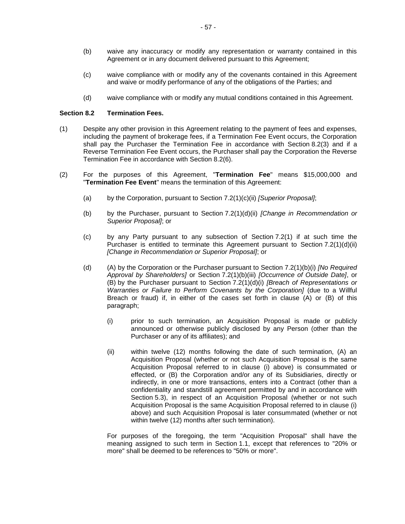- (b) waive any inaccuracy or modify any representation or warranty contained in this Agreement or in any document delivered pursuant to this Agreement;
- (c) waive compliance with or modify any of the covenants contained in this Agreement and waive or modify performance of any of the obligations of the Parties; and
- (d) waive compliance with or modify any mutual conditions contained in this Agreement.

### <span id="page-59-0"></span>**Section 8.2 Termination Fees.**

- (1) Despite any other provision in this Agreement relating to the payment of fees and expenses, including the payment of brokerage fees, if a Termination Fee Event occurs, the Corporation shall pay the Purchaser the Termination Fee in accordance with [Section](#page-60-0) 8.2(3) and if a Reverse Termination Fee Event occurs, the Purchaser shall pay the Corporation the Reverse Termination Fee in accordance with [Section](#page-60-1) 8.2(6).
- <span id="page-59-2"></span><span id="page-59-1"></span>(2) For the purposes of this Agreement, "**Termination Fee**" means \$15,000,000 and "**Termination Fee Event**" means the termination of this Agreement:
	- (a) by the Corporation, pursuant to Section [7.2\(1\)\(c\)\(ii\)](#page-57-2) *[Superior Proposal]*;
	- (b) by the Purchaser, pursuant to Section [7.2\(1\)\(d\)\(ii\)](#page-58-1) *[Change in Recommendation or Superior Proposal]*; or
	- (c) by any Party pursuant to any subsection of [Section](#page-56-6) 7.2(1) if at such time the Purchaser is entitled to terminate this Agreement pursuant to Section [7.2\(1\)\(d\)\(ii\)](#page-58-1) *[Change in Recommendation or Superior Proposal]*; or
	- (d) (A) by the Corporation or the Purchaser pursuant to Section [7.2\(1\)\(b\)\(i\)](#page-56-1) *[No Required Approval by Shareholders]* or Section [7.2\(1\)\(b\)\(iii\)](#page-57-3) *[Occurrence of Outside Date]*, or (B) by the Purchaser pursuant to Section [7.2\(1\)\(d\)\(i\)](#page-57-0) *[Breach of Representations or Warranties or Failure to Perform Covenants by the Corporation]* (due to a Willful Breach or fraud) if, in either of the cases set forth in clause (A) or (B) of this paragraph;
		- (i) prior to such termination, an Acquisition Proposal is made or publicly announced or otherwise publicly disclosed by any Person (other than the Purchaser or any of its affiliates); and
		- (ii) within twelve (12) months following the date of such termination, (A) an Acquisition Proposal (whether or not such Acquisition Proposal is the same Acquisition Proposal referred to in clause (i) above) is consummated or effected, or (B) the Corporation and/or any of its Subsidiaries, directly or indirectly, in one or more transactions, enters into a Contract (other than a confidentiality and standstill agreement permitted by and in accordance with [Section](#page-50-0) 5.3), in respect of an Acquisition Proposal (whether or not such Acquisition Proposal is the same Acquisition Proposal referred to in clause (i) above) and such Acquisition Proposal is later consummated (whether or not within twelve (12) months after such termination).

For purposes of the foregoing, the term "Acquisition Proposal" shall have the meaning assigned to such term in [Section](#page-3-0) 1.1, except that references to "20% or more" shall be deemed to be references to "50% or more".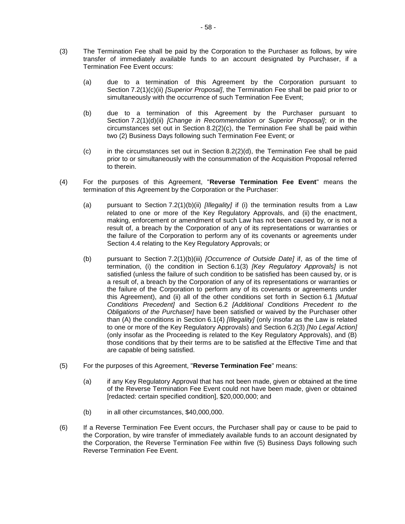- <span id="page-60-0"></span>(3) The Termination Fee shall be paid by the Corporation to the Purchaser as follows, by wire transfer of immediately available funds to an account designated by Purchaser, if a Termination Fee Event occurs:
	- (a) due to a termination of this Agreement by the Corporation pursuant to Section [7.2\(1\)\(c\)\(ii\)](#page-57-2) *[Superior Proposal]*, the Termination Fee shall be paid prior to or simultaneously with the occurrence of such Termination Fee Event;
	- (b) due to a termination of this Agreement by the Purchaser pursuant to Section [7.2\(1\)\(d\)\(ii\)](#page-58-1) *[Change in Recommendation or Superior Proposal]*; or in the circumstances set out in Section  $8.2(2)(c)$ , the Termination Fee shall be paid within two (2) Business Days following such Termination Fee Event; or
	- $(c)$  in the circumstances set out in Section [8.2\(2\)\(d\),](#page-59-2) the Termination Fee shall be paid prior to or simultaneously with the consummation of the Acquisition Proposal referred to therein.
- (4) For the purposes of this Agreement, "**Reverse Termination Fee Event**" means the termination of this Agreement by the Corporation or the Purchaser:
	- (a) pursuant to Section [7.2\(1\)\(b\)\(ii\)](#page-56-2) *[Illegality]* if (i) the termination results from a Law related to one or more of the Key Regulatory Approvals, and (ii) the enactment, making, enforcement or amendment of such Law has not been caused by, or is not a result of, a breach by the Corporation of any of its representations or warranties or the failure of the Corporation to perform any of its covenants or agreements under [Section](#page-42-0) 4.4 relating to the Key Regulatory Approvals; or
	- (b) pursuant to Section [7.2\(1\)\(b\)\(iii\)](#page-57-3) *[Occurrence of Outside Date]* if, as of the time of termination, (i) the condition in [Section](#page-54-3) 6.1(3) *[Key Regulatory Approvals]* is not satisfied (unless the failure of such condition to be satisfied has been caused by, or is a result of, a breach by the Corporation of any of its representations or warranties or the failure of the Corporation to perform any of its covenants or agreements under this Agreement), and (ii) all of the other conditions set forth in [Section](#page-53-1) 6.1 *[Mutual Conditions Precedent]* and [Section](#page-54-0) 6.2 *[Additional Conditions Precedent to the Obligations of the Purchaser]* have been satisfied or waived by the Purchaser other than (A) the conditions in [Section](#page-54-4) 6.1(4) *[Illegality]* (only insofar as the Law is related to one or more of the Key Regulatory Approvals) and [Section](#page-55-3) 6.2(3) *[No Legal Action]* (only insofar as the Proceeding is related to the Key Regulatory Approvals), and (B) those conditions that by their terms are to be satisfied at the Effective Time and that are capable of being satisfied.
- (5) For the purposes of this Agreement, "**Reverse Termination Fee**" means:
	- (a) if any Key Regulatory Approval that has not been made, given or obtained at the time of the Reverse Termination Fee Event could not have been made, given or obtained [redacted: certain specified condition], \$20,000,000; and
	- (b) in all other circumstances, \$40,000,000.
- <span id="page-60-1"></span>(6) If a Reverse Termination Fee Event occurs, the Purchaser shall pay or cause to be paid to the Corporation, by wire transfer of immediately available funds to an account designated by the Corporation, the Reverse Termination Fee within five (5) Business Days following such Reverse Termination Fee Event.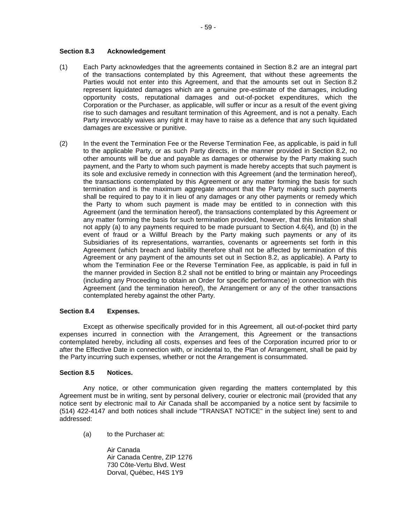### **Section 8.3 Acknowledgement**

- (1) Each Party acknowledges that the agreements contained in [Section](#page-59-0) 8.2 are an integral part of the transactions contemplated by this Agreement, that without these agreements the Parties would not enter into this Agreement, and that the amounts set out in [Section](#page-59-0) 8.2 represent liquidated damages which are a genuine pre-estimate of the damages, including opportunity costs, reputational damages and out-of-pocket expenditures, which the Corporation or the Purchaser, as applicable, will suffer or incur as a result of the event giving rise to such damages and resultant termination of this Agreement, and is not a penalty. Each Party irrevocably waives any right it may have to raise as a defence that any such liquidated damages are excessive or punitive.
- <span id="page-61-0"></span>(2) In the event the Termination Fee or the Reverse Termination Fee, as applicable, is paid in full to the applicable Party, or as such Party directs, in the manner provided in [Section](#page-59-0) 8.2, no other amounts will be due and payable as damages or otherwise by the Party making such payment, and the Party to whom such payment is made hereby accepts that such payment is its sole and exclusive remedy in connection with this Agreement (and the termination hereof), the transactions contemplated by this Agreement or any matter forming the basis for such termination and is the maximum aggregate amount that the Party making such payments shall be required to pay to it in lieu of any damages or any other payments or remedy which the Party to whom such payment is made may be entitled to in connection with this Agreement (and the termination hereof), the transactions contemplated by this Agreement or any matter forming the basis for such termination provided, however, that this limitation shall not apply (a) to any payments required to be made pursuant to [Section](#page-45-0) 4.6(4), and (b) in the event of fraud or a Willful Breach by the Party making such payments or any of its Subsidiaries of its representations, warranties, covenants or agreements set forth in this Agreement (which breach and liability therefore shall not be affected by termination of this Agreement or any payment of the amounts set out in [Section](#page-59-0) 8.2, as applicable). A Party to whom the Termination Fee or the Reverse Termination Fee, as applicable, is paid in full in the manner provided in [Section](#page-59-0) 8.2 shall not be entitled to bring or maintain any Proceedings (including any Proceeding to obtain an Order for specific performance) in connection with this Agreement (and the termination hereof), the Arrangement or any of the other transactions contemplated hereby against the other Party.

### **Section 8.4 Expenses.**

Except as otherwise specifically provided for in this Agreement, all out-of-pocket third party expenses incurred in connection with the Arrangement, this Agreement or the transactions contemplated hereby, including all costs, expenses and fees of the Corporation incurred prior to or after the Effective Date in connection with, or incidental to, the Plan of Arrangement, shall be paid by the Party incurring such expenses, whether or not the Arrangement is consummated.

### **Section 8.5 Notices.**

Any notice, or other communication given regarding the matters contemplated by this Agreement must be in writing, sent by personal delivery, courier or electronic mail (provided that any notice sent by electronic mail to Air Canada shall be accompanied by a notice sent by facsimile to (514) 422-4147 and both notices shall include "TRANSAT NOTICE" in the subject line) sent to and addressed:

(a) to the Purchaser at:

Air Canada Air Canada Centre, ZIP 1276 730 Côte-Vertu Blvd. West Dorval, Québec, H4S 1Y9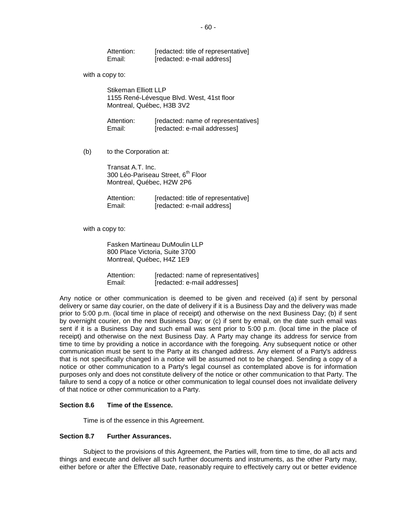| Attention: | [redacted: title of representative] |
|------------|-------------------------------------|
| Email:     | [redacted: e-mail address]          |

with a copy to:

Stikeman Flliott LLP 1155 René-Lévesque Blvd. West, 41st floor Montreal, Québec, H3B 3V2

| Attention: | [redacted: name of representatives] |
|------------|-------------------------------------|
| Email:     | [redacted: e-mail addresses]        |

(b) to the Corporation at:

Transat A.T. Inc. 300 Léo-Pariseau Street, 6<sup>th</sup> Floor Montreal, Québec, H2W 2P6

| Attention: | [redacted: title of representative] |
|------------|-------------------------------------|
| Email:     | [redacted: e-mail address]          |

with a copy to:

Fasken Martineau DuMoulin LLP 800 Place Victoria, Suite 3700 Montreal, Québec, H4Z 1E9

Attention: [redacted: name of representatives] Email: [redacted: e-mail addresses]

Any notice or other communication is deemed to be given and received (a) if sent by personal delivery or same day courier, on the date of delivery if it is a Business Day and the delivery was made prior to 5:00 p.m. (local time in place of receipt) and otherwise on the next Business Day; (b) if sent by overnight courier, on the next Business Day; or (c) if sent by email, on the date such email was sent if it is a Business Day and such email was sent prior to 5:00 p.m. (local time in the place of receipt) and otherwise on the next Business Day. A Party may change its address for service from time to time by providing a notice in accordance with the foregoing. Any subsequent notice or other communication must be sent to the Party at its changed address. Any element of a Party's address that is not specifically changed in a notice will be assumed not to be changed. Sending a copy of a notice or other communication to a Party's legal counsel as contemplated above is for information purposes only and does not constitute delivery of the notice or other communication to that Party. The failure to send a copy of a notice or other communication to legal counsel does not invalidate delivery of that notice or other communication to a Party.

#### **Section 8.6 Time of the Essence.**

Time is of the essence in this Agreement.

### **Section 8.7 Further Assurances.**

Subject to the provisions of this Agreement, the Parties will, from time to time, do all acts and things and execute and deliver all such further documents and instruments, as the other Party may, either before or after the Effective Date, reasonably require to effectively carry out or better evidence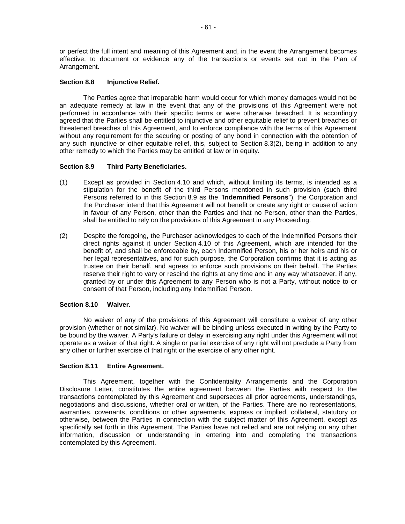or perfect the full intent and meaning of this Agreement and, in the event the Arrangement becomes effective, to document or evidence any of the transactions or events set out in the Plan of Arrangement.

#### **Section 8.8 Injunctive Relief.**

The Parties agree that irreparable harm would occur for which money damages would not be an adequate remedy at law in the event that any of the provisions of this Agreement were not performed in accordance with their specific terms or were otherwise breached. It is accordingly agreed that the Parties shall be entitled to injunctive and other equitable relief to prevent breaches or threatened breaches of this Agreement, and to enforce compliance with the terms of this Agreement without any requirement for the securing or posting of any bond in connection with the obtention of any such injunctive or other equitable relief, this, subject to [Section](#page-61-0) 8.3(2), being in addition to any other remedy to which the Parties may be entitled at law or in equity.

#### <span id="page-63-0"></span>**Section 8.9 Third Party Beneficiaries.**

- (1) Except as provided in [Section](#page-47-0) 4.10 and which, without limiting its terms, is intended as a stipulation for the benefit of the third Persons mentioned in such provision (such third Persons referred to in this [Section](#page-63-0) 8.9 as the "**Indemnified Persons**"), the Corporation and the Purchaser intend that this Agreement will not benefit or create any right or cause of action in favour of any Person, other than the Parties and that no Person, other than the Parties, shall be entitled to rely on the provisions of this Agreement in any Proceeding.
- (2) Despite the foregoing, the Purchaser acknowledges to each of the Indemnified Persons their direct rights against it under [Section](#page-47-0) 4.10 of this Agreement, which are intended for the benefit of, and shall be enforceable by, each Indemnified Person, his or her heirs and his or her legal representatives, and for such purpose, the Corporation confirms that it is acting as trustee on their behalf, and agrees to enforce such provisions on their behalf. The Parties reserve their right to vary or rescind the rights at any time and in any way whatsoever, if any, granted by or under this Agreement to any Person who is not a Party, without notice to or consent of that Person, including any Indemnified Person.

#### **Section 8.10 Waiver.**

No waiver of any of the provisions of this Agreement will constitute a waiver of any other provision (whether or not similar). No waiver will be binding unless executed in writing by the Party to be bound by the waiver. A Party's failure or delay in exercising any right under this Agreement will not operate as a waiver of that right. A single or partial exercise of any right will not preclude a Party from any other or further exercise of that right or the exercise of any other right.

#### **Section 8.11 Entire Agreement.**

This Agreement, together with the Confidentiality Arrangements and the Corporation Disclosure Letter, constitutes the entire agreement between the Parties with respect to the transactions contemplated by this Agreement and supersedes all prior agreements, understandings, negotiations and discussions, whether oral or written, of the Parties. There are no representations, warranties, covenants, conditions or other agreements, express or implied, collateral, statutory or otherwise, between the Parties in connection with the subject matter of this Agreement, except as specifically set forth in this Agreement. The Parties have not relied and are not relying on any other information, discussion or understanding in entering into and completing the transactions contemplated by this Agreement.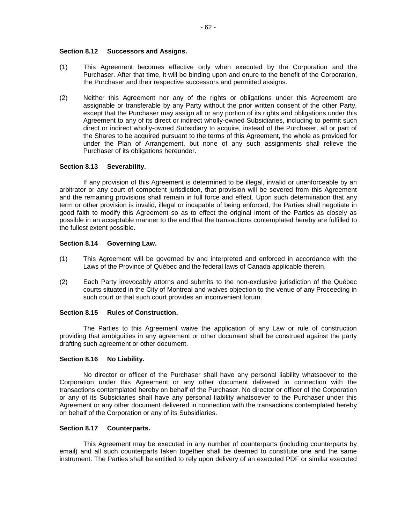### **Section 8.12 Successors and Assigns.**

- (1) This Agreement becomes effective only when executed by the Corporation and the Purchaser. After that time, it will be binding upon and enure to the benefit of the Corporation, the Purchaser and their respective successors and permitted assigns.
- (2) Neither this Agreement nor any of the rights or obligations under this Agreement are assignable or transferable by any Party without the prior written consent of the other Party, except that the Purchaser may assign all or any portion of its rights and obligations under this Agreement to any of its direct or indirect wholly-owned Subsidiaries, including to permit such direct or indirect wholly-owned Subsidiary to acquire, instead of the Purchaser, all or part of the Shares to be acquired pursuant to the terms of this Agreement, the whole as provided for under the Plan of Arrangement, but none of any such assignments shall relieve the Purchaser of its obligations hereunder.

#### **Section 8.13 Severability.**

If any provision of this Agreement is determined to be illegal, invalid or unenforceable by an arbitrator or any court of competent jurisdiction, that provision will be severed from this Agreement and the remaining provisions shall remain in full force and effect. Upon such determination that any term or other provision is invalid, illegal or incapable of being enforced, the Parties shall negotiate in good faith to modify this Agreement so as to effect the original intent of the Parties as closely as possible in an acceptable manner to the end that the transactions contemplated hereby are fulfilled to the fullest extent possible.

#### **Section 8.14 Governing Law.**

- (1) This Agreement will be governed by and interpreted and enforced in accordance with the Laws of the Province of Québec and the federal laws of Canada applicable therein.
- (2) Each Party irrevocably attorns and submits to the non-exclusive jurisdiction of the Québec courts situated in the City of Montreal and waives objection to the venue of any Proceeding in such court or that such court provides an inconvenient forum.

### **Section 8.15 Rules of Construction.**

The Parties to this Agreement waive the application of any Law or rule of construction providing that ambiguities in any agreement or other document shall be construed against the party drafting such agreement or other document.

### <span id="page-64-0"></span>**Section 8.16 No Liability.**

No director or officer of the Purchaser shall have any personal liability whatsoever to the Corporation under this Agreement or any other document delivered in connection with the transactions contemplated hereby on behalf of the Purchaser. No director or officer of the Corporation or any of its Subsidiaries shall have any personal liability whatsoever to the Purchaser under this Agreement or any other document delivered in connection with the transactions contemplated hereby on behalf of the Corporation or any of its Subsidiaries.

### **Section 8.17 Counterparts.**

This Agreement may be executed in any number of counterparts (including counterparts by email) and all such counterparts taken together shall be deemed to constitute one and the same instrument. The Parties shall be entitled to rely upon delivery of an executed PDF or similar executed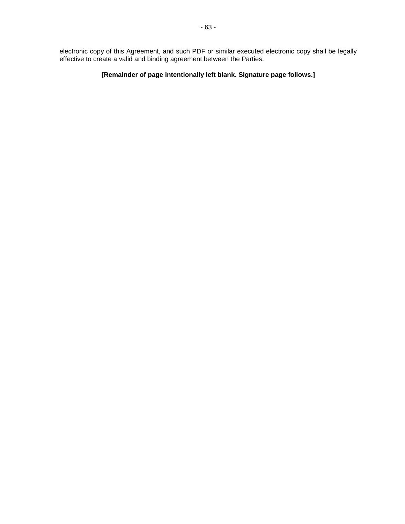electronic copy of this Agreement, and such PDF or similar executed electronic copy shall be legally effective to create a valid and binding agreement between the Parties.

# **[Remainder of page intentionally left blank. Signature page follows.]**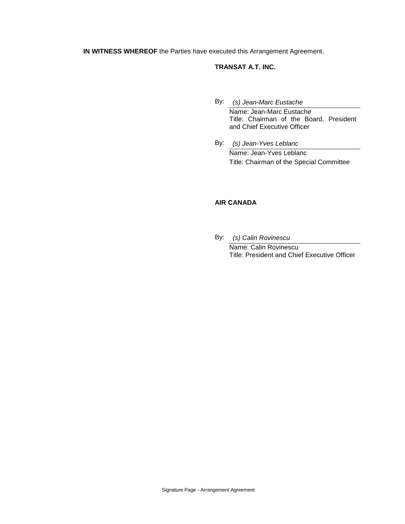**IN WITNESS WHEREOF** the Parties have executed this Arrangement Agreement.

# **TRANSAT A.T. INC.**

- By: *(s) Jean-Marc Eustache* Name: Jean-Marc Eustache Title: Chairman of the Board, President and Chief Executive Officer
- By: *(s) Jean-Yves Leblanc* Name: Jean-Yves Leblanc Title: Chairman of the Special Committee

# **AIR CANADA**

By: *(s) Calin Rovinescu*

Name: Calin Rovinescu Title: President and Chief Executive Officer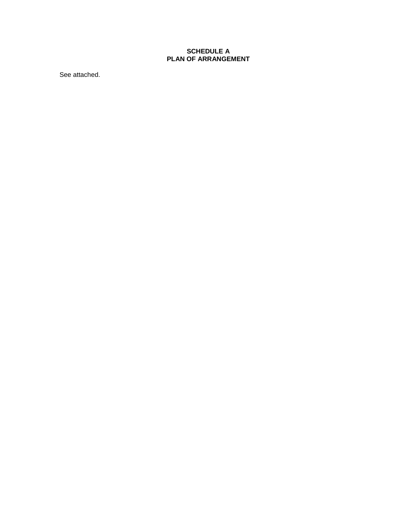# **SCHEDULE A PLAN OF ARRANGEMENT**

See attached.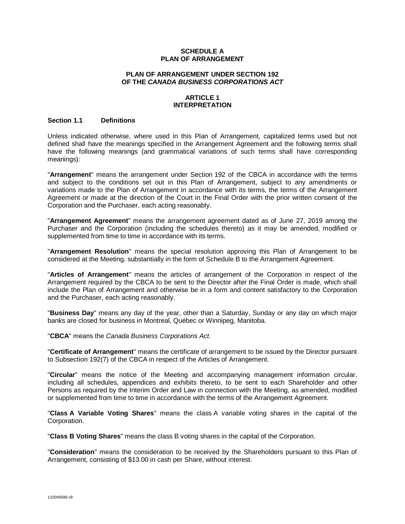### **SCHEDULE A PLAN OF ARRANGEMENT**

#### **PLAN OF ARRANGEMENT UNDER SECTION 192 OF THE** *CANADA BUSINESS CORPORATIONS ACT*

### **ARTICLE 1 INTERPRETATION**

#### **Section 1.1 Definitions**

Unless indicated otherwise, where used in this Plan of Arrangement, capitalized terms used but not defined shall have the meanings specified in the Arrangement Agreement and the following terms shall have the following meanings (and grammatical variations of such terms shall have corresponding meanings):

"**Arrangement**" means the arrangement under Section 192 of the CBCA in accordance with the terms and subject to the conditions set out in this Plan of Arrangement, subject to any amendments or variations made to the Plan of Arrangement in accordance with its terms, the terms of the Arrangement Agreement or made at the direction of the Court in the Final Order with the prior written consent of the Corporation and the Purchaser, each acting reasonably.

"**Arrangement Agreement**" means the arrangement agreement dated as of June 27, 2019 among the Purchaser and the Corporation (including the schedules thereto) as it may be amended, modified or supplemented from time to time in accordance with its terms.

"**Arrangement Resolution**" means the special resolution approving this Plan of Arrangement to be considered at the Meeting, substantially in the form of Schedule B to the Arrangement Agreement.

"**Articles of Arrangement**" means the articles of arrangement of the Corporation in respect of the Arrangement required by the CBCA to be sent to the Director after the Final Order is made, which shall include the Plan of Arrangement and otherwise be in a form and content satisfactory to the Corporation and the Purchaser, each acting reasonably.

"**Business Day**" means any day of the year, other than a Saturday, Sunday or any day on which major banks are closed for business in Montreal, Québec or Winnipeg, Manitoba.

"**CBCA**" means the *Canada Business Corporations Act*.

"**Certificate of Arrangement**" means the certificate of arrangement to be issued by the Director pursuant to Subsection 192(7) of the CBCA in respect of the Articles of Arrangement.

"**Circular**" means the notice of the Meeting and accompanying management information circular, including all schedules, appendices and exhibits thereto, to be sent to each Shareholder and other Persons as required by the Interim Order and Law in connection with the Meeting, as amended, modified or supplemented from time to time in accordance with the terms of the Arrangement Agreement.

"**Class A Variable Voting Shares**" means the class A variable voting shares in the capital of the Corporation.

"**Class B Voting Shares**" means the class B voting shares in the capital of the Corporation.

"**Consideration**" means the consideration to be received by the Shareholders pursuant to this Plan of Arrangement, consisting of \$13.00 in cash per Share, without interest.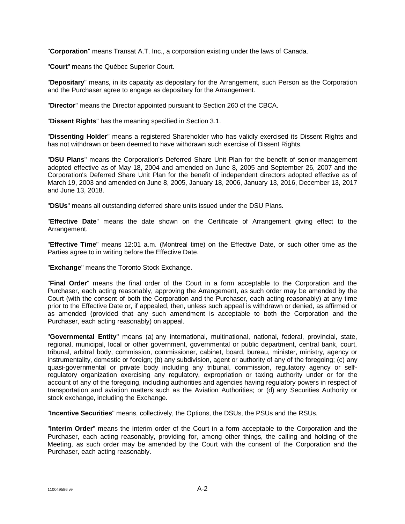"**Corporation**" means Transat A.T. Inc., a corporation existing under the laws of Canada.

"**Court**" means the Québec Superior Court.

"**Depositary**" means, in its capacity as depositary for the Arrangement, such Person as the Corporation and the Purchaser agree to engage as depositary for the Arrangement.

"**Director**" means the Director appointed pursuant to Section 260 of the CBCA.

"**Dissent Rights**" has the meaning specified in [Section](#page-73-0) 3.1.

"**Dissenting Holder**" means a registered Shareholder who has validly exercised its Dissent Rights and has not withdrawn or been deemed to have withdrawn such exercise of Dissent Rights.

"**DSU Plans**" means the Corporation's Deferred Share Unit Plan for the benefit of senior management adopted effective as of May 18, 2004 and amended on June 8, 2005 and September 26, 2007 and the Corporation's Deferred Share Unit Plan for the benefit of independent directors adopted effective as of March 19, 2003 and amended on June 8, 2005, January 18, 2006, January 13, 2016, December 13, 2017 and June 13, 2018.

"**DSUs**" means all outstanding deferred share units issued under the DSU Plans.

"**Effective Date**" means the date shown on the Certificate of Arrangement giving effect to the Arrangement.

"**Effective Time**" means 12:01 a.m. (Montreal time) on the Effective Date, or such other time as the Parties agree to in writing before the Effective Date.

"**Exchange**" means the Toronto Stock Exchange.

"**Final Order**" means the final order of the Court in a form acceptable to the Corporation and the Purchaser, each acting reasonably, approving the Arrangement, as such order may be amended by the Court (with the consent of both the Corporation and the Purchaser, each acting reasonably) at any time prior to the Effective Date or, if appealed, then, unless such appeal is withdrawn or denied, as affirmed or as amended (provided that any such amendment is acceptable to both the Corporation and the Purchaser, each acting reasonably) on appeal.

"**Governmental Entity**" means (a) any international, multinational, national, federal, provincial, state, regional, municipal, local or other government, governmental or public department, central bank, court, tribunal, arbitral body, commission, commissioner, cabinet, board, bureau, minister, ministry, agency or instrumentality, domestic or foreign; (b) any subdivision, agent or authority of any of the foregoing; (c) any quasi-governmental or private body including any tribunal, commission, regulatory agency or selfregulatory organization exercising any regulatory, expropriation or taxing authority under or for the account of any of the foregoing, including authorities and agencies having regulatory powers in respect of transportation and aviation matters such as the Aviation Authorities; or (d) any Securities Authority or stock exchange, including the Exchange.

"**Incentive Securities**" means, collectively, the Options, the DSUs, the PSUs and the RSUs.

"**Interim Order**" means the interim order of the Court in a form acceptable to the Corporation and the Purchaser, each acting reasonably, providing for, among other things, the calling and holding of the Meeting, as such order may be amended by the Court with the consent of the Corporation and the Purchaser, each acting reasonably.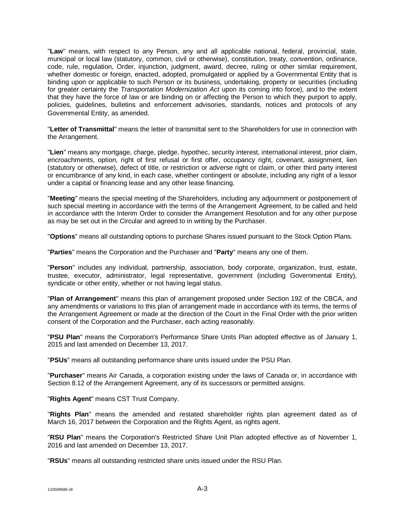"**Law**" means, with respect to any Person, any and all applicable national, federal, provincial, state, municipal or local law (statutory, common, civil or otherwise), constitution, treaty, convention, ordinance, code, rule, regulation, Order, injunction, judgment, award, decree, ruling or other similar requirement, whether domestic or foreign, enacted, adopted, promulgated or applied by a Governmental Entity that is binding upon or applicable to such Person or its business, undertaking, property or securities (including for greater certainty the *Transportation Modernization Act* upon its coming into force), and to the extent that they have the force of law or are binding on or affecting the Person to which they purport to apply, policies, guidelines, bulletins and enforcement advisories, standards, notices and protocols of any Governmental Entity, as amended.

"**Letter of Transmittal**" means the letter of transmittal sent to the Shareholders for use in connection with the Arrangement.

"**Lien**" means any mortgage, charge, pledge, hypothec, security interest, international interest, prior claim, encroachments, option, right of first refusal or first offer, occupancy right, covenant, assignment, lien (statutory or otherwise), defect of title, or restriction or adverse right or claim, or other third party interest or encumbrance of any kind, in each case, whether contingent or absolute, including any right of a lessor under a capital or financing lease and any other lease financing.

"**Meeting**" means the special meeting of the Shareholders, including any adjournment or postponement of such special meeting in accordance with the terms of the Arrangement Agreement, to be called and held in accordance with the Interim Order to consider the Arrangement Resolution and for any other purpose as may be set out in the Circular and agreed to in writing by the Purchaser.

"**Options**" means all outstanding options to purchase Shares issued pursuant to the Stock Option Plans.

"**Parties**" means the Corporation and the Purchaser and "**Party**" means any one of them.

"**Person**" includes any individual, partnership, association, body corporate, organization, trust, estate, trustee, executor, administrator, legal representative, government (including Governmental Entity), syndicate or other entity, whether or not having legal status.

"**Plan of Arrangement**" means this plan of arrangement proposed under Section 192 of the CBCA, and any amendments or variations to this plan of arrangement made in accordance with its terms, the terms of the Arrangement Agreement or made at the direction of the Court in the Final Order with the prior written consent of the Corporation and the Purchaser, each acting reasonably.

"**PSU Plan**" means the Corporation's Performance Share Units Plan adopted effective as of January 1, 2015 and last amended on December 13, 2017.

"**PSUs**" means all outstanding performance share units issued under the PSU Plan.

"**Purchaser**" means Air Canada, a corporation existing under the laws of Canada or, in accordance with Section 8.12 of the Arrangement Agreement, any of its successors or permitted assigns.

"**Rights Agent**" means CST Trust Company.

"**Rights Plan**" means the amended and restated shareholder rights plan agreement dated as of March 16, 2017 between the Corporation and the Rights Agent, as rights agent.

"**RSU Plan**" means the Corporation's Restricted Share Unit Plan adopted effective as of November 1, 2016 and last amended on December 13, 2017.

"**RSUs**" means all outstanding restricted share units issued under the RSU Plan.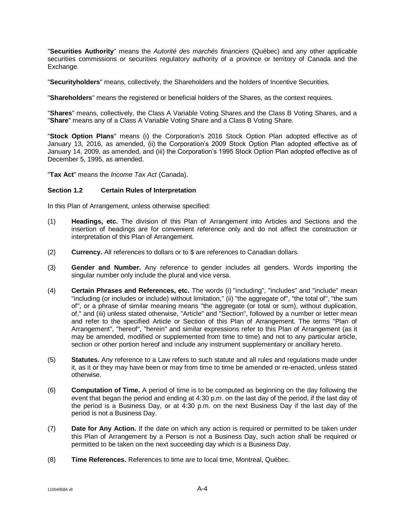"**Securities Authority**" means the *Autorité des marchés financiers* (Québec) and any other applicable securities commissions or securities regulatory authority of a province or territory of Canada and the Exchange.

"**Securityholders**" means, collectively, the Shareholders and the holders of Incentive Securities.

"**Shareholders**" means the registered or beneficial holders of the Shares, as the context requires.

"**Shares**" means, collectively, the Class A Variable Voting Shares and the Class B Voting Shares, and a "**Share**" means any of a Class A Variable Voting Share and a Class B Voting Share.

"**Stock Option Plans**" means (i) the Corporation's 2016 Stock Option Plan adopted effective as of January 13, 2016, as amended, (ii) the Corporation's 2009 Stock Option Plan adopted effective as of January 14, 2009, as amended, and (iii) the Corporation's 1995 Stock Option Plan adopted effective as of December 5, 1995, as amended.

"**Tax Act**" means the *Income Tax Act* (Canada).

### **Section 1.2 Certain Rules of Interpretation**

In this Plan of Arrangement, unless otherwise specified:

- (1) **Headings, etc.** The division of this Plan of Arrangement into Articles and Sections and the insertion of headings are for convenient reference only and do not affect the construction or interpretation of this Plan of Arrangement.
- (2) **Currency.** All references to dollars or to \$ are references to Canadian dollars.
- (3) **Gender and Number.** Any reference to gender includes all genders. Words importing the singular number only include the plural and vice versa.
- (4) **Certain Phrases and References, etc.** The words (i) "including", "includes" and "include" mean "including (or includes or include) without limitation," (ii) "the aggregate of", "the total of", "the sum of", or a phrase of similar meaning means "the aggregate (or total or sum), without duplication, of," and (iii) unless stated otherwise, "Article" and "Section", followed by a number or letter mean and refer to the specified Article or Section of this Plan of Arrangement. The terms "Plan of Arrangement", "hereof", "herein" and similar expressions refer to this Plan of Arrangement (as it may be amended, modified or supplemented from time to time) and not to any particular article, section or other portion hereof and include any instrument supplementary or ancillary hereto.
- (5) **Statutes.** Any reference to a Law refers to such statute and all rules and regulations made under it, as it or they may have been or may from time to time be amended or re-enacted, unless stated otherwise.
- (6) **Computation of Time.** A period of time is to be computed as beginning on the day following the event that began the period and ending at 4:30 p.m. on the last day of the period, if the last day of the period is a Business Day, or at 4:30 p.m. on the next Business Day if the last day of the period is not a Business Day.
- (7) **Date for Any Action.** If the date on which any action is required or permitted to be taken under this Plan of Arrangement by a Person is not a Business Day, such action shall be required or permitted to be taken on the next succeeding day which is a Business Day.
- (8) **Time References.** References to time are to local time, Montreal, Québec.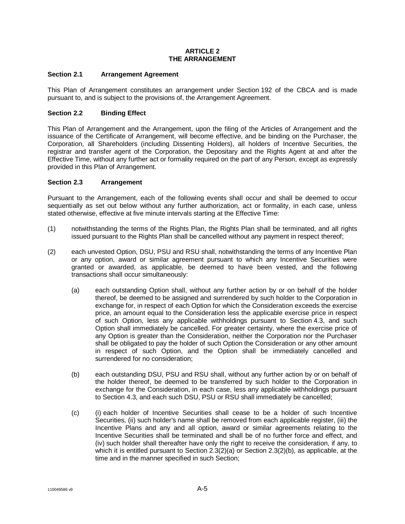#### **ARTICLE 2 THE ARRANGEMENT**

## **Section 2.1 Arrangement Agreement**

This Plan of Arrangement constitutes an arrangement under Section 192 of the CBCA and is made pursuant to, and is subject to the provisions of, the Arrangement Agreement.

## **Section 2.2 Binding Effect**

This Plan of Arrangement and the Arrangement, upon the filing of the Articles of Arrangement and the issuance of the Certificate of Arrangement, will become effective, and be binding on the Purchaser, the Corporation, all Shareholders (including Dissenting Holders), all holders of Incentive Securities, the registrar and transfer agent of the Corporation, the Depositary and the Rights Agent at and after the Effective Time, without any further act or formality required on the part of any Person, except as expressly provided in this Plan of Arrangement.

### <span id="page-72-3"></span>**Section 2.3 Arrangement**

Pursuant to the Arrangement, each of the following events shall occur and shall be deemed to occur sequentially as set out below without any further authorization, act or formality, in each case, unless stated otherwise, effective at five minute intervals starting at the Effective Time:

- (1) notwithstanding the terms of the Rights Plan, the Rights Plan shall be terminated, and all rights issued pursuant to the Rights Plan shall be cancelled without any payment in respect thereof;
- <span id="page-72-2"></span><span id="page-72-1"></span><span id="page-72-0"></span>(2) each unvested Option, DSU, PSU and RSU shall, notwithstanding the terms of any Incentive Plan or any option, award or similar agreement pursuant to which any Incentive Securities were granted or awarded, as applicable, be deemed to have been vested, and the following transactions shall occur simultaneously:
	- (a) each outstanding Option shall, without any further action by or on behalf of the holder thereof, be deemed to be assigned and surrendered by such holder to the Corporation in exchange for, in respect of each Option for which the Consideration exceeds the exercise price, an amount equal to the Consideration less the applicable exercise price in respect of such Option, less any applicable withholdings pursuant to [Section](#page-75-0) 4.3, and such Option shall immediately be cancelled. For greater certainty, where the exercise price of any Option is greater than the Consideration, neither the Corporation nor the Purchaser shall be obligated to pay the holder of such Option the Consideration or any other amount in respect of such Option, and the Option shall be immediately cancelled and surrendered for no consideration;
	- (b) each outstanding DSU, PSU and RSU shall, without any further action by or on behalf of the holder thereof, be deemed to be transferred by such holder to the Corporation in exchange for the Consideration, in each case, less any applicable withholdings pursuant to [Section](#page-75-0) 4.3, and each such DSU, PSU or RSU shall immediately be cancelled;
	- (c) (i) each holder of Incentive Securities shall cease to be a holder of such Incentive Securities, (ii) such holder's name shall be removed from each applicable register, (iii) the Incentive Plans and any and all option, award or similar agreements relating to the Incentive Securities shall be terminated and shall be of no further force and effect, and (iv) such holder shall thereafter have only the right to receive the consideration, if any, to which it is entitled pursuant to Section  $2.3(2)(a)$  or Section  $2.3(2)(b)$ , as applicable, at the time and in the manner specified in such Section;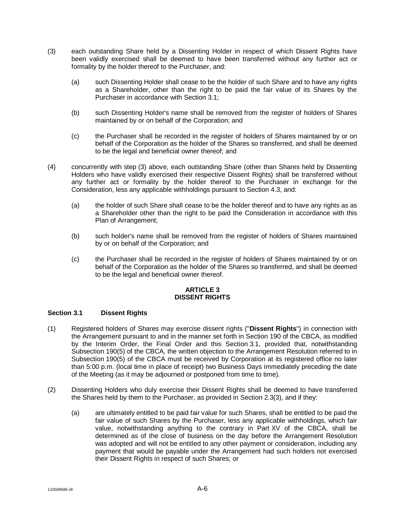- <span id="page-73-1"></span>(3) each outstanding Share held by a Dissenting Holder in respect of which Dissent Rights have been validly exercised shall be deemed to have been transferred without any further act or formality by the holder thereof to the Purchaser, and:
	- (a) such Dissenting Holder shall cease to be the holder of such Share and to have any rights as a Shareholder, other than the right to be paid the fair value of its Shares by the Purchaser in accordance with [Section](#page-73-0) 3.1;
	- (b) such Dissenting Holder's name shall be removed from the register of holders of Shares maintained by or on behalf of the Corporation; and
	- (c) the Purchaser shall be recorded in the register of holders of Shares maintained by or on behalf of the Corporation as the holder of the Shares so transferred, and shall be deemed to be the legal and beneficial owner thereof; and
- <span id="page-73-2"></span>(4) concurrently with step [\(3\)](#page-73-1) above, each outstanding Share (other than Shares held by Dissenting Holders who have validly exercised their respective Dissent Rights) shall be transferred without any further act or formality by the holder thereof to the Purchaser in exchange for the Consideration, less any applicable withholdings pursuant to [Section](#page-75-0) 4.3, and:
	- (a) the holder of such Share shall cease to be the holder thereof and to have any rights as as a Shareholder other than the right to be paid the Consideration in accordance with this Plan of Arrangement;
	- (b) such holder's name shall be removed from the register of holders of Shares maintained by or on behalf of the Corporation; and
	- (c) the Purchaser shall be recorded in the register of holders of Shares maintained by or on behalf of the Corporation as the holder of the Shares so transferred, and shall be deemed to be the legal and beneficial owner thereof.

### **ARTICLE 3 DISSENT RIGHTS**

# <span id="page-73-0"></span>**Section 3.1 Dissent Rights**

- (1) Registered holders of Shares may exercise dissent rights ("**Dissent Rights**") in connection with the Arrangement pursuant to and in the manner set forth in Section 190 of the CBCA, as modified by the Interim Order, the Final Order and this [Section](#page-73-0) 3.1, provided that, notwithstanding Subsection 190(5) of the CBCA, the written objection to the Arrangement Resolution referred to in Subsection 190(5) of the CBCA must be received by Corporation at its registered office no later than 5:00 p.m. (local time in place of receipt) two Business Days immediately preceding the date of the Meeting (as it may be adjourned or postponed from time to time).
- (2) Dissenting Holders who duly exercise their Dissent Rights shall be deemed to have transferred the Shares held by them to the Purchaser, as provided in [Section](#page-73-1) 2.3(3), and if they:
	- (a) are ultimately entitled to be paid fair value for such Shares, shall be entitled to be paid the fair value of such Shares by the Purchaser, less any applicable withholdings, which fair value, notwithstanding anything to the contrary in Part XV of the CBCA, shall be determined as of the close of business on the day before the Arrangement Resolution was adopted and will not be entitled to any other payment or consideration, including any payment that would be payable under the Arrangement had such holders not exercised their Dissent Rights in respect of such Shares; or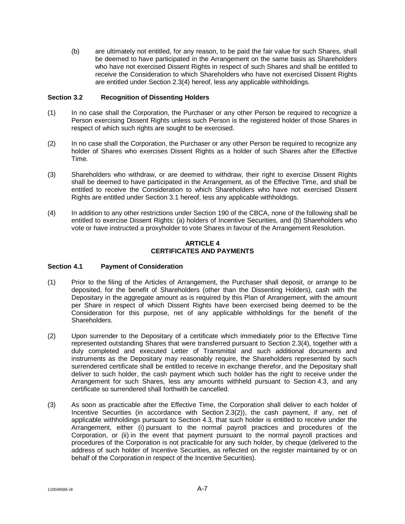(b) are ultimately not entitled, for any reason, to be paid the fair value for such Shares, shall be deemed to have participated in the Arrangement on the same basis as Shareholders who have not exercised Dissent Rights in respect of such Shares and shall be entitled to receive the Consideration to which Shareholders who have not exercised Dissent Rights are entitled unde[r Section](#page-73-2) 2.3(4) hereof, less any applicable withholdings.

## **Section 3.2 Recognition of Dissenting Holders**

- (1) In no case shall the Corporation, the Purchaser or any other Person be required to recognize a Person exercising Dissent Rights unless such Person is the registered holder of those Shares in respect of which such rights are sought to be exercised.
- (2) In no case shall the Corporation, the Purchaser or any other Person be required to recognize any holder of Shares who exercises Dissent Rights as a holder of such Shares after the Effective Time.
- (3) Shareholders who withdraw, or are deemed to withdraw, their right to exercise Dissent Rights shall be deemed to have participated in the Arrangement, as of the Effective Time, and shall be entitled to receive the Consideration to which Shareholders who have not exercised Dissent Rights are entitled under [Section](#page-73-0) 3.1 hereof, less any applicable withholdings.
- (4) In addition to any other restrictions under Section 190 of the CBCA, none of the following shall be entitled to exercise Dissent Rights: (a) holders of Incentive Securities, and (b) Shareholders who vote or have instructed a proxyholder to vote Shares in favour of the Arrangement Resolution.

### **ARTICLE 4 CERTIFICATES AND PAYMENTS**

### <span id="page-74-0"></span>**Section 4.1 Payment of Consideration**

- (1) Prior to the filing of the Articles of Arrangement, the Purchaser shall deposit, or arrange to be deposited, for the benefit of Shareholders (other than the Dissenting Holders), cash with the Depositary in the aggregate amount as is required by this Plan of Arrangement, with the amount per Share in respect of which Dissent Rights have been exercised being deemed to be the Consideration for this purpose, net of any applicable withholdings for the benefit of the Shareholders.
- (2) Upon surrender to the Depositary of a certificate which immediately prior to the Effective Time represented outstanding Shares that were transferred pursuant to [Section](#page-73-2) 2.3(4), together with a duly completed and executed Letter of Transmittal and such additional documents and instruments as the Depositary may reasonably require, the Shareholders represented by such surrendered certificate shall be entitled to receive in exchange therefor, and the Depositary shall deliver to such holder, the cash payment which such holder has the right to receive under the Arrangement for such Shares, less any amounts withheld pursuant to [Section](#page-75-0) 4.3, and any certificate so surrendered shall forthwith be cancelled.
- (3) As soon as practicable after the Effective Time, the Corporation shall deliver to each holder of Incentive Securities (in accordance with [Section](#page-72-2) 2.3(2)), the cash payment, if any, net of applicable withholdings pursuant to [Section](#page-75-0) 4.3, that such holder is entitled to receive under the Arrangement, either (i) pursuant to the normal payroll practices and procedures of the Corporation, or (ii) in the event that payment pursuant to the normal payroll practices and procedures of the Corporation is not practicable for any such holder, by cheque (delivered to the address of such holder of Incentive Securities, as reflected on the register maintained by or on behalf of the Corporation in respect of the Incentive Securities).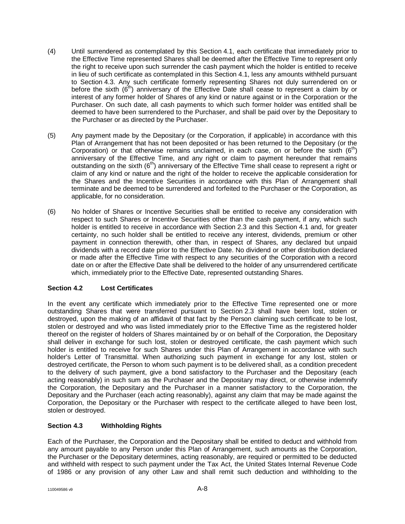- (4) Until surrendered as contemplated by this [Section](#page-74-0) 4.1, each certificate that immediately prior to the Effective Time represented Shares shall be deemed after the Effective Time to represent only the right to receive upon such surrender the cash payment which the holder is entitled to receive in lieu of such certificate as contemplated in this [Section](#page-74-0) 4.1, less any amounts withheld pursuant to [Section](#page-75-0) 4.3. Any such certificate formerly representing Shares not duly surrendered on or before the sixth  $(6<sup>th</sup>)$  anniversary of the Effective Date shall cease to represent a claim by or interest of any former holder of Shares of any kind or nature against or in the Corporation or the Purchaser. On such date, all cash payments to which such former holder was entitled shall be deemed to have been surrendered to the Purchaser, and shall be paid over by the Depositary to the Purchaser or as directed by the Purchaser.
- (5) Any payment made by the Depositary (or the Corporation, if applicable) in accordance with this Plan of Arrangement that has not been deposited or has been returned to the Depositary (or the Corporation) or that otherwise remains unclaimed, in each case, on or before the sixth  $(6<sup>th</sup>)$ anniversary of the Effective Time, and any right or claim to payment hereunder that remains outstanding on the sixth  $(6<sup>th</sup>)$  anniversary of the Effective Time shall cease to represent a right or claim of any kind or nature and the right of the holder to receive the applicable consideration for the Shares and the Incentive Securities in accordance with this Plan of Arrangement shall terminate and be deemed to be surrendered and forfeited to the Purchaser or the Corporation, as applicable, for no consideration.
- (6) No holder of Shares or Incentive Securities shall be entitled to receive any consideration with respect to such Shares or Incentive Securities other than the cash payment, if any, which such holder is entitled to receive in accordance with [Section](#page-72-3) 2.3 and this [Section](#page-74-0) 4.1 and, for greater certainty, no such holder shall be entitled to receive any interest, dividends, premium or other payment in connection therewith, other than, in respect of Shares, any declared but unpaid dividends with a record date prior to the Effective Date. No dividend or other distribution declared or made after the Effective Time with respect to any securities of the Corporation with a record date on or after the Effective Date shall be delivered to the holder of any unsurrendered certificate which, immediately prior to the Effective Date, represented outstanding Shares.

# **Section 4.2 Lost Certificates**

In the event any certificate which immediately prior to the Effective Time represented one or more outstanding Shares that were transferred pursuant to [Section](#page-72-3) 2.3 shall have been lost, stolen or destroyed, upon the making of an affidavit of that fact by the Person claiming such certificate to be lost, stolen or destroyed and who was listed immediately prior to the Effective Time as the registered holder thereof on the register of holders of Shares maintained by or on behalf of the Corporation, the Depositary shall deliver in exchange for such lost, stolen or destroyed certificate, the cash payment which such holder is entitled to receive for such Shares under this Plan of Arrangement in accordance with such holder's Letter of Transmittal. When authorizing such payment in exchange for any lost, stolen or destroyed certificate, the Person to whom such payment is to be delivered shall, as a condition precedent to the delivery of such payment, give a bond satisfactory to the Purchaser and the Depositary (each acting reasonably) in such sum as the Purchaser and the Depositary may direct, or otherwise indemnify the Corporation, the Depositary and the Purchaser in a manner satisfactory to the Corporation, the Depositary and the Purchaser (each acting reasonably), against any claim that may be made against the Corporation, the Depositary or the Purchaser with respect to the certificate alleged to have been lost, stolen or destroyed.

# <span id="page-75-0"></span>**Section 4.3 Withholding Rights**

Each of the Purchaser, the Corporation and the Depositary shall be entitled to deduct and withhold from any amount payable to any Person under this Plan of Arrangement, such amounts as the Corporation, the Purchaser or the Depositary determines, acting reasonably, are required or permitted to be deducted and withheld with respect to such payment under the Tax Act, the United States Internal Revenue Code of 1986 or any provision of any other Law and shall remit such deduction and withholding to the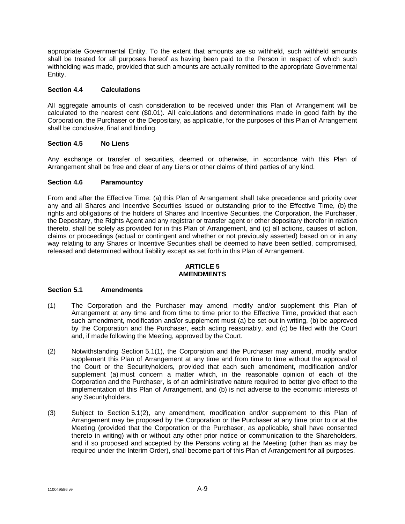appropriate Governmental Entity. To the extent that amounts are so withheld, such withheld amounts shall be treated for all purposes hereof as having been paid to the Person in respect of which such withholding was made, provided that such amounts are actually remitted to the appropriate Governmental Entity.

## **Section 4.4 Calculations**

All aggregate amounts of cash consideration to be received under this Plan of Arrangement will be calculated to the nearest cent (\$0.01). All calculations and determinations made in good faith by the Corporation, the Purchaser or the Depositary, as applicable, for the purposes of this Plan of Arrangement shall be conclusive, final and binding.

## **Section 4.5 No Liens**

Any exchange or transfer of securities, deemed or otherwise, in accordance with this Plan of Arrangement shall be free and clear of any Liens or other claims of third parties of any kind.

## **Section 4.6 Paramountcy**

From and after the Effective Time: (a) this Plan of Arrangement shall take precedence and priority over any and all Shares and Incentive Securities issued or outstanding prior to the Effective Time, (b) the rights and obligations of the holders of Shares and Incentive Securities, the Corporation, the Purchaser, the Depositary, the Rights Agent and any registrar or transfer agent or other depositary therefor in relation thereto, shall be solely as provided for in this Plan of Arrangement, and (c) all actions, causes of action, claims or proceedings (actual or contingent and whether or not previously asserted) based on or in any way relating to any Shares or Incentive Securities shall be deemed to have been settled, compromised, released and determined without liability except as set forth in this Plan of Arrangement.

### **ARTICLE 5 AMENDMENTS**

### **Section 5.1 Amendments**

- <span id="page-76-0"></span>(1) The Corporation and the Purchaser may amend, modify and/or supplement this Plan of Arrangement at any time and from time to time prior to the Effective Time, provided that each such amendment, modification and/or supplement must (a) be set out in writing, (b) be approved by the Corporation and the Purchaser, each acting reasonably, and (c) be filed with the Court and, if made following the Meeting, approved by the Court.
- <span id="page-76-1"></span>(2) Notwithstanding [Section](#page-76-0) 5.1(1), the Corporation and the Purchaser may amend, modify and/or supplement this Plan of Arrangement at any time and from time to time without the approval of the Court or the Securityholders, provided that each such amendment, modification and/or supplement (a) must concern a matter which, in the reasonable opinion of each of the Corporation and the Purchaser, is of an administrative nature required to better give effect to the implementation of this Plan of Arrangement, and (b) is not adverse to the economic interests of any Securityholders.
- (3) Subject to [Section](#page-76-1) 5.1(2), any amendment, modification and/or supplement to this Plan of Arrangement may be proposed by the Corporation or the Purchaser at any time prior to or at the Meeting (provided that the Corporation or the Purchaser, as applicable, shall have consented thereto in writing) with or without any other prior notice or communication to the Shareholders, and if so proposed and accepted by the Persons voting at the Meeting (other than as may be required under the Interim Order), shall become part of this Plan of Arrangement for all purposes.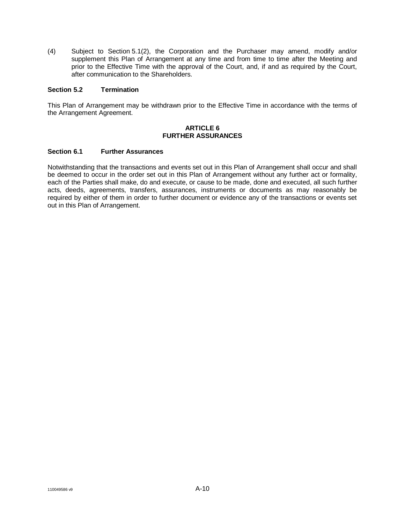(4) Subject to [Section](#page-76-1) 5.1(2), the Corporation and the Purchaser may amend, modify and/or supplement this Plan of Arrangement at any time and from time to time after the Meeting and prior to the Effective Time with the approval of the Court, and, if and as required by the Court, after communication to the Shareholders.

#### **Section 5.2 Termination**

This Plan of Arrangement may be withdrawn prior to the Effective Time in accordance with the terms of the Arrangement Agreement.

#### **ARTICLE 6 FURTHER ASSURANCES**

#### **Section 6.1 Further Assurances**

Notwithstanding that the transactions and events set out in this Plan of Arrangement shall occur and shall be deemed to occur in the order set out in this Plan of Arrangement without any further act or formality, each of the Parties shall make, do and execute, or cause to be made, done and executed, all such further acts, deeds, agreements, transfers, assurances, instruments or documents as may reasonably be required by either of them in order to further document or evidence any of the transactions or events set out in this Plan of Arrangement.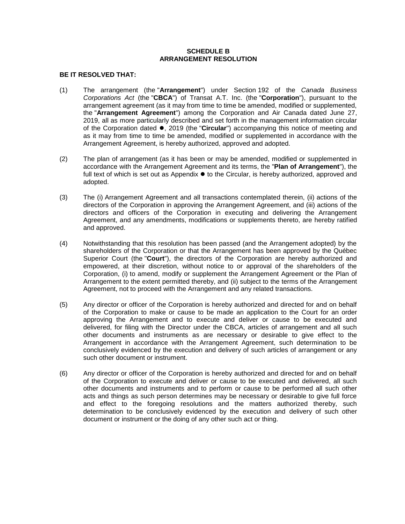## **SCHEDULE B ARRANGEMENT RESOLUTION**

### **BE IT RESOLVED THAT:**

- (1) The arrangement (the "**Arrangement**") under Section 192 of the *Canada Business Corporations Act* (the "**CBCA**") of Transat A.T. Inc. (the "**Corporation**"), pursuant to the arrangement agreement (as it may from time to time be amended, modified or supplemented, the "**Arrangement Agreement**") among the Corporation and Air Canada dated June 27, 2019, all as more particularly described and set forth in the management information circular of the Corporation dated , 2019 (the "**Circular**") accompanying this notice of meeting and as it may from time to time be amended, modified or supplemented in accordance with the Arrangement Agreement, is hereby authorized, approved and adopted.
- (2) The plan of arrangement (as it has been or may be amended, modified or supplemented in accordance with the Arrangement Agreement and its terms, the "**Plan of Arrangement**"), the full text of which is set out as Appendix  $\bullet$  to the Circular, is hereby authorized, approved and adopted.
- (3) The (i) Arrangement Agreement and all transactions contemplated therein, (ii) actions of the directors of the Corporation in approving the Arrangement Agreement, and (iii) actions of the directors and officers of the Corporation in executing and delivering the Arrangement Agreement, and any amendments, modifications or supplements thereto, are hereby ratified and approved.
- (4) Notwithstanding that this resolution has been passed (and the Arrangement adopted) by the shareholders of the Corporation or that the Arrangement has been approved by the Québec Superior Court (the "**Court**"), the directors of the Corporation are hereby authorized and empowered, at their discretion, without notice to or approval of the shareholders of the Corporation, (i) to amend, modify or supplement the Arrangement Agreement or the Plan of Arrangement to the extent permitted thereby, and (ii) subject to the terms of the Arrangement Agreement, not to proceed with the Arrangement and any related transactions.
- (5) Any director or officer of the Corporation is hereby authorized and directed for and on behalf of the Corporation to make or cause to be made an application to the Court for an order approving the Arrangement and to execute and deliver or cause to be executed and delivered, for filing with the Director under the CBCA, articles of arrangement and all such other documents and instruments as are necessary or desirable to give effect to the Arrangement in accordance with the Arrangement Agreement, such determination to be conclusively evidenced by the execution and delivery of such articles of arrangement or any such other document or instrument.
- (6) Any director or officer of the Corporation is hereby authorized and directed for and on behalf of the Corporation to execute and deliver or cause to be executed and delivered, all such other documents and instruments and to perform or cause to be performed all such other acts and things as such person determines may be necessary or desirable to give full force and effect to the foregoing resolutions and the matters authorized thereby, such determination to be conclusively evidenced by the execution and delivery of such other document or instrument or the doing of any other such act or thing.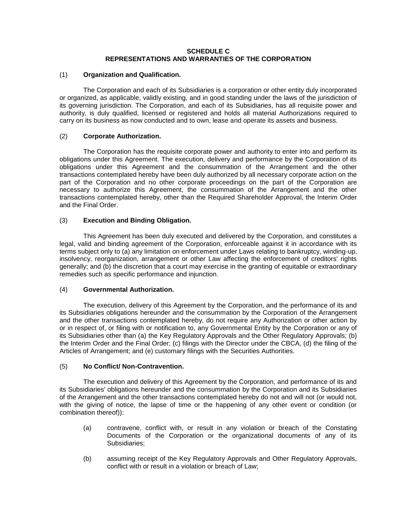### **SCHEDULE C REPRESENTATIONS AND WARRANTIES OF THE CORPORATION**

### (1) **Organization and Qualification.**

The Corporation and each of its Subsidiaries is a corporation or other entity duly incorporated or organized, as applicable, validly existing, and in good standing under the laws of the jurisdiction of its governing jurisdiction. The Corporation, and each of its Subsidiaries, has all requisite power and authority, is duly qualified, licensed or registered and holds all material Authorizations required to carry on its business as now conducted and to own, lease and operate its assets and business.

## (2) **Corporate Authorization.**

The Corporation has the requisite corporate power and authority to enter into and perform its obligations under this Agreement. The execution, delivery and performance by the Corporation of its obligations under this Agreement and the consummation of the Arrangement and the other transactions contemplated hereby have been duly authorized by all necessary corporate action on the part of the Corporation and no other corporate proceedings on the part of the Corporation are necessary to authorize this Agreement, the consummation of the Arrangement and the other transactions contemplated hereby, other than the Required Shareholder Approval, the Interim Order and the Final Order.

## (3) **Execution and Binding Obligation.**

This Agreement has been duly executed and delivered by the Corporation, and constitutes a legal, valid and binding agreement of the Corporation, enforceable against it in accordance with its terms subject only to (a) any limitation on enforcement under Laws relating to bankruptcy, winding-up, insolvency, reorganization, arrangement or other Law affecting the enforcement of creditors' rights generally; and (b) the discretion that a court may exercise in the granting of equitable or extraordinary remedies such as specific performance and injunction.

### (4) **Governmental Authorization.**

The execution, delivery of this Agreement by the Corporation, and the performance of its and its Subsidiaries obligations hereunder and the consummation by the Corporation of the Arrangement and the other transactions contemplated hereby, do not require any Authorization or other action by or in respect of, or filing with or notification to, any Governmental Entity by the Corporation or any of its Subsidiaries other than (a) the Key Regulatory Approvals and the Other Regulatory Approvals; (b) the Interim Order and the Final Order; (c) filings with the Director under the CBCA, (d) the filing of the Articles of Arrangement; and (e) customary filings with the Securities Authorities.

# (5) **No Conflict/ Non-Contravention.**

The execution and delivery of this Agreement by the Corporation, and performance of its and its Subsidiaries' obligations hereunder and the consummation by the Corporation and its Subsidiaries of the Arrangement and the other transactions contemplated hereby do not and will not (or would not, with the giving of notice, the lapse of time or the happening of any other event or condition (or combination thereof)):

- (a) contravene, conflict with, or result in any violation or breach of the Constating Documents of the Corporation or the organizational documents of any of its Subsidiaries;
- (b) assuming receipt of the Key Regulatory Approvals and Other Regulatory Approvals, conflict with or result in a violation or breach of Law;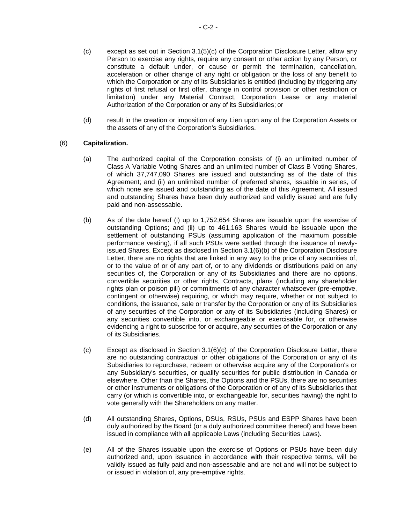- <span id="page-80-0"></span>(c) except as set out in [Section](#page-32-0) 3.[1\(5\)](#page-32-0)[\(c\)](#page-80-0) of the Corporation Disclosure Letter, allow any Person to exercise any rights, require any consent or other action by any Person, or constitute a default under, or cause or permit the termination, cancellation, acceleration or other change of any right or obligation or the loss of any benefit to which the Corporation or any of its Subsidiaries is entitled (including by triggering any rights of first refusal or first offer, change in control provision or other restriction or limitation) under any Material Contract, Corporation Lease or any material Authorization of the Corporation or any of its Subsidiaries; or
- (d) result in the creation or imposition of any Lien upon any of the Corporation Assets or the assets of any of the Corporation's Subsidiaries.

## (6) **Capitalization.**

- (a) The authorized capital of the Corporation consists of (i) an unlimited number of Class A Variable Voting Shares and an unlimited number of Class B Voting Shares, of which 37,747,090 Shares are issued and outstanding as of the date of this Agreement; and (ii) an unlimited number of preferred shares, issuable in series, of which none are issued and outstanding as of the date of this Agreement. All issued and outstanding Shares have been duly authorized and validly issued and are fully paid and non-assessable.
- <span id="page-80-1"></span>(b) As of the date hereof (i) up to 1,752,654 Shares are issuable upon the exercise of outstanding Options; and (ii) up to 461,163 Shares would be issuable upon the settlement of outstanding PSUs (assuming application of the maximum possible performance vesting), if all such PSUs were settled through the issuance of newlyissued Shares. Except as disclosed in [Section](#page-32-0) 3.[1\(6\)](#page-32-0)[\(b\)](#page-80-1) of the Corporation Disclosure Letter, there are no rights that are linked in any way to the price of any securities of, or to the value of or of any part of, or to any dividends or distributions paid on any securities of, the Corporation or any of its Subsidiaries and there are no options, convertible securities or other rights, Contracts, plans (including any shareholder rights plan or poison pill) or commitments of any character whatsoever (pre-emptive, contingent or otherwise) requiring, or which may require, whether or not subject to conditions, the issuance, sale or transfer by the Corporation or any of its Subsidiaries of any securities of the Corporation or any of its Subsidiaries (including Shares) or any securities convertible into, or exchangeable or exercisable for, or otherwise evidencing a right to subscribe for or acquire, any securities of the Corporation or any of its Subsidiaries.
- <span id="page-80-2"></span>(c) Except as disclosed in [Section](#page-32-0) 3.[1\(6\)](#page-32-0)[\(c\)](#page-80-2) of the Corporation Disclosure Letter, there are no outstanding contractual or other obligations of the Corporation or any of its Subsidiaries to repurchase, redeem or otherwise acquire any of the Corporation's or any Subsidiary's securities, or qualify securities for public distribution in Canada or elsewhere. Other than the Shares, the Options and the PSUs, there are no securities or other instruments or obligations of the Corporation or of any of its Subsidiaries that carry (or which is convertible into, or exchangeable for, securities having) the right to vote generally with the Shareholders on any matter.
- (d) All outstanding Shares, Options, DSUs, RSUs, PSUs and ESPP Shares have been duly authorized by the Board (or a duly authorized committee thereof) and have been issued in compliance with all applicable Laws (including Securities Laws).
- (e) All of the Shares issuable upon the exercise of Options or PSUs have been duly authorized and, upon issuance in accordance with their respective terms, will be validly issued as fully paid and non-assessable and are not and will not be subject to or issued in violation of, any pre-emptive rights.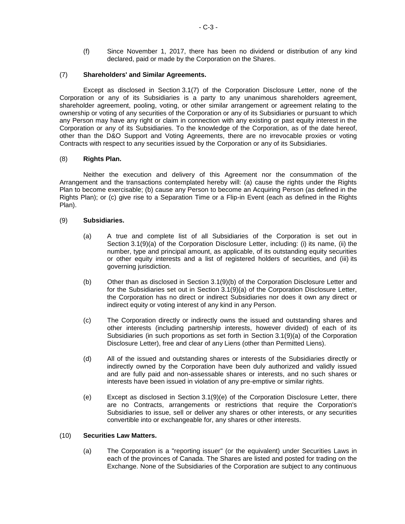(f) Since November 1, 2017, there has been no dividend or distribution of any kind declared, paid or made by the Corporation on the Shares.

### (7) **Shareholders' and Similar Agreements.**

Except as disclosed in [Section](#page-32-0) 3.[1\(7\)](#page-32-0) of the Corporation Disclosure Letter, none of the Corporation or any of its Subsidiaries is a party to any unanimous shareholders agreement, shareholder agreement, pooling, voting, or other similar arrangement or agreement relating to the ownership or voting of any securities of the Corporation or any of its Subsidiaries or pursuant to which any Person may have any right or claim in connection with any existing or past equity interest in the Corporation or any of its Subsidiaries. To the knowledge of the Corporation, as of the date hereof, other than the D&O Support and Voting Agreements, there are no irrevocable proxies or voting Contracts with respect to any securities issued by the Corporation or any of its Subsidiaries.

## (8) **Rights Plan.**

Neither the execution and delivery of this Agreement nor the consummation of the Arrangement and the transactions contemplated hereby will: (a) cause the rights under the Rights Plan to become exercisable; (b) cause any Person to become an Acquiring Person (as defined in the Rights Plan); or (c) give rise to a Separation Time or a Flip-in Event (each as defined in the Rights Plan).

### <span id="page-81-0"></span>(9) **Subsidiaries.**

- (a) A true and complete list of all Subsidiaries of the Corporation is set out in [Section](#page-32-0) 3.[1\(9\)](#page-32-0)[\(a\)](#page-81-0) of the Corporation Disclosure Letter, including: (i) its name, (ii) the number, type and principal amount, as applicable, of its outstanding equity securities or other equity interests and a list of registered holders of securities, and (iii) its governing jurisdiction.
- <span id="page-81-1"></span>(b) Other than as disclosed in [Section](#page-32-0) 3.[1\(9\)](#page-32-0)[\(b\)](#page-81-1) of the Corporation Disclosure Letter and for the Subsidiaries set out in [Section](#page-32-0) 3.[1\(9\)](#page-32-0)[\(a\)](#page-81-0) of the Corporation Disclosure Letter, the Corporation has no direct or indirect Subsidiaries nor does it own any direct or indirect equity or voting interest of any kind in any Person.
- (c) The Corporation directly or indirectly owns the issued and outstanding shares and other interests (including partnership interests, however divided) of each of its Subsidiaries (in such proportions as set forth in [Section](#page-32-0) 3.[1\(9\)](#page-32-0)[\(a\)](#page-81-0) of the Corporation Disclosure Letter), free and clear of any Liens (other than Permitted Liens).
- (d) All of the issued and outstanding shares or interests of the Subsidiaries directly or indirectly owned by the Corporation have been duly authorized and validly issued and are fully paid and non-assessable shares or interests, and no such shares or interests have been issued in violation of any pre-emptive or similar rights.
- <span id="page-81-2"></span>(e) Except as disclosed in [Section](#page-32-0) 3.[1\(9\)](#page-32-0)[\(e\)](#page-81-2) of the Corporation Disclosure Letter, there are no Contracts, arrangements or restrictions that require the Corporation's Subsidiaries to issue, sell or deliver any shares or other interests, or any securities convertible into or exchangeable for, any shares or other interests.

### (10) **Securities Law Matters.**

(a) The Corporation is a "reporting issuer" (or the equivalent) under Securities Laws in each of the provinces of Canada. The Shares are listed and posted for trading on the Exchange. None of the Subsidiaries of the Corporation are subject to any continuous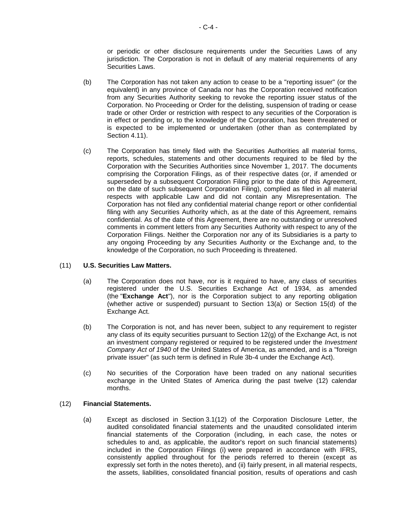or periodic or other disclosure requirements under the Securities Laws of any jurisdiction. The Corporation is not in default of any material requirements of any Securities Laws.

- (b) The Corporation has not taken any action to cease to be a "reporting issuer" (or the equivalent) in any province of Canada nor has the Corporation received notification from any Securities Authority seeking to revoke the reporting issuer status of the Corporation. No Proceeding or Order for the delisting, suspension of trading or cease trade or other Order or restriction with respect to any securities of the Corporation is in effect or pending or, to the knowledge of the Corporation, has been threatened or is expected to be implemented or undertaken (other than as contemplated by [Section](#page-47-0) 4.11).
- (c) The Corporation has timely filed with the Securities Authorities all material forms, reports, schedules, statements and other documents required to be filed by the Corporation with the Securities Authorities since November 1, 2017. The documents comprising the Corporation Filings, as of their respective dates (or, if amended or superseded by a subsequent Corporation Filing prior to the date of this Agreement, on the date of such subsequent Corporation Filing), complied as filed in all material respects with applicable Law and did not contain any Misrepresentation. The Corporation has not filed any confidential material change report or other confidential filing with any Securities Authority which, as at the date of this Agreement, remains confidential. As of the date of this Agreement, there are no outstanding or unresolved comments in comment letters from any Securities Authority with respect to any of the Corporation Filings. Neither the Corporation nor any of its Subsidiaries is a party to any ongoing Proceeding by any Securities Authority or the Exchange and, to the knowledge of the Corporation, no such Proceeding is threatened.

### (11) **U.S. Securities Law Matters.**

- (a) The Corporation does not have, nor is it required to have, any class of securities registered under the U.S. Securities Exchange Act of 1934, as amended (the "**Exchange Act**"), nor is the Corporation subject to any reporting obligation (whether active or suspended) pursuant to Section 13(a) or Section 15(d) of the Exchange Act.
- (b) The Corporation is not, and has never been, subject to any requirement to register any class of its equity securities pursuant to Section 12(g) of the Exchange Act, is not an investment company registered or required to be registered under the *Investment Company Act of 1940* of the United States of America, as amended, and is a "foreign private issuer" (as such term is defined in Rule 3b-4 under the Exchange Act).
- (c) No securities of the Corporation have been traded on any national securities exchange in the United States of America during the past twelve (12) calendar months.

# <span id="page-82-0"></span>(12) **Financial Statements.**

(a) Except as disclosed in [Section](#page-32-0) 3.[1\(12\)](#page-32-0) of the Corporation Disclosure Letter, the audited consolidated financial statements and the unaudited consolidated interim financial statements of the Corporation (including, in each case, the notes or schedules to and, as applicable, the auditor's report on such financial statements) included in the Corporation Filings (i) were prepared in accordance with IFRS, consistently applied throughout for the periods referred to therein (except as expressly set forth in the notes thereto), and (ii) fairly present, in all material respects, the assets, liabilities, consolidated financial position, results of operations and cash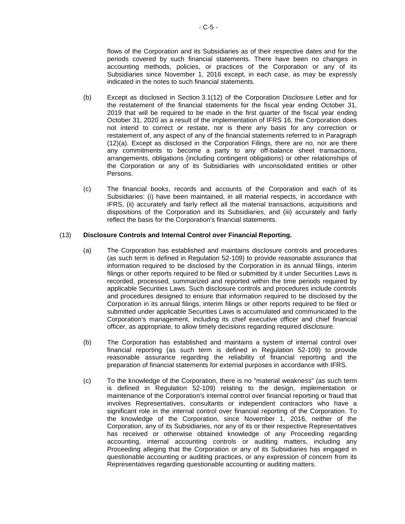flows of the Corporation and its Subsidiaries as of their respective dates and for the periods covered by such financial statements. There have been no changes in accounting methods, policies, or practices of the Corporation or any of its Subsidiaries since November 1, 2016 except, in each case, as may be expressly indicated in the notes to such financial statements.

- (b) Except as disclosed in [Section](#page-32-0) 3.[1\(12\)](#page-32-0) of the Corporation Disclosure Letter and for the restatement of the financial statements for the fiscal year ending October 31, 2019 that will be required to be made in the first quarter of the fiscal year ending October 31, 2020 as a result of the implementation of IFRS 16, the Corporation does not intend to correct or restate, nor is there any basis for any correction or restatement of, any aspect of any of the financial statements referred to in Paragraph [\(12\)\(a\).](#page-82-0) Except as disclosed in the Corporation Filings, there are no, nor are there any commitments to become a party to any off-balance sheet transactions, arrangements, obligations (including contingent obligations) or other relationships of the Corporation or any of its Subsidiaries with unconsolidated entities or other Persons.
- (c) The financial books, records and accounts of the Corporation and each of its Subsidiaries: (i) have been maintained, in all material respects, in accordance with IFRS, (ii) accurately and fairly reflect all the material transactions, acquisitions and dispositions of the Corporation and its Subsidiaries, and (iii) accurately and fairly reflect the basis for the Corporation's financial statements.

## (13) **Disclosure Controls and Internal Control over Financial Reporting.**

- (a) The Corporation has established and maintains disclosure controls and procedures (as such term is defined in Regulation 52-109) to provide reasonable assurance that information required to be disclosed by the Corporation in its annual filings, interim filings or other reports required to be filed or submitted by it under Securities Laws is recorded, processed, summarized and reported within the time periods required by applicable Securities Laws. Such disclosure controls and procedures include controls and procedures designed to ensure that information required to be disclosed by the Corporation in its annual filings, interim filings or other reports required to be filed or submitted under applicable Securities Laws is accumulated and communicated to the Corporation's management, including its chief executive officer and chief financial officer, as appropriate, to allow timely decisions regarding required disclosure.
- (b) The Corporation has established and maintains a system of internal control over financial reporting (as such term is defined in Regulation 52-109) to provide reasonable assurance regarding the reliability of financial reporting and the preparation of financial statements for external purposes in accordance with IFRS.
- (c) To the knowledge of the Corporation, there is no "material weakness" (as such term is defined in Regulation 52-109) relating to the design, implementation or maintenance of the Corporation's internal control over financial reporting or fraud that involves Representatives, consultants or independent contractors who have a significant role in the internal control over financial reporting of the Corporation. To the knowledge of the Corporation, since November 1, 2016, neither of the Corporation, any of its Subsidiaries, nor any of its or their respective Representatives has received or otherwise obtained knowledge of any Proceeding regarding accounting, internal accounting controls or auditing matters, including any Proceeding alleging that the Corporation or any of its Subsidiaries has engaged in questionable accounting or auditing practices, or any expression of concern from its Representatives regarding questionable accounting or auditing matters.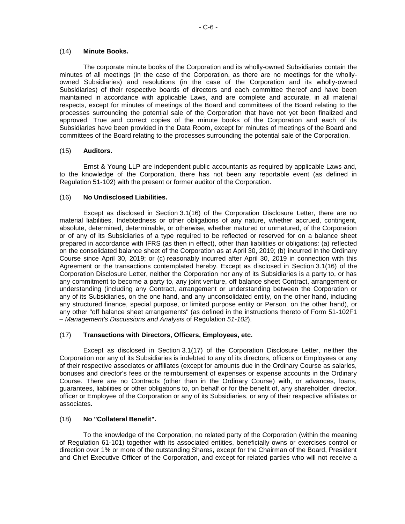#### (14) **Minute Books.**

The corporate minute books of the Corporation and its wholly-owned Subsidiaries contain the minutes of all meetings (in the case of the Corporation, as there are no meetings for the whollyowned Subsidiaries) and resolutions (in the case of the Corporation and its wholly-owned Subsidiaries) of their respective boards of directors and each committee thereof and have been maintained in accordance with applicable Laws, and are complete and accurate, in all material respects, except for minutes of meetings of the Board and committees of the Board relating to the processes surrounding the potential sale of the Corporation that have not yet been finalized and approved. True and correct copies of the minute books of the Corporation and each of its Subsidiaries have been provided in the Data Room, except for minutes of meetings of the Board and committees of the Board relating to the processes surrounding the potential sale of the Corporation.

### (15) **Auditors.**

Ernst & Young LLP are independent public accountants as required by applicable Laws and, to the knowledge of the Corporation, there has not been any reportable event (as defined in Regulation 51-102) with the present or former auditor of the Corporation.

### (16) **No Undisclosed Liabilities.**

Except as disclosed in [Section](#page-32-0) 3.[1\(16\)](#page-32-0) of the Corporation Disclosure Letter, there are no material liabilities, Indebtedness or other obligations of any nature, whether accrued, contingent, absolute, determined, determinable, or otherwise, whether matured or unmatured, of the Corporation or of any of its Subsidiaries of a type required to be reflected or reserved for on a balance sheet prepared in accordance with IFRS (as then in effect), other than liabilities or obligations: (a) reflected on the consolidated balance sheet of the Corporation as at April 30, 2019; (b) incurred in the Ordinary Course since April 30, 2019; or (c) reasonably incurred after April 30, 2019 in connection with this Agreement or the transactions contemplated hereby. Except as disclosed in [Section](#page-32-0) 3.[1\(16\)](#page-32-0) of the Corporation Disclosure Letter, neither the Corporation nor any of its Subsidiaries is a party to, or has any commitment to become a party to, any joint venture, off balance sheet Contract, arrangement or understanding (including any Contract, arrangement or understanding between the Corporation or any of its Subsidiaries, on the one hand, and any unconsolidated entity, on the other hand, including any structured finance, special purpose, or limited purpose entity or Person, on the other hand), or any other "off balance sheet arrangements" (as defined in the instructions thereto of Form 51-102F1 – *Management's Discussions and Analysis* of Regulation *51-102*).

### (17) **Transactions with Directors, Officers, Employees, etc.**

Except as disclosed in [Section](#page-32-0) 3.[1\(17\)](#page-32-0) of the Corporation Disclosure Letter, neither the Corporation nor any of its Subsidiaries is indebted to any of its directors, officers or Employees or any of their respective associates or affiliates (except for amounts due in the Ordinary Course as salaries, bonuses and director's fees or the reimbursement of expenses or expense accounts in the Ordinary Course. There are no Contracts (other than in the Ordinary Course) with, or advances, loans, guarantees, liabilities or other obligations to, on behalf or for the benefit of, any shareholder, director, officer or Employee of the Corporation or any of its Subsidiaries, or any of their respective affiliates or associates.

### (18) **No "Collateral Benefit".**

To the knowledge of the Corporation, no related party of the Corporation (within the meaning of Regulation 61-101) together with its associated entities, beneficially owns or exercises control or direction over 1% or more of the outstanding Shares, except for the Chairman of the Board, President and Chief Executive Officer of the Corporation, and except for related parties who will not receive a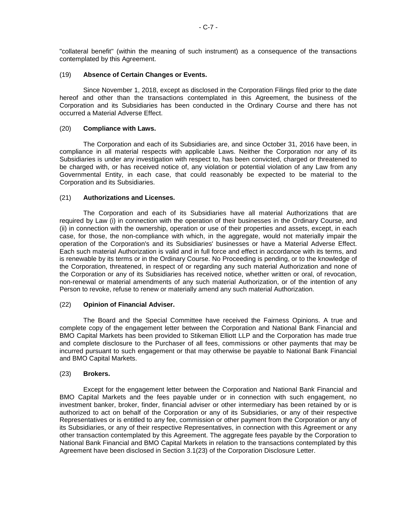"collateral benefit" (within the meaning of such instrument) as a consequence of the transactions contemplated by this Agreement.

#### (19) **Absence of Certain Changes or Events.**

Since November 1, 2018, except as disclosed in the Corporation Filings filed prior to the date hereof and other than the transactions contemplated in this Agreement, the business of the Corporation and its Subsidiaries has been conducted in the Ordinary Course and there has not occurred a Material Adverse Effect.

#### (20) **Compliance with Laws.**

The Corporation and each of its Subsidiaries are, and since October 31, 2016 have been, in compliance in all material respects with applicable Laws. Neither the Corporation nor any of its Subsidiaries is under any investigation with respect to, has been convicted, charged or threatened to be charged with, or has received notice of, any violation or potential violation of any Law from any Governmental Entity, in each case, that could reasonably be expected to be material to the Corporation and its Subsidiaries.

#### (21) **Authorizations and Licenses.**

The Corporation and each of its Subsidiaries have all material Authorizations that are required by Law (i) in connection with the operation of their businesses in the Ordinary Course, and (ii) in connection with the ownership, operation or use of their properties and assets, except, in each case, for those, the non-compliance with which, in the aggregate, would not materially impair the operation of the Corporation's and its Subsidiaries' businesses or have a Material Adverse Effect. Each such material Authorization is valid and in full force and effect in accordance with its terms, and is renewable by its terms or in the Ordinary Course. No Proceeding is pending, or to the knowledge of the Corporation, threatened, in respect of or regarding any such material Authorization and none of the Corporation or any of its Subsidiaries has received notice, whether written or oral, of revocation, non-renewal or material amendments of any such material Authorization, or of the intention of any Person to revoke, refuse to renew or materially amend any such material Authorization.

### (22) **Opinion of Financial Adviser.**

The Board and the Special Committee have received the Fairness Opinions. A true and complete copy of the engagement letter between the Corporation and National Bank Financial and BMO Capital Markets has been provided to Stikeman Elliott LLP and the Corporation has made true and complete disclosure to the Purchaser of all fees, commissions or other payments that may be incurred pursuant to such engagement or that may otherwise be payable to National Bank Financial and BMO Capital Markets.

#### (23) **Brokers.**

Except for the engagement letter between the Corporation and National Bank Financial and BMO Capital Markets and the fees payable under or in connection with such engagement, no investment banker, broker, finder, financial adviser or other intermediary has been retained by or is authorized to act on behalf of the Corporation or any of its Subsidiaries, or any of their respective Representatives or is entitled to any fee, commission or other payment from the Corporation or any of its Subsidiaries, or any of their respective Representatives, in connection with this Agreement or any other transaction contemplated by this Agreement. The aggregate fees payable by the Corporation to National Bank Financial and BMO Capital Markets in relation to the transactions contemplated by this Agreement have been disclosed in [Section](#page-32-0) 3.[1\(23\)](#page-32-0) of the Corporation Disclosure Letter.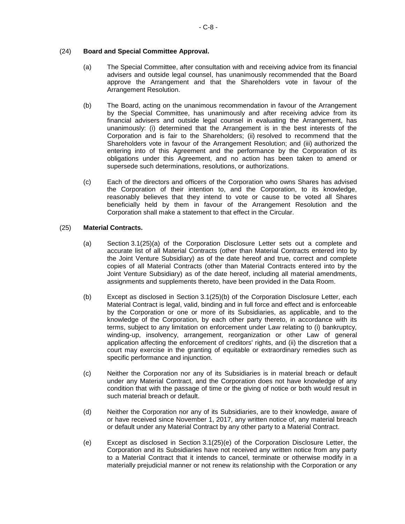## (24) **Board and Special Committee Approval.**

- (a) The Special Committee, after consultation with and receiving advice from its financial advisers and outside legal counsel, has unanimously recommended that the Board approve the Arrangement and that the Shareholders vote in favour of the Arrangement Resolution.
- (b) The Board, acting on the unanimous recommendation in favour of the Arrangement by the Special Committee, has unanimously and after receiving advice from its financial advisers and outside legal counsel in evaluating the Arrangement, has unanimously: (i) determined that the Arrangement is in the best interests of the Corporation and is fair to the Shareholders; (ii) resolved to recommend that the Shareholders vote in favour of the Arrangement Resolution; and (iii) authorized the entering into of this Agreement and the performance by the Corporation of its obligations under this Agreement, and no action has been taken to amend or supersede such determinations, resolutions, or authorizations.
- (c) Each of the directors and officers of the Corporation who owns Shares has advised the Corporation of their intention to, and the Corporation, to its knowledge, reasonably believes that they intend to vote or cause to be voted all Shares beneficially held by them in favour of the Arrangement Resolution and the Corporation shall make a statement to that effect in the Circular.

## <span id="page-86-0"></span>(25) **Material Contracts.**

- (a) [Section](#page-32-0) 3.[1\(25\)](#page-32-0)[\(a\)](#page-86-0) of the Corporation Disclosure Letter sets out a complete and accurate list of all Material Contracts (other than Material Contracts entered into by the Joint Venture Subsidiary) as of the date hereof and true, correct and complete copies of all Material Contracts (other than Material Contracts entered into by the Joint Venture Subsidiary) as of the date hereof, including all material amendments, assignments and supplements thereto, have been provided in the Data Room.
- <span id="page-86-1"></span>(b) Except as disclosed in [Section](#page-32-0) 3.[1\(25\)](#page-32-0)[\(b\)](#page-86-1) of the Corporation Disclosure Letter, each Material Contract is legal, valid, binding and in full force and effect and is enforceable by the Corporation or one or more of its Subsidiaries, as applicable, and to the knowledge of the Corporation, by each other party thereto, in accordance with its terms, subject to any limitation on enforcement under Law relating to (i) bankruptcy, winding-up, insolvency, arrangement, reorganization or other Law of general application affecting the enforcement of creditors' rights, and (ii) the discretion that a court may exercise in the granting of equitable or extraordinary remedies such as specific performance and injunction.
- (c) Neither the Corporation nor any of its Subsidiaries is in material breach or default under any Material Contract, and the Corporation does not have knowledge of any condition that with the passage of time or the giving of notice or both would result in such material breach or default.
- (d) Neither the Corporation nor any of its Subsidiaries, are to their knowledge, aware of or have received since November 1, 2017, any written notice of, any material breach or default under any Material Contract by any other party to a Material Contract.
- <span id="page-86-2"></span>(e) Except as disclosed in [Section](#page-32-0) 3.[1\(25\)](#page-32-0)[\(e\)](#page-86-2) of the Corporation Disclosure Letter, the Corporation and its Subsidiaries have not received any written notice from any party to a Material Contract that it intends to cancel, terminate or otherwise modify in a materially prejudicial manner or not renew its relationship with the Corporation or any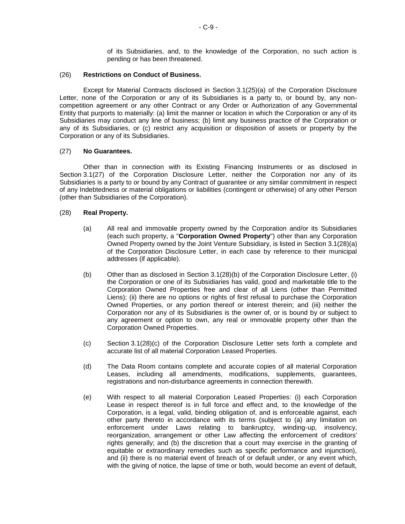of its Subsidiaries, and, to the knowledge of the Corporation, no such action is pending or has been threatened.

#### (26) **Restrictions on Conduct of Business.**

Except for Material Contracts disclosed in [Section](#page-32-0) 3.[1\(25\)\(a\)](#page-32-0) of the Corporation Disclosure Letter, none of the Corporation or any of its Subsidiaries is a party to, or bound by, any noncompetition agreement or any other Contract or any Order or Authorization of any Governmental Entity that purports to materially: (a) limit the manner or location in which the Corporation or any of its Subsidiaries may conduct any line of business; (b) limit any business practice of the Corporation or any of its Subsidiaries, or (c) restrict any acquisition or disposition of assets or property by the Corporation or any of its Subsidiaries.

#### (27) **No Guarantees.**

Other than in connection with its Existing Financing Instruments or as disclosed in [Section](#page-32-0) 3.[1\(27\)](#page-32-0) of the Corporation Disclosure Letter, neither the Corporation nor any of its Subsidiaries is a party to or bound by any Contract of guarantee or any similar commitment in respect of any Indebtedness or material obligations or liabilities (contingent or otherwise) of any other Person (other than Subsidiaries of the Corporation).

#### <span id="page-87-0"></span>(28) **Real Property.**

- (a) All real and immovable property owned by the Corporation and/or its Subsidiaries (each such property, a "**Corporation Owned Property**") other than any Corporation Owned Property owned by the Joint Venture Subsidiary, is listed in [Section](#page-32-0) 3.[1\(28\)](#page-32-0)[\(a\)](#page-87-0) of the Corporation Disclosure Letter, in each case by reference to their municipal addresses (if applicable).
- <span id="page-87-1"></span>(b) Other than as disclosed in [Section](#page-32-0) 3.[1\(28\)](#page-32-0)[\(b\)](#page-87-1) of the Corporation Disclosure Letter, (i) the Corporation or one of its Subsidiaries has valid, good and marketable title to the Corporation Owned Properties free and clear of all Liens (other than Permitted Liens); (ii) there are no options or rights of first refusal to purchase the Corporation Owned Properties, or any portion thereof or interest therein; and (iii) neither the Corporation nor any of its Subsidiaries is the owner of, or is bound by or subject to any agreement or option to own, any real or immovable property other than the Corporation Owned Properties.
- <span id="page-87-2"></span>(c) [Section](#page-32-0) 3.[1\(28\)](#page-32-0)[\(c\)](#page-87-2) of the Corporation Disclosure Letter sets forth a complete and accurate list of all material Corporation Leased Properties.
- (d) The Data Room contains complete and accurate copies of all material Corporation Leases, including all amendments, modifications, supplements, guarantees, registrations and non-disturbance agreements in connection therewith.
- (e) With respect to all material Corporation Leased Properties: (i) each Corporation Lease in respect thereof is in full force and effect and, to the knowledge of the Corporation, is a legal, valid, binding obligation of, and is enforceable against, each other party thereto in accordance with its terms (subject to (a) any limitation on enforcement under Laws relating to bankruptcy, winding-up, insolvency, reorganization, arrangement or other Law affecting the enforcement of creditors' rights generally; and (b) the discretion that a court may exercise in the granting of equitable or extraordinary remedies such as specific performance and injunction), and (ii) there is no material event of breach of or default under, or any event which, with the giving of notice, the lapse of time or both, would become an event of default,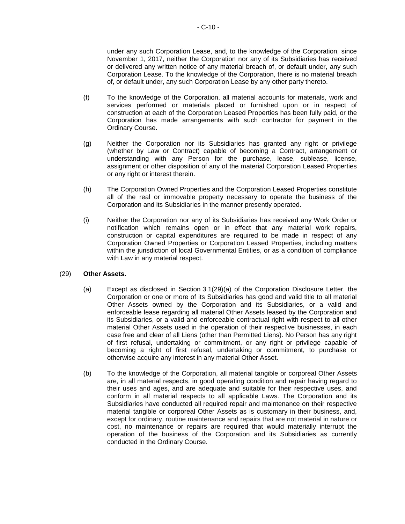under any such Corporation Lease, and, to the knowledge of the Corporation, since November 1, 2017, neither the Corporation nor any of its Subsidiaries has received or delivered any written notice of any material breach of, or default under, any such Corporation Lease. To the knowledge of the Corporation, there is no material breach of, or default under, any such Corporation Lease by any other party thereto.

- (f) To the knowledge of the Corporation, all material accounts for materials, work and services performed or materials placed or furnished upon or in respect of construction at each of the Corporation Leased Properties has been fully paid, or the Corporation has made arrangements with such contractor for payment in the Ordinary Course.
- (g) Neither the Corporation nor its Subsidiaries has granted any right or privilege (whether by Law or Contract) capable of becoming a Contract, arrangement or understanding with any Person for the purchase, lease, sublease, license, assignment or other disposition of any of the material Corporation Leased Properties or any right or interest therein.
- (h) The Corporation Owned Properties and the Corporation Leased Properties constitute all of the real or immovable property necessary to operate the business of the Corporation and its Subsidiaries in the manner presently operated.
- (i) Neither the Corporation nor any of its Subsidiaries has received any Work Order or notification which remains open or in effect that any material work repairs, construction or capital expenditures are required to be made in respect of any Corporation Owned Properties or Corporation Leased Properties, including matters within the jurisdiction of local Governmental Entities, or as a condition of compliance with Law in any material respect.

### <span id="page-88-0"></span>(29) **Other Assets.**

- (a) Except as disclosed in [Section](#page-32-0) 3.[1\(29\)](#page-32-0)[\(a\)](#page-88-0) of the Corporation Disclosure Letter, the Corporation or one or more of its Subsidiaries has good and valid title to all material Other Assets owned by the Corporation and its Subsidiaries, or a valid and enforceable lease regarding all material Other Assets leased by the Corporation and its Subsidiaries, or a valid and enforceable contractual right with respect to all other material Other Assets used in the operation of their respective businesses, in each case free and clear of all Liens (other than Permitted Liens). No Person has any right of first refusal, undertaking or commitment, or any right or privilege capable of becoming a right of first refusal, undertaking or commitment, to purchase or otherwise acquire any interest in any material Other Asset.
- (b) To the knowledge of the Corporation, all material tangible or corporeal Other Assets are, in all material respects, in good operating condition and repair having regard to their uses and ages, and are adequate and suitable for their respective uses, and conform in all material respects to all applicable Laws. The Corporation and its Subsidiaries have conducted all required repair and maintenance on their respective material tangible or corporeal Other Assets as is customary in their business, and, except for ordinary, routine maintenance and repairs that are not material in nature or cost, no maintenance or repairs are required that would materially interrupt the operation of the business of the Corporation and its Subsidiaries as currently conducted in the Ordinary Course.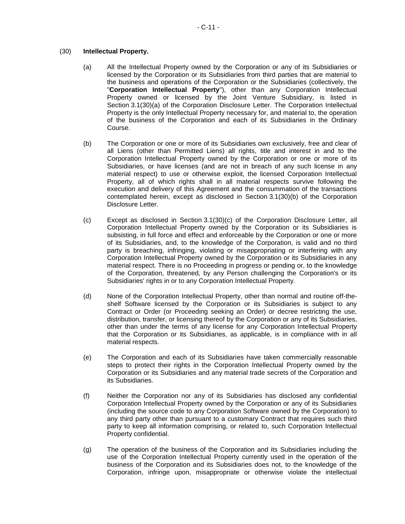## <span id="page-89-0"></span>(30) **Intellectual Property.**

- (a) All the Intellectual Property owned by the Corporation or any of its Subsidiaries or licensed by the Corporation or its Subsidiaries from third parties that are material to the business and operations of the Corporation or the Subsidiaries (collectively, the "**Corporation Intellectual Property**"), other than any Corporation Intellectual Property owned or licensed by the Joint Venture Subsidiary, is listed in [Section](#page-32-0) 3.[1\(30\)](#page-32-0)[\(a\)](#page-89-0) of the Corporation Disclosure Letter. The Corporation Intellectual Property is the only Intellectual Property necessary for, and material to, the operation of the business of the Corporation and each of its Subsidiaries in the Ordinary Course.
- <span id="page-89-1"></span>(b) The Corporation or one or more of its Subsidiaries own exclusively, free and clear of all Liens (other than Permitted Liens) all rights, title and interest in and to the Corporation Intellectual Property owned by the Corporation or one or more of its Subsidiaries, or have licenses (and are not in breach of any such license in any material respect) to use or otherwise exploit, the licensed Corporation Intellectual Property, all of which rights shall in all material respects survive following the execution and delivery of this Agreement and the consummation of the transactions contemplated herein, except as disclosed in [Section](#page-32-0) 3.[1\(30\)](#page-32-0)[\(b\)](#page-89-1) of the Corporation Disclosure Letter.
- <span id="page-89-2"></span>(c) Except as disclosed in [Section](#page-32-0) 3.[1\(30\)](#page-32-0)[\(c\)](#page-89-2) of the Corporation Disclosure Letter, all Corporation Intellectual Property owned by the Corporation or its Subsidiaries is subsisting, in full force and effect and enforceable by the Corporation or one or more of its Subsidiaries, and, to the knowledge of the Corporation, is valid and no third party is breaching, infringing, violating or misappropriating or interfering with any Corporation Intellectual Property owned by the Corporation or its Subsidiaries in any material respect. There is no Proceeding in progress or pending or, to the knowledge of the Corporation, threatened, by any Person challenging the Corporation's or its Subsidiaries' rights in or to any Corporation Intellectual Property.
- (d) None of the Corporation Intellectual Property, other than normal and routine off-theshelf Software licensed by the Corporation or its Subsidiaries is subject to any Contract or Order (or Proceeding seeking an Order) or decree restricting the use, distribution, transfer, or licensing thereof by the Corporation or any of its Subsidiaries, other than under the terms of any license for any Corporation Intellectual Property that the Corporation or its Subsidiaries, as applicable, is in compliance with in all material respects.
- (e) The Corporation and each of its Subsidiaries have taken commercially reasonable steps to protect their rights in the Corporation Intellectual Property owned by the Corporation or its Subsidiaries and any material trade secrets of the Corporation and its Subsidiaries.
- (f) Neither the Corporation nor any of its Subsidiaries has disclosed any confidential Corporation Intellectual Property owned by the Corporation or any of its Subsidiaries (including the source code to any Corporation Software owned by the Corporation) to any third party other than pursuant to a customary Contract that requires such third party to keep all information comprising, or related to, such Corporation Intellectual Property confidential.
- (g) The operation of the business of the Corporation and its Subsidiaries including the use of the Corporation Intellectual Property currently used in the operation of the business of the Corporation and its Subsidiaries does not, to the knowledge of the Corporation, infringe upon, misappropriate or otherwise violate the intellectual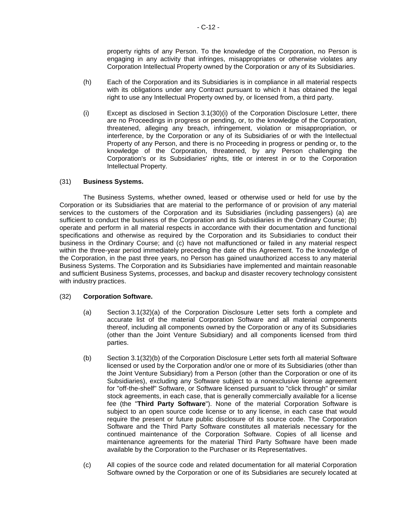property rights of any Person. To the knowledge of the Corporation, no Person is engaging in any activity that infringes, misappropriates or otherwise violates any Corporation Intellectual Property owned by the Corporation or any of its Subsidiaries.

- (h) Each of the Corporation and its Subsidiaries is in compliance in all material respects with its obligations under any Contract pursuant to which it has obtained the legal right to use any Intellectual Property owned by, or licensed from, a third party.
- <span id="page-90-0"></span>(i) Except as disclosed in [Section](#page-32-0) 3.[1\(30\)](#page-32-0)[\(i\)](#page-90-0) of the Corporation Disclosure Letter, there are no Proceedings in progress or pending, or, to the knowledge of the Corporation, threatened, alleging any breach, infringement, violation or misappropriation, or interference, by the Corporation or any of its Subsidiaries of or with the Intellectual Property of any Person, and there is no Proceeding in progress or pending or, to the knowledge of the Corporation, threatened, by any Person challenging the Corporation's or its Subsidiaries' rights, title or interest in or to the Corporation Intellectual Property.

## (31) **Business Systems.**

The Business Systems, whether owned, leased or otherwise used or held for use by the Corporation or its Subsidiaries that are material to the performance of or provision of any material services to the customers of the Corporation and its Subsidiaries (including passengers) (a) are sufficient to conduct the business of the Corporation and its Subsidiaries in the Ordinary Course; (b) operate and perform in all material respects in accordance with their documentation and functional specifications and otherwise as required by the Corporation and its Subsidiaries to conduct their business in the Ordinary Course; and (c) have not malfunctioned or failed in any material respect within the three-year period immediately preceding the date of this Agreement. To the knowledge of the Corporation, in the past three years, no Person has gained unauthorized access to any material Business Systems. The Corporation and its Subsidiaries have implemented and maintain reasonable and sufficient Business Systems, processes, and backup and disaster recovery technology consistent with industry practices.

### <span id="page-90-1"></span>(32) **Corporation Software.**

- (a) [Section](#page-32-0) 3.[1\(32\)](#page-32-0)[\(a\)](#page-90-1) of the Corporation Disclosure Letter sets forth a complete and accurate list of the material Corporation Software and all material components thereof, including all components owned by the Corporation or any of its Subsidiaries (other than the Joint Venture Subsidiary) and all components licensed from third parties.
- <span id="page-90-2"></span>(b) [Section](#page-32-0) 3.[1\(32\)](#page-32-0)[\(b\)](#page-90-2) of the Corporation Disclosure Letter sets forth all material Software licensed or used by the Corporation and/or one or more of its Subsidiaries (other than the Joint Venture Subsidiary) from a Person (other than the Corporation or one of its Subsidiaries), excluding any Software subject to a nonexclusive license agreement for "off-the-shelf" Software, or Software licensed pursuant to "click through" or similar stock agreements, in each case, that is generally commercially available for a license fee (the "**Third Party Software**"). None of the material Corporation Software is subject to an open source code license or to any license, in each case that would require the present or future public disclosure of its source code. The Corporation Software and the Third Party Software constitutes all materials necessary for the continued maintenance of the Corporation Software. Copies of all license and maintenance agreements for the material Third Party Software have been made available by the Corporation to the Purchaser or its Representatives.
- <span id="page-90-3"></span>(c) All copies of the source code and related documentation for all material Corporation Software owned by the Corporation or one of its Subsidiaries are securely located at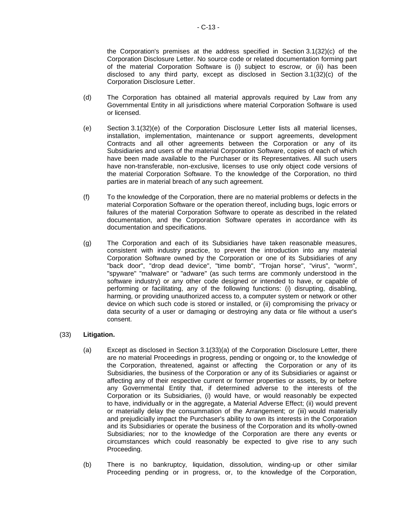the Corporation's premises at the address specified in [Section](#page-32-0) 3.[1\(32\)](#page-32-0)[\(c\)](#page-90-3) of the Corporation Disclosure Letter. No source code or related documentation forming part of the material Corporation Software is (i) subject to escrow, or (ii) has been disclosed to any third party, except as disclosed in [Section](#page-32-0) 3.[1\(32\)](#page-32-0)[\(c\)](#page-90-3) of the Corporation Disclosure Letter.

- (d) The Corporation has obtained all material approvals required by Law from any Governmental Entity in all jurisdictions where material Corporation Software is used or licensed.
- <span id="page-91-0"></span>(e) [Section](#page-32-0) 3.[1\(32\)](#page-32-0)[\(e\)](#page-91-0) of the Corporation Disclosure Letter lists all material licenses, installation, implementation, maintenance or support agreements, development Contracts and all other agreements between the Corporation or any of its Subsidiaries and users of the material Corporation Software, copies of each of which have been made available to the Purchaser or its Representatives. All such users have non-transferable, non-exclusive, licenses to use only object code versions of the material Corporation Software. To the knowledge of the Corporation, no third parties are in material breach of any such agreement.
- (f) To the knowledge of the Corporation, there are no material problems or defects in the material Corporation Software or the operation thereof, including bugs, logic errors or failures of the material Corporation Software to operate as described in the related documentation, and the Corporation Software operates in accordance with its documentation and specifications.
- (g) The Corporation and each of its Subsidiaries have taken reasonable measures, consistent with industry practice, to prevent the introduction into any material Corporation Software owned by the Corporation or one of its Subsidiaries of any "back door", "drop dead device", "time bomb", "Trojan horse", "virus", "worm", "spyware" "malware" or "adware" (as such terms are commonly understood in the software industry) or any other code designed or intended to have, or capable of performing or facilitating, any of the following functions: (i) disrupting, disabling, harming, or providing unauthorized access to, a computer system or network or other device on which such code is stored or installed, or (ii) compromising the privacy or data security of a user or damaging or destroying any data or file without a user's consent.

### <span id="page-91-1"></span>(33) **Litigation.**

- (a) Except as disclosed in [Section](#page-32-0) 3.[1\(33\)](#page-32-0)[\(a\)](#page-91-1) of the Corporation Disclosure Letter, there are no material Proceedings in progress, pending or ongoing or, to the knowledge of the Corporation, threatened, against or affecting the Corporation or any of its Subsidiaries, the business of the Corporation or any of its Subsidiaries or against or affecting any of their respective current or former properties or assets, by or before any Governmental Entity that, if determined adverse to the interests of the Corporation or its Subsidiaries, (i) would have, or would reasonably be expected to have, individually or in the aggregate, a Material Adverse Effect; (ii) would prevent or materially delay the consummation of the Arrangement; or (iii) would materially and prejudicially impact the Purchaser's ability to own its interests in the Corporation and its Subsidiaries or operate the business of the Corporation and its wholly-owned Subsidiaries; nor to the knowledge of the Corporation are there any events or circumstances which could reasonably be expected to give rise to any such Proceeding.
- (b) There is no bankruptcy, liquidation, dissolution, winding-up or other similar Proceeding pending or in progress, or, to the knowledge of the Corporation,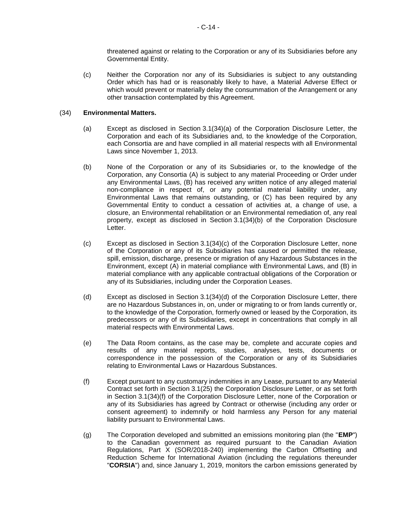threatened against or relating to the Corporation or any of its Subsidiaries before any Governmental Entity.

(c) Neither the Corporation nor any of its Subsidiaries is subject to any outstanding Order which has had or is reasonably likely to have, a Material Adverse Effect or which would prevent or materially delay the consummation of the Arrangement or any other transaction contemplated by this Agreement.

### <span id="page-92-0"></span>(34) **Environmental Matters.**

- (a) Except as disclosed in [Section](#page-32-0) 3.[1\(34\)](#page-32-0)[\(a\)](#page-92-0) of the Corporation Disclosure Letter, the Corporation and each of its Subsidiaries and, to the knowledge of the Corporation, each Consortia are and have complied in all material respects with all Environmental Laws since November 1, 2013.
- <span id="page-92-1"></span>(b) None of the Corporation or any of its Subsidiaries or, to the knowledge of the Corporation, any Consortia (A) is subject to any material Proceeding or Order under any Environmental Laws, (B) has received any written notice of any alleged material non-compliance in respect of, or any potential material liability under, any Environmental Laws that remains outstanding, or (C) has been required by any Governmental Entity to conduct a cessation of activities at, a change of use, a closure, an Environmental rehabilitation or an Environmental remediation of, any real property, except as disclosed in [Section](#page-32-0) 3.[1\(34\)](#page-32-0)[\(b\)](#page-92-1) of the Corporation Disclosure Letter.
- <span id="page-92-2"></span>(c) Except as disclosed in [Section](#page-32-0) 3.[1\(34\)](#page-32-0)[\(c\)](#page-92-2) of the Corporation Disclosure Letter, none of the Corporation or any of its Subsidiaries has caused or permitted the release, spill, emission, discharge, presence or migration of any Hazardous Substances in the Environment, except (A) in material compliance with Environmental Laws, and (B) in material compliance with any applicable contractual obligations of the Corporation or any of its Subsidiaries, including under the Corporation Leases.
- <span id="page-92-3"></span>(d) Except as disclosed in [Section](#page-32-0) 3.[1\(34\)](#page-32-0)[\(d\)](#page-92-3) of the Corporation Disclosure Letter, there are no Hazardous Substances in, on, under or migrating to or from lands currently or, to the knowledge of the Corporation, formerly owned or leased by the Corporation, its predecessors or any of its Subsidiaries, except in concentrations that comply in all material respects with Environmental Laws.
- (e) The Data Room contains, as the case may be, complete and accurate copies and results of any material reports, studies, analyses, tests, documents or correspondence in the possession of the Corporation or any of its Subsidiaries relating to Environmental Laws or Hazardous Substances.
- <span id="page-92-4"></span>(f) Except pursuant to any customary indemnities in any Lease, pursuant to any Material Contract set forth in [Section](#page-32-0) 3.[1\(25\)](#page-32-0) the Corporation Disclosure Letter, or as set forth in [Section](#page-32-0) 3.[1\(34\)](#page-32-0)[\(f\)](#page-92-4) of the Corporation Disclosure Letter, none of the Corporation or any of its Subsidiaries has agreed by Contract or otherwise (including any order or consent agreement) to indemnify or hold harmless any Person for any material liability pursuant to Environmental Laws.
- (g) The Corporation developed and submitted an emissions monitoring plan (the "**EMP**") to the Canadian government as required pursuant to the Canadian Aviation Regulations, Part X (SOR/2018-240) implementing the Carbon Offsetting and Reduction Scheme for International Aviation (including the regulations thereunder "**CORSIA**") and, since January 1, 2019, monitors the carbon emissions generated by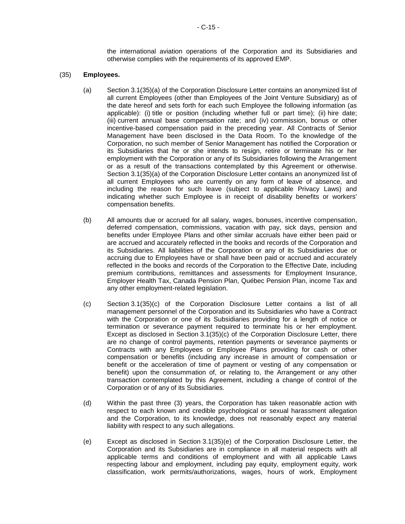the international aviation operations of the Corporation and its Subsidiaries and otherwise complies with the requirements of its approved EMP.

### <span id="page-93-0"></span>(35) **Employees.**

- (a) [Section](#page-32-0) 3.[1\(35\)](#page-32-0)[\(a\)](#page-93-0) of the Corporation Disclosure Letter contains an anonymized list of all current Employees (other than Employees of the Joint Venture Subsidiary) as of the date hereof and sets forth for each such Employee the following information (as applicable): (i) title or position (including whether full or part time); (ii) hire date; (iii) current annual base compensation rate; and (iv) commission, bonus or other incentive-based compensation paid in the preceding year. All Contracts of Senior Management have been disclosed in the Data Room. To the knowledge of the Corporation, no such member of Senior Management has notified the Corporation or its Subsidiaries that he or she intends to resign, retire or terminate his or her employment with the Corporation or any of its Subsidiaries following the Arrangement or as a result of the transactions contemplated by this Agreement or otherwise. [Section](#page-32-0) 3.[1\(35\)](#page-32-0)[\(a\)](#page-93-0) of the Corporation Disclosure Letter contains an anonymized list of all current Employees who are currently on any form of leave of absence, and including the reason for such leave (subject to applicable Privacy Laws) and indicating whether such Employee is in receipt of disability benefits or workers' compensation benefits.
- (b) All amounts due or accrued for all salary, wages, bonuses, incentive compensation, deferred compensation, commissions, vacation with pay, sick days, pension and benefits under Employee Plans and other similar accruals have either been paid or are accrued and accurately reflected in the books and records of the Corporation and its Subsidiaries. All liabilities of the Corporation or any of its Subsidiaries due or accruing due to Employees have or shall have been paid or accrued and accurately reflected in the books and records of the Corporation to the Effective Date, including premium contributions, remittances and assessments for Employment Insurance, Employer Health Tax, Canada Pension Plan, Québec Pension Plan, income Tax and any other employment-related legislation.
- <span id="page-93-1"></span>(c) [Section](#page-32-0) 3.[1\(35\)](#page-32-0)[\(c\)](#page-93-1) of the Corporation Disclosure Letter contains a list of all management personnel of the Corporation and its Subsidiaries who have a Contract with the Corporation or one of its Subsidiaries providing for a length of notice or termination or severance payment required to terminate his or her employment. Except as disclosed in [Section](#page-32-0) 3.[1\(35\)](#page-32-0)[\(c\)](#page-93-1) of the Corporation Disclosure Letter, there are no change of control payments, retention payments or severance payments or Contracts with any Employees or Employee Plans providing for cash or other compensation or benefits (including any increase in amount of compensation or benefit or the acceleration of time of payment or vesting of any compensation or benefit) upon the consummation of, or relating to, the Arrangement or any other transaction contemplated by this Agreement, including a change of control of the Corporation or of any of its Subsidiaries.
- (d) Within the past three (3) years, the Corporation has taken reasonable action with respect to each known and credible psychological or sexual harassment allegation and the Corporation, to its knowledge, does not reasonably expect any material liability with respect to any such allegations.
- <span id="page-93-2"></span>(e) Except as disclosed in [Section](#page-32-0) 3.[1\(35\)](#page-32-0)[\(e\)](#page-93-2) of the Corporation Disclosure Letter, the Corporation and its Subsidiaries are in compliance in all material respects with all applicable terms and conditions of employment and with all applicable Laws respecting labour and employment, including pay equity, employment equity, work classification, work permits/authorizations, wages, hours of work, Employment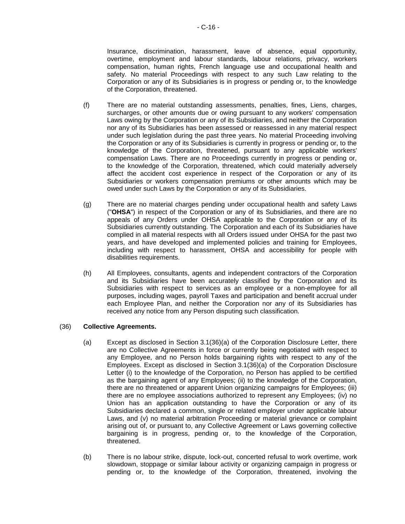Insurance, discrimination, harassment, leave of absence, equal opportunity, overtime, employment and labour standards, labour relations, privacy, workers compensation, human rights, French language use and occupational health and safety. No material Proceedings with respect to any such Law relating to the Corporation or any of its Subsidiaries is in progress or pending or, to the knowledge of the Corporation, threatened.

- (f) There are no material outstanding assessments, penalties, fines, Liens, charges, surcharges, or other amounts due or owing pursuant to any workers' compensation Laws owing by the Corporation or any of its Subsidiaries, and neither the Corporation nor any of its Subsidiaries has been assessed or reassessed in any material respect under such legislation during the past three years. No material Proceeding involving the Corporation or any of its Subsidiaries is currently in progress or pending or, to the knowledge of the Corporation, threatened, pursuant to any applicable workers' compensation Laws. There are no Proceedings currently in progress or pending or, to the knowledge of the Corporation, threatened, which could materially adversely affect the accident cost experience in respect of the Corporation or any of its Subsidiaries or workers compensation premiums or other amounts which may be owed under such Laws by the Corporation or any of its Subsidiaries.
- (g) There are no material charges pending under occupational health and safety Laws ("**OHSA**") in respect of the Corporation or any of its Subsidiaries, and there are no appeals of any Orders under OHSA applicable to the Corporation or any of its Subsidiaries currently outstanding. The Corporation and each of its Subsidiaries have complied in all material respects with all Orders issued under OHSA for the past two years, and have developed and implemented policies and training for Employees, including with respect to harassment, OHSA and accessibility for people with disabilities requirements.
- (h) All Employees, consultants, agents and independent contractors of the Corporation and its Subsidiaries have been accurately classified by the Corporation and its Subsidiaries with respect to services as an employee or a non-employee for all purposes, including wages, payroll Taxes and participation and benefit accrual under each Employee Plan, and neither the Corporation nor any of its Subsidiaries has received any notice from any Person disputing such classification.

### <span id="page-94-0"></span>(36) **Collective Agreements.**

- (a) Except as disclosed in [Section](#page-32-0) 3.[1\(36\)](#page-32-0)[\(a\)](#page-94-0) of the Corporation Disclosure Letter, there are no Collective Agreements in force or currently being negotiated with respect to any Employee, and no Person holds bargaining rights with respect to any of the Employees. Except as disclosed in [Section](#page-32-0) 3.[1\(36\)](#page-32-0)[\(a\)](#page-94-0) of the Corporation Disclosure Letter (i) to the knowledge of the Corporation, no Person has applied to be certified as the bargaining agent of any Employees; (ii) to the knowledge of the Corporation, there are no threatened or apparent Union organizing campaigns for Employees; (iii) there are no employee associations authorized to represent any Employees; (iv) no Union has an application outstanding to have the Corporation or any of its Subsidiaries declared a common, single or related employer under applicable labour Laws, and (v) no material arbitration Proceeding or material grievance or complaint arising out of, or pursuant to, any Collective Agreement or Laws governing collective bargaining is in progress, pending or, to the knowledge of the Corporation, threatened.
- (b) There is no labour strike, dispute, lock-out, concerted refusal to work overtime, work slowdown, stoppage or similar labour activity or organizing campaign in progress or pending or, to the knowledge of the Corporation, threatened, involving the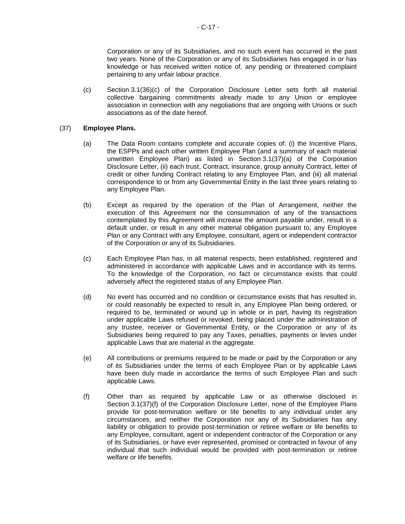Corporation or any of its Subsidiaries, and no such event has occurred in the past two years. None of the Corporation or any of its Subsidiaries has engaged in or has knowledge or has received written notice of, any pending or threatened complaint pertaining to any unfair labour practice.

<span id="page-95-0"></span>(c) [Section](#page-32-0) 3.[1\(36\)](#page-32-0)[\(c\)](#page-95-0) of the Corporation Disclosure Letter sets forth all material collective bargaining commitments already made to any Union or employee association in connection with any negotiations that are ongoing with Unions or such associations as of the date hereof.

### <span id="page-95-1"></span>(37) **Employee Plans.**

- (a) The Data Room contains complete and accurate copies of: (i) the Incentive Plans, the ESPPs and each other written Employee Plan (and a summary of each material unwritten Employee Plan) as listed in [Section](#page-32-0) 3.[1\(37\)](#page-32-0)[\(a\)](#page-95-1) of the Corporation Disclosure Letter, (ii) each trust, Contract, insurance, group annuity Contract, letter of credit or other funding Contract relating to any Employee Plan, and (iii) all material correspondence to or from any Governmental Entity in the last three years relating to any Employee Plan.
- (b) Except as required by the operation of the Plan of Arrangement, neither the execution of this Agreement nor the consummation of any of the transactions contemplated by this Agreement will increase the amount payable under, result in a default under, or result in any other material obligation pursuant to, any Employee Plan or any Contract with any Employee, consultant, agent or independent contractor of the Corporation or any of its Subsidiaries.
- (c) Each Employee Plan has, in all material respects, been established, registered and administered in accordance with applicable Laws and in accordance with its terms. To the knowledge of the Corporation, no fact or circumstance exists that could adversely affect the registered status of any Employee Plan.
- (d) No event has occurred and no condition or circumstance exists that has resulted in, or could reasonably be expected to result in, any Employee Plan being ordered, or required to be, terminated or wound up in whole or in part, having its registration under applicable Laws refused or revoked, being placed under the administration of any trustee, receiver or Governmental Entity, or the Corporation or any of its Subsidiaries being required to pay any Taxes, penalties, payments or levies under applicable Laws that are material in the aggregate.
- (e) All contributions or premiums required to be made or paid by the Corporation or any of its Subsidiaries under the terms of each Employee Plan or by applicable Laws have been duly made in accordance the terms of such Employee Plan and such applicable Laws.
- <span id="page-95-2"></span>(f) Other than as required by applicable Law or as otherwise disclosed in [Section](#page-32-0) 3.[1\(37\)](#page-32-0)[\(f\)](#page-95-2) of the Corporation Disclosure Letter, none of the Employee Plans provide for post-termination welfare or life benefits to any individual under any circumstances, and neither the Corporation nor any of its Subsidiaries has any liability or obligation to provide post-termination or retiree welfare or life benefits to any Employee, consultant, agent or independent contractor of the Corporation or any of its Subsidiaries, or have ever represented, promised or contracted in favour of any individual that such individual would be provided with post-termination or retiree welfare or life benefits.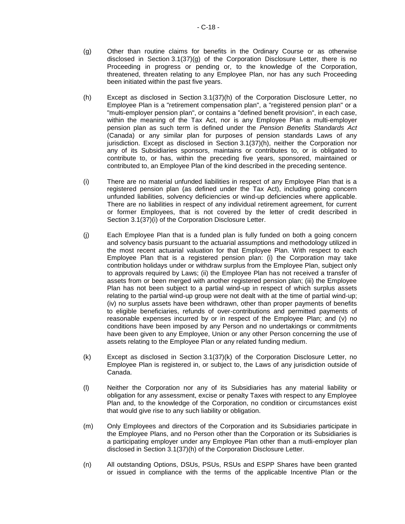- <span id="page-96-0"></span>(g) Other than routine claims for benefits in the Ordinary Course or as otherwise disclosed in [Section](#page-32-0) 3.[1\(37\)](#page-32-0)[\(g\)](#page-96-0) of the Corporation Disclosure Letter, there is no Proceeding in progress or pending or, to the knowledge of the Corporation, threatened, threaten relating to any Employee Plan, nor has any such Proceeding been initiated within the past five years.
- <span id="page-96-1"></span>(h) Except as disclosed in [Section](#page-32-0) 3.[1\(37\)](#page-32-0)[\(h\)](#page-96-1) of the Corporation Disclosure Letter, no Employee Plan is a "retirement compensation plan", a "registered pension plan" or a "multi-employer pension plan", or contains a "defined benefit provision", in each case, within the meaning of the Tax Act, nor is any Employee Plan a multi-employer pension plan as such term is defined under the *Pension Benefits Standards Act* (Canada) or any similar plan for purposes of pension standards Laws of any jurisdiction. Except as disclosed in [Section](#page-32-0) 3.[1\(37\)](#page-32-0)[\(h\),](#page-96-1) neither the Corporation nor any of its Subsidiaries sponsors, maintains or contributes to, or is obligated to contribute to, or has, within the preceding five years, sponsored, maintained or contributed to, an Employee Plan of the kind described in the preceding sentence.
- <span id="page-96-2"></span>(i) There are no material unfunded liabilities in respect of any Employee Plan that is a registered pension plan (as defined under the Tax Act), including going concern unfunded liabilities, solvency deficiencies or wind-up deficiencies where applicable. There are no liabilities in respect of any individual retirement agreement, for current or former Employees, that is not covered by the letter of credit described in [Section](#page-32-0) 3.[1\(37\)](#page-32-0)[\(i\)](#page-96-2) of the Corporation Disclosure Letter.
- (j) Each Employee Plan that is a funded plan is fully funded on both a going concern and solvency basis pursuant to the actuarial assumptions and methodology utilized in the most recent actuarial valuation for that Employee Plan. With respect to each Employee Plan that is a registered pension plan: (i) the Corporation may take contribution holidays under or withdraw surplus from the Employee Plan, subject only to approvals required by Laws; (ii) the Employee Plan has not received a transfer of assets from or been merged with another registered pension plan; (iii) the Employee Plan has not been subject to a partial wind-up in respect of which surplus assets relating to the partial wind-up group were not dealt with at the time of partial wind-up; (iv) no surplus assets have been withdrawn, other than proper payments of benefits to eligible beneficiaries, refunds of over-contributions and permitted payments of reasonable expenses incurred by or in respect of the Employee Plan; and (v) no conditions have been imposed by any Person and no undertakings or commitments have been given to any Employee, Union or any other Person concerning the use of assets relating to the Employee Plan or any related funding medium.
- <span id="page-96-3"></span>(k) Except as disclosed in [Section](#page-32-0) 3.[1\(37\)](#page-32-0)[\(k\)](#page-96-3) of the Corporation Disclosure Letter, no Employee Plan is registered in, or subject to, the Laws of any jurisdiction outside of Canada.
- (l) Neither the Corporation nor any of its Subsidiaries has any material liability or obligation for any assessment, excise or penalty Taxes with respect to any Employee Plan and, to the knowledge of the Corporation, no condition or circumstances exist that would give rise to any such liability or obligation.
- (m) Only Employees and directors of the Corporation and its Subsidiaries participate in the Employee Plans, and no Person other than the Corporation or its Subsidiaries is a participating employer under any Employee Plan other than a mutli-employer plan disclosed in [Section](#page-32-0) 3.[1\(37\)](#page-32-0)[\(h\)](#page-96-1) of the Corporation Disclosure Letter.
- (n) All outstanding Options, DSUs, PSUs, RSUs and ESPP Shares have been granted or issued in compliance with the terms of the applicable Incentive Plan or the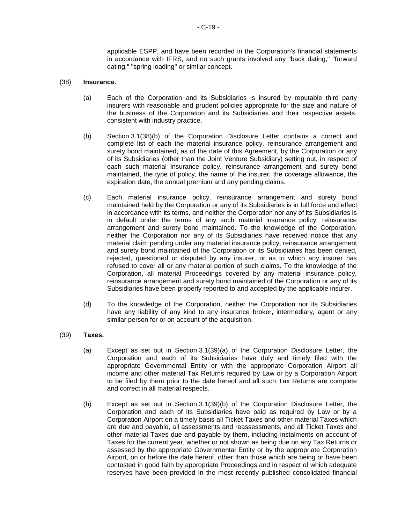applicable ESPP, and have been recorded in the Corporation's financial statements in accordance with IFRS, and no such grants involved any "back dating," "forward dating," "spring loading" or similar concept.

#### (38) **Insurance.**

- (a) Each of the Corporation and its Subsidiaries is insured by reputable third party insurers with reasonable and prudent policies appropriate for the size and nature of the business of the Corporation and its Subsidiaries and their respective assets, consistent with industry practice.
- <span id="page-97-0"></span>(b) [Section](#page-32-0) 3.[1\(38\)](#page-32-0)[\(b\)](#page-97-0) of the Corporation Disclosure Letter contains a correct and complete list of each the material insurance policy, reinsurance arrangement and surety bond maintained, as of the date of this Agreement, by the Corporation or any of its Subsidiaries (other than the Joint Venture Subsidiary) setting out, in respect of each such material insurance policy, reinsurance arrangement and surety bond maintained, the type of policy, the name of the insurer, the coverage allowance, the expiration date, the annual premium and any pending claims.
- (c) Each material insurance policy, reinsurance arrangement and surety bond maintained held by the Corporation or any of its Subsidiaries is in full force and effect in accordance with its terms, and neither the Corporation nor any of its Subsidiaries is in default under the terms of any such material insurance policy, reinsurance arrangement and surety bond maintained. To the knowledge of the Corporation, neither the Corporation nor any of its Subsidiaries have received notice that any material claim pending under any material insurance policy, reinsurance arrangement and surety bond maintained of the Corporation or its Subsidiaries has been denied, rejected, questioned or disputed by any insurer, or as to which any insurer has refused to cover all or any material portion of such claims. To the knowledge of the Corporation, all material Proceedings covered by any material insurance policy, reinsurance arrangement and surety bond maintained of the Corporation or any of its Subsidiaries have been properly reported to and accepted by the applicable insurer.
- (d) To the knowledge of the Corporation, neither the Corporation nor its Subsidiaries have any liability of any kind to any insurance broker, intermediary, agent or any similar person for or on account of the acquisition.
- <span id="page-97-2"></span><span id="page-97-1"></span>(39) **Taxes.**
	- (a) Except as set out in [Section](#page-32-0) 3.[1\(39\)](#page-32-0)[\(a\)](#page-97-1) of the Corporation Disclosure Letter, the Corporation and each of its Subsidiaries have duly and timely filed with the appropriate Governmental Entity or with the appropriate Corporation Airport all income and other material Tax Returns required by Law or by a Corporation Airport to be filed by them prior to the date hereof and all such Tax Returns are complete and correct in all material respects.
	- (b) Except as set out in [Section](#page-32-0) 3.[1\(39\)](#page-32-0)[\(b\)](#page-97-2) of the Corporation Disclosure Letter, the Corporation and each of its Subsidiaries have paid as required by Law or by a Corporation Airport on a timely basis all Ticket Taxes and other material Taxes which are due and payable, all assessments and reassessments, and all Ticket Taxes and other material Taxes due and payable by them, including instalments on account of Taxes for the current year, whether or not shown as being due on any Tax Returns or assessed by the appropriate Governmental Entity or by the appropriate Corporation Airport, on or before the date hereof, other than those which are being or have been contested in good faith by appropriate Proceedings and in respect of which adequate reserves have been provided in the most recently published consolidated financial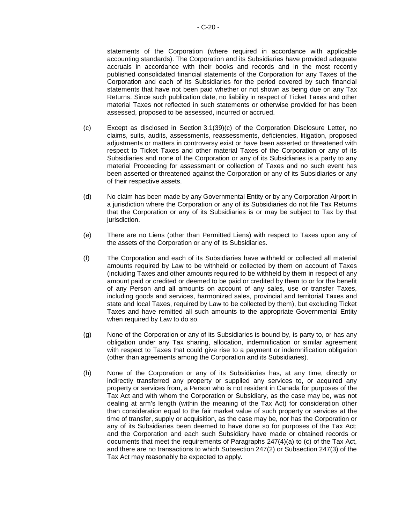statements of the Corporation (where required in accordance with applicable accounting standards). The Corporation and its Subsidiaries have provided adequate accruals in accordance with their books and records and in the most recently published consolidated financial statements of the Corporation for any Taxes of the Corporation and each of its Subsidiaries for the period covered by such financial statements that have not been paid whether or not shown as being due on any Tax Returns. Since such publication date, no liability in respect of Ticket Taxes and other material Taxes not reflected in such statements or otherwise provided for has been assessed, proposed to be assessed, incurred or accrued.

- <span id="page-98-0"></span>(c) Except as disclosed in [Section](#page-32-0) 3.[1\(39\)](#page-32-0)[\(c\)](#page-98-0) of the Corporation Disclosure Letter, no claims, suits, audits, assessments, reassessments, deficiencies, litigation, proposed adjustments or matters in controversy exist or have been asserted or threatened with respect to Ticket Taxes and other material Taxes of the Corporation or any of its Subsidiaries and none of the Corporation or any of its Subsidiaries is a party to any material Proceeding for assessment or collection of Taxes and no such event has been asserted or threatened against the Corporation or any of its Subsidiaries or any of their respective assets.
- (d) No claim has been made by any Governmental Entity or by any Corporation Airport in a jurisdiction where the Corporation or any of its Subsidiaries do not file Tax Returns that the Corporation or any of its Subsidiaries is or may be subject to Tax by that jurisdiction.
- (e) There are no Liens (other than Permitted Liens) with respect to Taxes upon any of the assets of the Corporation or any of its Subsidiaries.
- (f) The Corporation and each of its Subsidiaries have withheld or collected all material amounts required by Law to be withheld or collected by them on account of Taxes (including Taxes and other amounts required to be withheld by them in respect of any amount paid or credited or deemed to be paid or credited by them to or for the benefit of any Person and all amounts on account of any sales, use or transfer Taxes, including goods and services, harmonized sales, provincial and territorial Taxes and state and local Taxes, required by Law to be collected by them), but excluding Ticket Taxes and have remitted all such amounts to the appropriate Governmental Entity when required by Law to do so.
- (g) None of the Corporation or any of its Subsidiaries is bound by, is party to, or has any obligation under any Tax sharing, allocation, indemnification or similar agreement with respect to Taxes that could give rise to a payment or indemnification obligation (other than agreements among the Corporation and its Subsidiaries).
- (h) None of the Corporation or any of its Subsidiaries has, at any time, directly or indirectly transferred any property or supplied any services to, or acquired any property or services from, a Person who is not resident in Canada for purposes of the Tax Act and with whom the Corporation or Subsidiary, as the case may be, was not dealing at arm's length (within the meaning of the Tax Act) for consideration other than consideration equal to the fair market value of such property or services at the time of transfer, supply or acquisition, as the case may be, nor has the Corporation or any of its Subsidiaries been deemed to have done so for purposes of the Tax Act; and the Corporation and each such Subsidiary have made or obtained records or documents that meet the requirements of Paragraphs 247(4)(a) to (c) of the Tax Act, and there are no transactions to which Subsection 247(2) or Subsection 247(3) of the Tax Act may reasonably be expected to apply.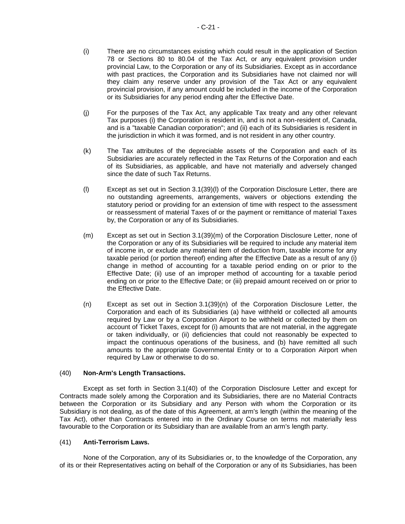- (i) There are no circumstances existing which could result in the application of Section 78 or Sections 80 to 80.04 of the Tax Act, or any equivalent provision under provincial Law, to the Corporation or any of its Subsidiaries. Except as in accordance with past practices, the Corporation and its Subsidiaries have not claimed nor will they claim any reserve under any provision of the Tax Act or any equivalent provincial provision, if any amount could be included in the income of the Corporation or its Subsidiaries for any period ending after the Effective Date.
- (j) For the purposes of the Tax Act, any applicable Tax treaty and any other relevant Tax purposes (i) the Corporation is resident in, and is not a non-resident of, Canada, and is a "taxable Canadian corporation"; and (ii) each of its Subsidiaries is resident in the jurisdiction in which it was formed, and is not resident in any other country.
- (k) The Tax attributes of the depreciable assets of the Corporation and each of its Subsidiaries are accurately reflected in the Tax Returns of the Corporation and each of its Subsidiaries, as applicable, and have not materially and adversely changed since the date of such Tax Returns.
- <span id="page-99-0"></span>(l) Except as set out in [Section](#page-32-0) 3.[1\(39\)](#page-32-0)[\(l\)](#page-99-0) of the Corporation Disclosure Letter, there are no outstanding agreements, arrangements, waivers or objections extending the statutory period or providing for an extension of time with respect to the assessment or reassessment of material Taxes of or the payment or remittance of material Taxes by, the Corporation or any of its Subsidiaries.
- <span id="page-99-1"></span>(m) Except as set out in [Section](#page-32-0) 3.[1\(39\)](#page-32-0)[\(m\)](#page-99-1) of the Corporation Disclosure Letter, none of the Corporation or any of its Subsidiaries will be required to include any material item of income in, or exclude any material item of deduction from, taxable income for any taxable period (or portion thereof) ending after the Effective Date as a result of any (i) change in method of accounting for a taxable period ending on or prior to the Effective Date; (ii) use of an improper method of accounting for a taxable period ending on or prior to the Effective Date; or (iii) prepaid amount received on or prior to the Effective Date.
- <span id="page-99-2"></span>(n) Except as set out in [Section](#page-32-0) 3.[1\(39\)](#page-32-0)[\(n\)](#page-99-2) of the Corporation Disclosure Letter, the Corporation and each of its Subsidiaries (a) have withheld or collected all amounts required by Law or by a Corporation Airport to be withheld or collected by them on account of Ticket Taxes, except for (i) amounts that are not material, in the aggregate or taken individually, or (ii) deficiencies that could not reasonably be expected to impact the continuous operations of the business, and (b) have remitted all such amounts to the appropriate Governmental Entity or to a Corporation Airport when required by Law or otherwise to do so.

### (40) **Non-Arm's Length Transactions.**

Except as set forth in [Section](#page-32-0) 3.[1\(40\)](#page-32-0) of the Corporation Disclosure Letter and except for Contracts made solely among the Corporation and its Subsidiaries, there are no Material Contracts between the Corporation or its Subsidiary and any Person with whom the Corporation or its Subsidiary is not dealing, as of the date of this Agreement, at arm's length (within the meaning of the Tax Act), other than Contracts entered into in the Ordinary Course on terms not materially less favourable to the Corporation or its Subsidiary than are available from an arm's length party.

### (41) **Anti-Terrorism Laws.**

None of the Corporation, any of its Subsidiaries or, to the knowledge of the Corporation, any of its or their Representatives acting on behalf of the Corporation or any of its Subsidiaries, has been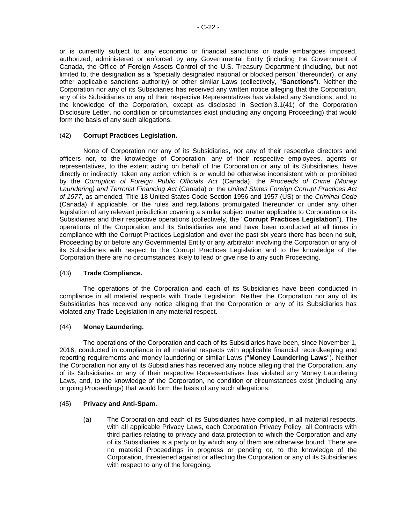or is currently subject to any economic or financial sanctions or trade embargoes imposed, authorized, administered or enforced by any Governmental Entity (including the Government of Canada, the Office of Foreign Assets Control of the U.S. Treasury Department (including, but not limited to, the designation as a "specially designated national or blocked person" thereunder), or any other applicable sanctions authority) or other similar Laws (collectively, "**Sanctions**"). Neither the Corporation nor any of its Subsidiaries has received any written notice alleging that the Corporation, any of its Subsidiaries or any of their respective Representatives has violated any Sanctions, and, to the knowledge of the Corporation, except as disclosed in [Section](#page-32-0) 3.[1\(41\)](#page-32-0) of the Corporation Disclosure Letter, no condition or circumstances exist (including any ongoing Proceeding) that would form the basis of any such allegations.

## (42) **Corrupt Practices Legislation.**

None of Corporation nor any of its Subsidiaries, nor any of their respective directors and officers nor, to the knowledge of Corporation, any of their respective employees, agents or representatives, to the extent acting on behalf of the Corporation or any of its Subsidiaries, have directly or indirectly, taken any action which is or would be otherwise inconsistent with or prohibited by the *Corruption of Foreign Public Officials Act* (Canada), the *Proceeds of Crime (Money Laundering) and Terrorist Financing Act* (Canada) or the *United States Foreign Corrupt Practices Act of 1977*, as amended, Title 18 United States Code Section 1956 and 1957 (US) or the *Criminal Code* (Canada) if applicable, or the rules and regulations promulgated thereunder or under any other legislation of any relevant jurisdiction covering a similar subject matter applicable to Corporation or its Subsidiaries and their respective operations (collectively, the "**Corrupt Practices Legislation**"). The operations of the Corporation and its Subsidiaries are and have been conducted at all times in compliance with the Corrupt Practices Legislation and over the past six years there has been no suit, Proceeding by or before any Governmental Entity or any arbitrator involving the Corporation or any of its Subsidiaries with respect to the Corrupt Practices Legislation and to the knowledge of the Corporation there are no circumstances likely to lead or give rise to any such Proceeding.

### (43) **Trade Compliance.**

The operations of the Corporation and each of its Subsidiaries have been conducted in compliance in all material respects with Trade Legislation. Neither the Corporation nor any of its Subsidiaries has received any notice alleging that the Corporation or any of its Subsidiaries has violated any Trade Legislation in any material respect.

### (44) **Money Laundering.**

The operations of the Corporation and each of its Subsidiaries have been, since November 1, 2016, conducted in compliance in all material respects with applicable financial recordkeeping and reporting requirements and money laundering or similar Laws ("**Money Laundering Laws**"). Neither the Corporation nor any of its Subsidiaries has received any notice alleging that the Corporation, any of its Subsidiaries or any of their respective Representatives has violated any Money Laundering Laws, and, to the knowledge of the Corporation, no condition or circumstances exist (including any ongoing Proceedings) that would form the basis of any such allegations.

### (45) **Privacy and Anti-Spam.**

(a) The Corporation and each of its Subsidiaries have complied, in all material respects, with all applicable Privacy Laws, each Corporation Privacy Policy, all Contracts with third parties relating to privacy and data protection to which the Corporation and any of its Subsidiaries is a party or by which any of them are otherwise bound. There are no material Proceedings in progress or pending or, to the knowledge of the Corporation, threatened against or affecting the Corporation or any of its Subsidiaries with respect to any of the foregoing.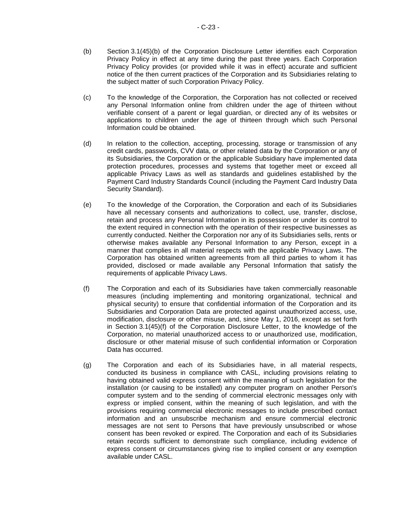- <span id="page-101-0"></span>(b) [Section](#page-32-0) 3.[1\(45\)](#page-32-0)[\(b\)](#page-101-0) of the Corporation Disclosure Letter identifies each Corporation Privacy Policy in effect at any time during the past three years. Each Corporation Privacy Policy provides (or provided while it was in effect) accurate and sufficient notice of the then current practices of the Corporation and its Subsidiaries relating to the subject matter of such Corporation Privacy Policy.
- (c) To the knowledge of the Corporation, the Corporation has not collected or received any Personal Information online from children under the age of thirteen without verifiable consent of a parent or legal guardian, or directed any of its websites or applications to children under the age of thirteen through which such Personal Information could be obtained.
- (d) In relation to the collection, accepting, processing, storage or transmission of any credit cards, passwords, CVV data, or other related data by the Corporation or any of its Subsidiaries, the Corporation or the applicable Subsidiary have implemented data protection procedures, processes and systems that together meet or exceed all applicable Privacy Laws as well as standards and guidelines established by the Payment Card Industry Standards Council (including the Payment Card Industry Data Security Standard).
- (e) To the knowledge of the Corporation, the Corporation and each of its Subsidiaries have all necessary consents and authorizations to collect, use, transfer, disclose, retain and process any Personal Information in its possession or under its control to the extent required in connection with the operation of their respective businesses as currently conducted. Neither the Corporation nor any of its Subsidiaries sells, rents or otherwise makes available any Personal Information to any Person, except in a manner that complies in all material respects with the applicable Privacy Laws. The Corporation has obtained written agreements from all third parties to whom it has provided, disclosed or made available any Personal Information that satisfy the requirements of applicable Privacy Laws.
- <span id="page-101-1"></span>(f) The Corporation and each of its Subsidiaries have taken commercially reasonable measures (including implementing and monitoring organizational, technical and physical security) to ensure that confidential information of the Corporation and its Subsidiaries and Corporation Data are protected against unauthorized access, use, modification, disclosure or other misuse, and, since May 1, 2016, except as set forth in [Section](#page-32-0) 3.[1\(45\)](#page-32-0)[\(f\)](#page-101-1) of the Corporation Disclosure Letter, to the knowledge of the Corporation, no material unauthorized access to or unauthorized use, modification, disclosure or other material misuse of such confidential information or Corporation Data has occurred.
- (g) The Corporation and each of its Subsidiaries have, in all material respects, conducted its business in compliance with CASL, including provisions relating to having obtained valid express consent within the meaning of such legislation for the installation (or causing to be installed) any computer program on another Person's computer system and to the sending of commercial electronic messages only with express or implied consent, within the meaning of such legislation, and with the provisions requiring commercial electronic messages to include prescribed contact information and an unsubscribe mechanism and ensure commercial electronic messages are not sent to Persons that have previously unsubscribed or whose consent has been revoked or expired. The Corporation and each of its Subsidiaries retain records sufficient to demonstrate such compliance, including evidence of express consent or circumstances giving rise to implied consent or any exemption available under CASL.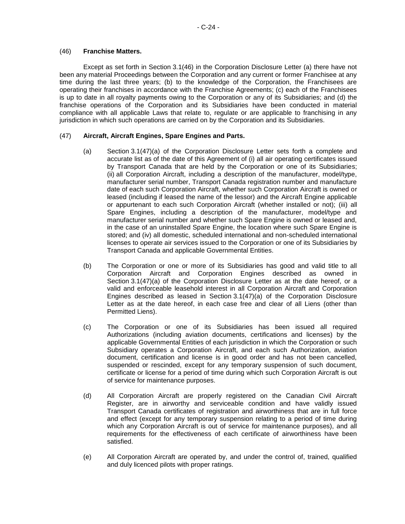### (46) **Franchise Matters.**

Except as set forth in [Section](#page-32-0) 3.[1\(46\)](#page-32-0) in the Corporation Disclosure Letter (a) there have not been any material Proceedings between the Corporation and any current or former Franchisee at any time during the last three years; (b) to the knowledge of the Corporation, the Franchisees are operating their franchises in accordance with the Franchise Agreements; (c) each of the Franchisees is up to date in all royalty payments owing to the Corporation or any of its Subsidiaries; and (d) the franchise operations of the Corporation and its Subsidiaries have been conducted in material compliance with all applicable Laws that relate to, regulate or are applicable to franchising in any jurisdiction in which such operations are carried on by the Corporation and its Subsidiaries.

### <span id="page-102-0"></span>(47) **Aircraft, Aircraft Engines, Spare Engines and Parts.**

- (a) [Section](#page-32-0) 3.[1\(47\)](#page-32-0)[\(a\)](#page-102-0) of the Corporation Disclosure Letter sets forth a complete and accurate list as of the date of this Agreement of (i) all air operating certificates issued by Transport Canada that are held by the Corporation or one of its Subsidiaries; (ii) all Corporation Aircraft, including a description of the manufacturer, model/type, manufacturer serial number, Transport Canada registration number and manufacture date of each such Corporation Aircraft, whether such Corporation Aircraft is owned or leased (including if leased the name of the lessor) and the Aircraft Engine applicable or appurtenant to each such Corporation Aircraft (whether installed or not); (iii) all Spare Engines, including a description of the manufacturer, model/type and manufacturer serial number and whether such Spare Engine is owned or leased and, in the case of an uninstalled Spare Engine, the location where such Spare Engine is stored; and (iv) all domestic, scheduled international and non-scheduled international licenses to operate air services issued to the Corporation or one of its Subsidiaries by Transport Canada and applicable Governmental Entities.
- (b) The Corporation or one or more of its Subsidiaries has good and valid title to all Corporation Aircraft and Corporation Engines described as owned in [Section](#page-32-0) 3.[1\(47\)](#page-32-0)[\(a\)](#page-102-0) of the Corporation Disclosure Letter as at the date hereof, or a valid and enforceable leasehold interest in all Corporation Aircraft and Corporation Engines described as leased in [Section](#page-32-0) 3.[1\(47\)](#page-32-0)[\(a\)](#page-102-0) of the Corporation Disclosure Letter as at the date hereof, in each case free and clear of all Liens (other than Permitted Liens).
- (c) The Corporation or one of its Subsidiaries has been issued all required Authorizations (including aviation documents, certifications and licenses) by the applicable Governmental Entities of each jurisdiction in which the Corporation or such Subsidiary operates a Corporation Aircraft, and each such Authorization, aviation document, certification and license is in good order and has not been cancelled, suspended or rescinded, except for any temporary suspension of such document, certificate or license for a period of time during which such Corporation Aircraft is out of service for maintenance purposes.
- (d) All Corporation Aircraft are properly registered on the Canadian Civil Aircraft Register, are in airworthy and serviceable condition and have validly issued Transport Canada certificates of registration and airworthiness that are in full force and effect (except for any temporary suspension relating to a period of time during which any Corporation Aircraft is out of service for maintenance purposes), and all requirements for the effectiveness of each certificate of airworthiness have been satisfied.
- (e) All Corporation Aircraft are operated by, and under the control of, trained, qualified and duly licenced pilots with proper ratings.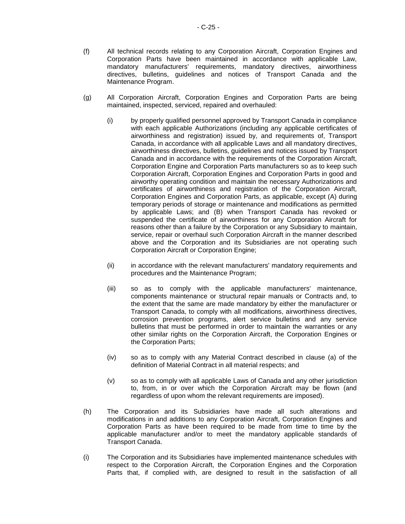- (f) All technical records relating to any Corporation Aircraft, Corporation Engines and Corporation Parts have been maintained in accordance with applicable Law, mandatory manufacturers' requirements, mandatory directives, airworthiness directives, bulletins, guidelines and notices of Transport Canada and the Maintenance Program.
- (g) All Corporation Aircraft, Corporation Engines and Corporation Parts are being maintained, inspected, serviced, repaired and overhauled:
	- (i) by properly qualified personnel approved by Transport Canada in compliance with each applicable Authorizations (including any applicable certificates of airworthiness and registration) issued by, and requirements of, Transport Canada, in accordance with all applicable Laws and all mandatory directives, airworthiness directives, bulletins, guidelines and notices issued by Transport Canada and in accordance with the requirements of the Corporation Aircraft, Corporation Engine and Corporation Parts manufacturers so as to keep such Corporation Aircraft, Corporation Engines and Corporation Parts in good and airworthy operating condition and maintain the necessary Authorizations and certificates of airworthiness and registration of the Corporation Aircraft, Corporation Engines and Corporation Parts, as applicable, except (A) during temporary periods of storage or maintenance and modifications as permitted by applicable Laws; and (B) when Transport Canada has revoked or suspended the certificate of airworthiness for any Corporation Aircraft for reasons other than a failure by the Corporation or any Subsidiary to maintain, service, repair or overhaul such Corporation Aircraft in the manner described above and the Corporation and its Subsidiaries are not operating such Corporation Aircraft or Corporation Engine;
	- (ii) in accordance with the relevant manufacturers' mandatory requirements and procedures and the Maintenance Program;
	- (iii) so as to comply with the applicable manufacturers' maintenance, components maintenance or structural repair manuals or Contracts and, to the extent that the same are made mandatory by either the manufacturer or Transport Canada, to comply with all modifications, airworthiness directives, corrosion prevention programs, alert service bulletins and any service bulletins that must be performed in order to maintain the warranties or any other similar rights on the Corporation Aircraft, the Corporation Engines or the Corporation Parts;
	- (iv) so as to comply with any Material Contract described in clause (a) of the definition of Material Contract in all material respects; and
	- (v) so as to comply with all applicable Laws of Canada and any other jurisdiction to, from, in or over which the Corporation Aircraft may be flown (and regardless of upon whom the relevant requirements are imposed).
- (h) The Corporation and its Subsidiaries have made all such alterations and modifications in and additions to any Corporation Aircraft, Corporation Engines and Corporation Parts as have been required to be made from time to time by the applicable manufacturer and/or to meet the mandatory applicable standards of Transport Canada.
- (i) The Corporation and its Subsidiaries have implemented maintenance schedules with respect to the Corporation Aircraft, the Corporation Engines and the Corporation Parts that, if complied with, are designed to result in the satisfaction of all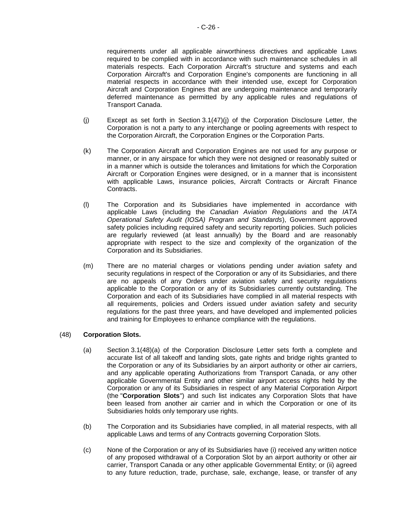requirements under all applicable airworthiness directives and applicable Laws required to be complied with in accordance with such maintenance schedules in all materials respects. Each Corporation Aircraft's structure and systems and each Corporation Aircraft's and Corporation Engine's components are functioning in all material respects in accordance with their intended use, except for Corporation Aircraft and Corporation Engines that are undergoing maintenance and temporarily deferred maintenance as permitted by any applicable rules and regulations of Transport Canada.

- <span id="page-104-0"></span>(j) Except as set forth in [Section](#page-32-0) 3.[1\(47\)](#page-32-0)[\(j\)](#page-104-0) of the Corporation Disclosure Letter, the Corporation is not a party to any interchange or pooling agreements with respect to the Corporation Aircraft, the Corporation Engines or the Corporation Parts.
- (k) The Corporation Aircraft and Corporation Engines are not used for any purpose or manner, or in any airspace for which they were not designed or reasonably suited or in a manner which is outside the tolerances and limitations for which the Corporation Aircraft or Corporation Engines were designed, or in a manner that is inconsistent with applicable Laws, insurance policies, Aircraft Contracts or Aircraft Finance Contracts.
- (l) The Corporation and its Subsidiaries have implemented in accordance with applicable Laws (including the *Canadian Aviation Regulations* and the *IATA Operational Safety Audit (IOSA) Program and Standards*), Government approved safety policies including required safety and security reporting policies. Such policies are regularly reviewed (at least annually) by the Board and are reasonably appropriate with respect to the size and complexity of the organization of the Corporation and its Subsidiaries.
- (m) There are no material charges or violations pending under aviation safety and security regulations in respect of the Corporation or any of its Subsidiaries, and there are no appeals of any Orders under aviation safety and security regulations applicable to the Corporation or any of its Subsidiaries currently outstanding. The Corporation and each of its Subsidiaries have complied in all material respects with all requirements, policies and Orders issued under aviation safety and security regulations for the past three years, and have developed and implemented policies and training for Employees to enhance compliance with the regulations.

### <span id="page-104-1"></span>(48) **Corporation Slots.**

- (a) [Section](#page-32-0) 3.[1\(48\)](#page-32-0)[\(a\)](#page-104-1) of the Corporation Disclosure Letter sets forth a complete and accurate list of all takeoff and landing slots, gate rights and bridge rights granted to the Corporation or any of its Subsidiaries by an airport authority or other air carriers, and any applicable operating Authorizations from Transport Canada, or any other applicable Governmental Entity and other similar airport access rights held by the Corporation or any of its Subsidiaries in respect of any Material Corporation Airport (the "**Corporation Slots**") and such list indicates any Corporation Slots that have been leased from another air carrier and in which the Corporation or one of its Subsidiaries holds only temporary use rights.
- (b) The Corporation and its Subsidiaries have complied, in all material respects, with all applicable Laws and terms of any Contracts governing Corporation Slots.
- (c) None of the Corporation or any of its Subsidiaries have (i) received any written notice of any proposed withdrawal of a Corporation Slot by an airport authority or other air carrier, Transport Canada or any other applicable Governmental Entity; or (ii) agreed to any future reduction, trade, purchase, sale, exchange, lease, or transfer of any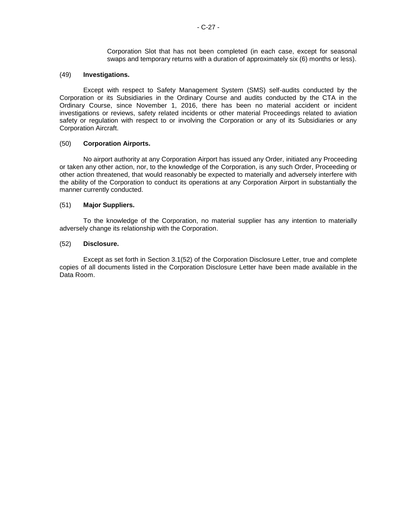Corporation Slot that has not been completed (in each case, except for seasonal swaps and temporary returns with a duration of approximately six (6) months or less).

#### (49) **Investigations.**

Except with respect to Safety Management System (SMS) self-audits conducted by the Corporation or its Subsidiaries in the Ordinary Course and audits conducted by the CTA in the Ordinary Course, since November 1, 2016, there has been no material accident or incident investigations or reviews, safety related incidents or other material Proceedings related to aviation safety or regulation with respect to or involving the Corporation or any of its Subsidiaries or any Corporation Aircraft.

#### (50) **Corporation Airports.**

No airport authority at any Corporation Airport has issued any Order, initiated any Proceeding or taken any other action, nor, to the knowledge of the Corporation, is any such Order, Proceeding or other action threatened, that would reasonably be expected to materially and adversely interfere with the ability of the Corporation to conduct its operations at any Corporation Airport in substantially the manner currently conducted.

#### (51) **Major Suppliers.**

To the knowledge of the Corporation, no material supplier has any intention to materially adversely change its relationship with the Corporation.

#### (52) **Disclosure.**

Except as set forth in [Section](#page-32-0) 3.[1\(52\)](#page-32-0) of the Corporation Disclosure Letter, true and complete copies of all documents listed in the Corporation Disclosure Letter have been made available in the Data Room.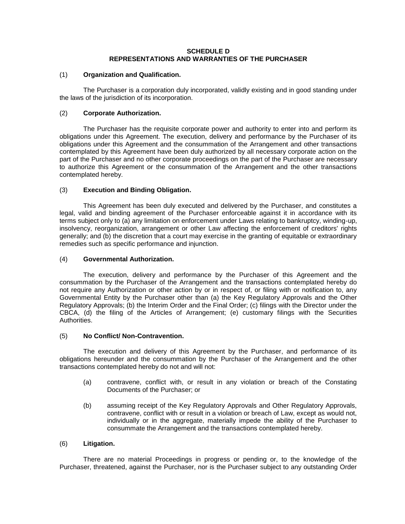#### **SCHEDULE D REPRESENTATIONS AND WARRANTIES OF THE PURCHASER**

#### (1) **Organization and Qualification.**

The Purchaser is a corporation duly incorporated, validly existing and in good standing under the laws of the jurisdiction of its incorporation.

### (2) **Corporate Authorization.**

The Purchaser has the requisite corporate power and authority to enter into and perform its obligations under this Agreement. The execution, delivery and performance by the Purchaser of its obligations under this Agreement and the consummation of the Arrangement and other transactions contemplated by this Agreement have been duly authorized by all necessary corporate action on the part of the Purchaser and no other corporate proceedings on the part of the Purchaser are necessary to authorize this Agreement or the consummation of the Arrangement and the other transactions contemplated hereby.

## (3) **Execution and Binding Obligation.**

This Agreement has been duly executed and delivered by the Purchaser, and constitutes a legal, valid and binding agreement of the Purchaser enforceable against it in accordance with its terms subject only to (a) any limitation on enforcement under Laws relating to bankruptcy, winding-up, insolvency, reorganization, arrangement or other Law affecting the enforcement of creditors' rights generally; and (b) the discretion that a court may exercise in the granting of equitable or extraordinary remedies such as specific performance and injunction.

### (4) **Governmental Authorization.**

The execution, delivery and performance by the Purchaser of this Agreement and the consummation by the Purchaser of the Arrangement and the transactions contemplated hereby do not require any Authorization or other action by or in respect of, or filing with or notification to, any Governmental Entity by the Purchaser other than (a) the Key Regulatory Approvals and the Other Regulatory Approvals; (b) the Interim Order and the Final Order; (c) filings with the Director under the CBCA, (d) the filing of the Articles of Arrangement; (e) customary filings with the Securities Authorities.

### (5) **No Conflict/ Non-Contravention.**

The execution and delivery of this Agreement by the Purchaser, and performance of its obligations hereunder and the consummation by the Purchaser of the Arrangement and the other transactions contemplated hereby do not and will not:

- (a) contravene, conflict with, or result in any violation or breach of the Constating Documents of the Purchaser; or
- (b) assuming receipt of the Key Regulatory Approvals and Other Regulatory Approvals, contravene, conflict with or result in a violation or breach of Law, except as would not, individually or in the aggregate, materially impede the ability of the Purchaser to consummate the Arrangement and the transactions contemplated hereby.

### (6) **Litigation.**

There are no material Proceedings in progress or pending or, to the knowledge of the Purchaser, threatened, against the Purchaser, nor is the Purchaser subject to any outstanding Order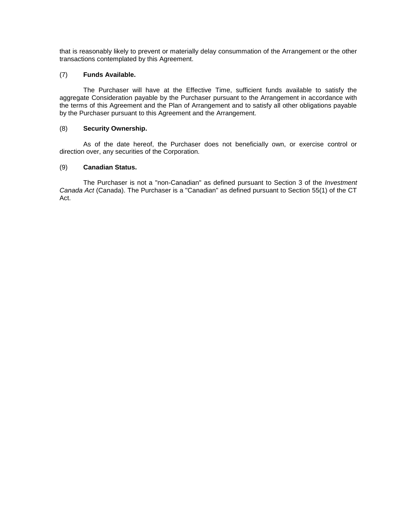that is reasonably likely to prevent or materially delay consummation of the Arrangement or the other transactions contemplated by this Agreement.

### (7) **Funds Available.**

The Purchaser will have at the Effective Time, sufficient funds available to satisfy the aggregate Consideration payable by the Purchaser pursuant to the Arrangement in accordance with the terms of this Agreement and the Plan of Arrangement and to satisfy all other obligations payable by the Purchaser pursuant to this Agreement and the Arrangement.

### (8) **Security Ownership.**

As of the date hereof, the Purchaser does not beneficially own, or exercise control or direction over, any securities of the Corporation.

## (9) **Canadian Status.**

The Purchaser is not a "non-Canadian" as defined pursuant to Section 3 of the *Investment Canada Act* (Canada). The Purchaser is a "Canadian" as defined pursuant to Section 55(1) of the CT Act.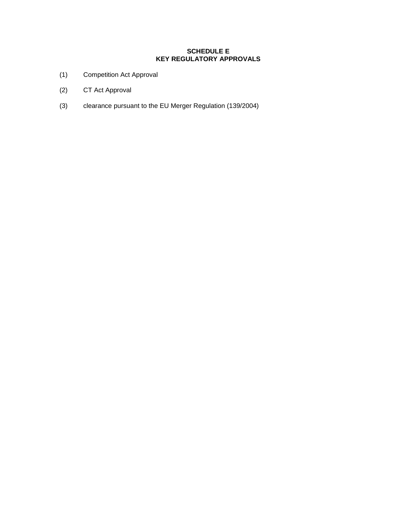# **SCHEDULE E KEY REGULATORY APPROVALS**

- (1) Competition Act Approval
- (2) CT Act Approval
- (3) clearance pursuant to the EU Merger Regulation (139/2004)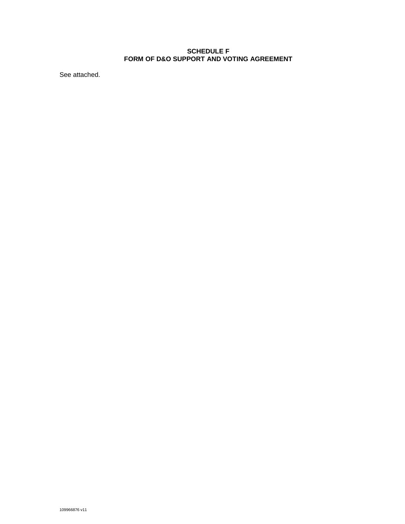### **SCHEDULE F FORM OF D&O SUPPORT AND VOTING AGREEMENT**

See attached.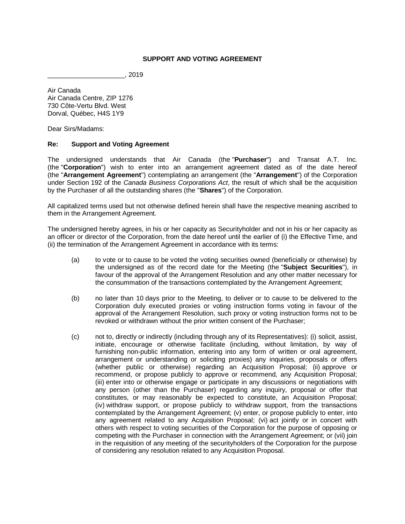### **SUPPORT AND VOTING AGREEMENT**

\_\_\_\_\_\_\_\_\_\_\_\_\_\_\_\_\_\_\_\_\_, 2019

Air Canada Air Canada Centre, ZIP 1276 730 Côte-Vertu Blvd. West Dorval, Québec, H4S 1Y9

Dear Sirs/Madams:

#### **Re: Support and Voting Agreement**

The undersigned understands that Air Canada (the "**Purchaser**") and Transat A.T. Inc. (the "**Corporation**") wish to enter into an arrangement agreement dated as of the date hereof (the "**Arrangement Agreement**") contemplating an arrangement (the "**Arrangement**") of the Corporation under Section 192 of the *Canada Business Corporations Act*, the result of which shall be the acquisition by the Purchaser of all the outstanding shares (the "**Shares**") of the Corporation.

All capitalized terms used but not otherwise defined herein shall have the respective meaning ascribed to them in the Arrangement Agreement.

The undersigned hereby agrees, in his or her capacity as Securityholder and not in his or her capacity as an officer or director of the Corporation, from the date hereof until the earlier of (i) the Effective Time, and (ii) the termination of the Arrangement Agreement in accordance with its terms:

- <span id="page-110-0"></span>(a) to vote or to cause to be voted the voting securities owned (beneficially or otherwise) by the undersigned as of the record date for the Meeting (the "**Subject Securities**"), in favour of the approval of the Arrangement Resolution and any other matter necessary for the consummation of the transactions contemplated by the Arrangement Agreement;
- (b) no later than 10 days prior to the Meeting, to deliver or to cause to be delivered to the Corporation duly executed proxies or voting instruction forms voting in favour of the approval of the Arrangement Resolution, such proxy or voting instruction forms not to be revoked or withdrawn without the prior written consent of the Purchaser;
- (c) not to, directly or indirectly (including through any of its Representatives): (i) solicit, assist, initiate, encourage or otherwise facilitate (including, without limitation, by way of furnishing non-public information, entering into any form of written or oral agreement, arrangement or understanding or soliciting proxies) any inquiries, proposals or offers (whether public or otherwise) regarding an Acquisition Proposal; (ii) approve or recommend, or propose publicly to approve or recommend, any Acquisition Proposal; (iii) enter into or otherwise engage or participate in any discussions or negotiations with any person (other than the Purchaser) regarding any inquiry, proposal or offer that constitutes, or may reasonably be expected to constitute, an Acquisition Proposal; (iv) withdraw support, or propose publicly to withdraw support, from the transactions contemplated by the Arrangement Agreement; (v) enter, or propose publicly to enter, into any agreement related to any Acquisition Proposal; (vi) act jointly or in concert with others with respect to voting securities of the Corporation for the purpose of opposing or competing with the Purchaser in connection with the Arrangement Agreement; or (vii) join in the requisition of any meeting of the securityholders of the Corporation for the purpose of considering any resolution related to any Acquisition Proposal.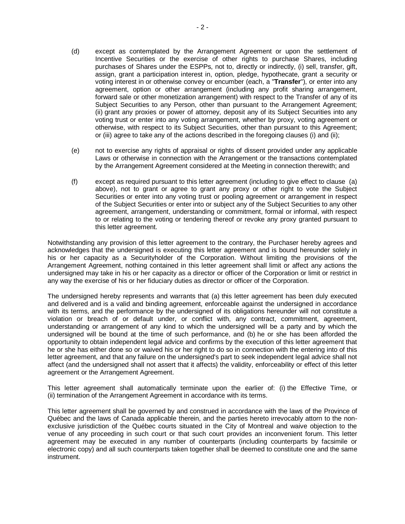- (d) except as contemplated by the Arrangement Agreement or upon the settlement of Incentive Securities or the exercise of other rights to purchase Shares, including purchases of Shares under the ESPPs, not to, directly or indirectly, (i) sell, transfer, gift, assign, grant a participation interest in, option, pledge, hypothecate, grant a security or voting interest in or otherwise convey or encumber (each, a "**Transfer**"), or enter into any agreement, option or other arrangement (including any profit sharing arrangement, forward sale or other monetization arrangement) with respect to the Transfer of any of its Subject Securities to any Person, other than pursuant to the Arrangement Agreement; (ii) grant any proxies or power of attorney, deposit any of its Subject Securities into any voting trust or enter into any voting arrangement, whether by proxy, voting agreement or otherwise, with respect to its Subject Securities, other than pursuant to this Agreement; or (iii) agree to take any of the actions described in the foregoing clauses (i) and (ii);
- (e) not to exercise any rights of appraisal or rights of dissent provided under any applicable Laws or otherwise in connection with the Arrangement or the transactions contemplated by the Arrangement Agreement considered at the Meeting in connection therewith; and
- (f) except as required pursuant to this letter agreement (including to give effect to clause [\(a\)](#page-110-0) above), not to grant or agree to grant any proxy or other right to vote the Subject Securities or enter into any voting trust or pooling agreement or arrangement in respect of the Subject Securities or enter into or subject any of the Subject Securities to any other agreement, arrangement, understanding or commitment, formal or informal, with respect to or relating to the voting or tendering thereof or revoke any proxy granted pursuant to this letter agreement.

Notwithstanding any provision of this letter agreement to the contrary, the Purchaser hereby agrees and acknowledges that the undersigned is executing this letter agreement and is bound hereunder solely in his or her capacity as a Securityholder of the Corporation. Without limiting the provisions of the Arrangement Agreement, nothing contained in this letter agreement shall limit or affect any actions the undersigned may take in his or her capacity as a director or officer of the Corporation or limit or restrict in any way the exercise of his or her fiduciary duties as director or officer of the Corporation.

The undersigned hereby represents and warrants that (a) this letter agreement has been duly executed and delivered and is a valid and binding agreement, enforceable against the undersigned in accordance with its terms, and the performance by the undersigned of its obligations hereunder will not constitute a violation or breach of or default under, or conflict with, any contract, commitment, agreement, understanding or arrangement of any kind to which the undersigned will be a party and by which the undersigned will be bound at the time of such performance, and (b) he or she has been afforded the opportunity to obtain independent legal advice and confirms by the execution of this letter agreement that he or she has either done so or waived his or her right to do so in connection with the entering into of this letter agreement, and that any failure on the undersigned's part to seek independent legal advice shall not affect (and the undersigned shall not assert that it affects) the validity, enforceability or effect of this letter agreement or the Arrangement Agreement.

This letter agreement shall automatically terminate upon the earlier of: (i) the Effective Time, or (ii) termination of the Arrangement Agreement in accordance with its terms.

This letter agreement shall be governed by and construed in accordance with the laws of the Province of Québec and the laws of Canada applicable therein, and the parties hereto irrevocably attorn to the nonexclusive jurisdiction of the Québec courts situated in the City of Montreal and waive objection to the venue of any proceeding in such court or that such court provides an inconvenient forum. This letter agreement may be executed in any number of counterparts (including counterparts by facsimile or electronic copy) and all such counterparts taken together shall be deemed to constitute one and the same instrument.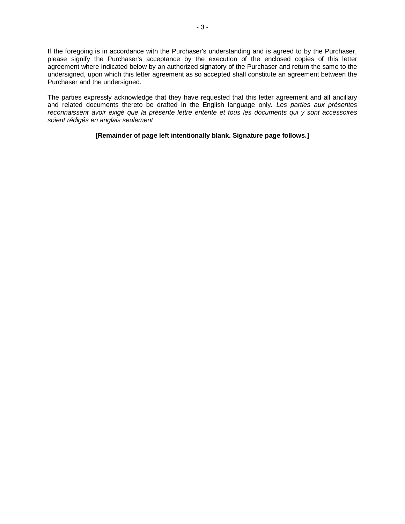If the foregoing is in accordance with the Purchaser's understanding and is agreed to by the Purchaser, please signify the Purchaser's acceptance by the execution of the enclosed copies of this letter agreement where indicated below by an authorized signatory of the Purchaser and return the same to the undersigned, upon which this letter agreement as so accepted shall constitute an agreement between the Purchaser and the undersigned.

The parties expressly acknowledge that they have requested that this letter agreement and all ancillary and related documents thereto be drafted in the English language only. *Les parties aux présentes reconnaissent avoir exigé que la présente lettre entente et tous les documents qui y sont accessoires soient rédigés en anglais seulement*.

**[Remainder of page left intentionally blank. Signature page follows.]**